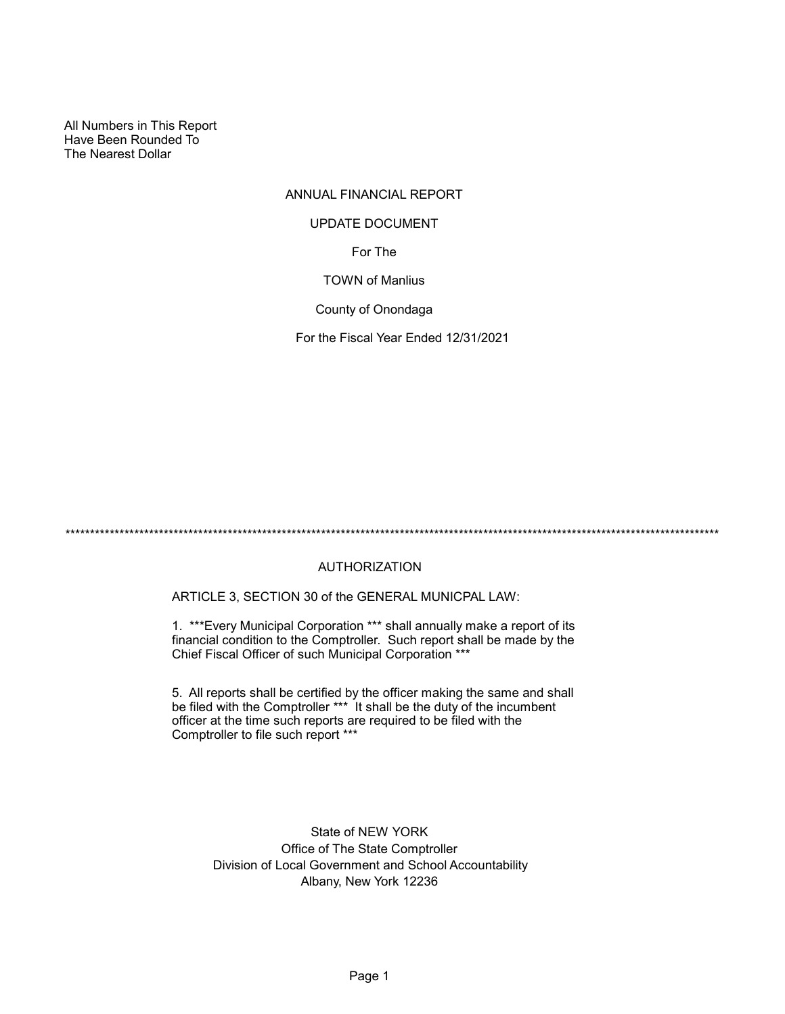All Numbers in This Report Have Been Rounded To The Nearest Dollar

# ANNUAL FINANCIAL REPORT

#### UPDATE DOCUMENT

For The

#### TOWN of Manlius

County of Onondaga

For the Fiscal Year Ended 12/31/2021

\*\*\*\*\*\*\*\*\*\*\*\*\*\*\*\*\*\*\*\*\*\*\*\*\*\*\*\*\*\*\*\*\*\*\*\*\*\*\*\*\*\*\*\*\*\*\*\*\*\*\*\*\*\*\*\*\*\*\*\*\*\*\*\*\*\*\*\*\*\*\*\*\*\*\*\*\*\*\*\*\*\*\*\*\*\*\*\*\*\*\*\*\*\*\*\*\*\*\*\*\*\*\*\*\*\*\*\*\*\*\*\*\*\*\*\*\*\*\*\*\*\*\*\*\*\*\*\*\*\*\*\*\*

# AUTHORIZATION

ARTICLE 3, SECTION 30 of the GENERAL MUNICPAL LAW:

1. \*\*\*Every Municipal Corporation \*\*\* shall annually make a report of its financial condition to the Comptroller. Such report shall be made by the Chief Fiscal Officer of such Municipal Corporation \*\*\*

5. All reports shall be certified by the officer making the same and shall be filed with the Comptroller \*\*\* It shall be the duty of the incumbent officer at the time such reports are required to be filed with the Comptroller to file such report \*\*\*

> State of NEW YORK Office of The State Comptroller Division of Local Government and School Accountability Albany, New York 12236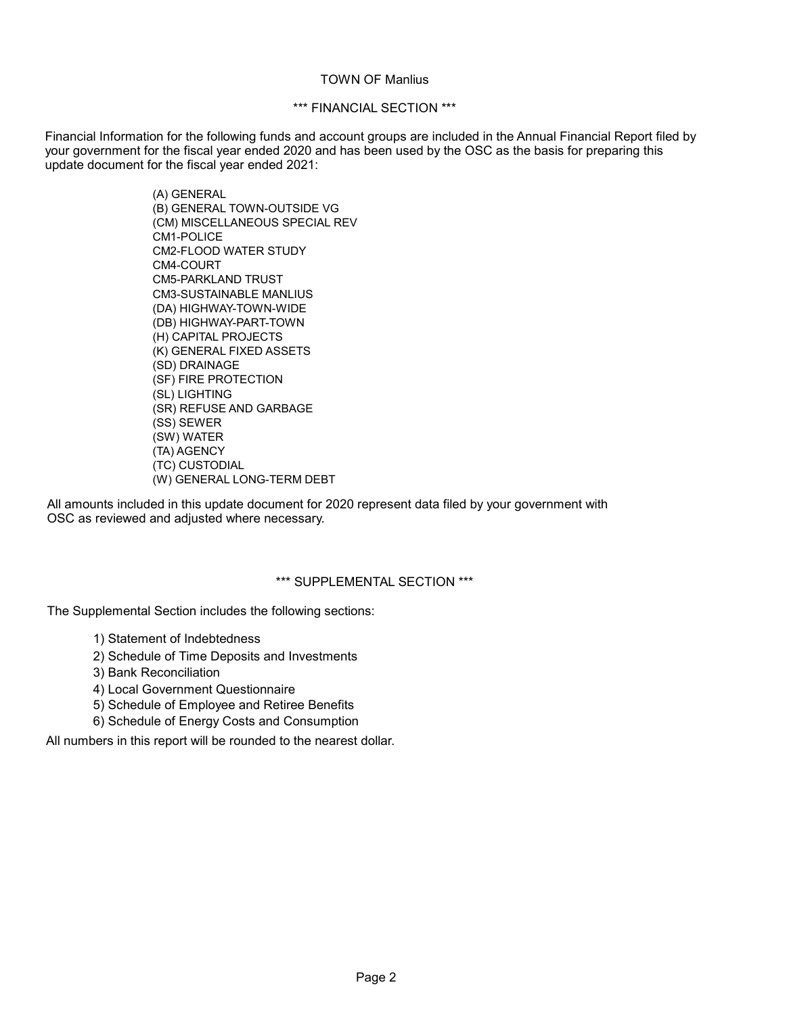### TOWN OF Manlius

## \*\*\* FINANCIAL SECTION \*\*\*

Financial Information for the following funds and account groups are included in the Annual Financial Report filed by your government for the fiscal year ended 2020 and has been used by the OSC as the basis for preparing this update document for the fiscal year ended 2021:

> (A) GENERAL (B) GENERAL TOWN-OUTSIDE VG (CM) MISCELLANEOUS SPECIAL REV CM1-POLICE CM2-FLOOD WATER STUDY CM4-COURT CM5-PARKLAND TRUST CM3-SUSTAINABLE MANLIUS (DA) HIGHWAY-TOWN-WIDE (DB) HIGHWAY-PART-TOWN (H) CAPITAL PROJECTS (K) GENERAL FIXED ASSETS (SD) DRAINAGE (SF) FIRE PROTECTION (SL) LIGHTING (SR) REFUSE AND GARBAGE (SS) SEWER (SW) WATER (TA) AGENCY (TC) CUSTODIAL (W) GENERAL LONG-TERM DEBT

All amounts included in this update document for 2020 represent data filed by your government with OSC as reviewed and adjusted where necessary.

#### \*\*\* SUPPLEMENTAL SECTION \*\*\*

The Supplemental Section includes the following sections:

- 1) Statement of Indebtedness
- 2) Schedule of Time Deposits and Investments
- 3) Bank Reconciliation
- 4) Local Government Questionnaire
- 5) Schedule of Employee and Retiree Benefits
- 6) Schedule of Energy Costs and Consumption

All numbers in this report will be rounded to the nearest dollar.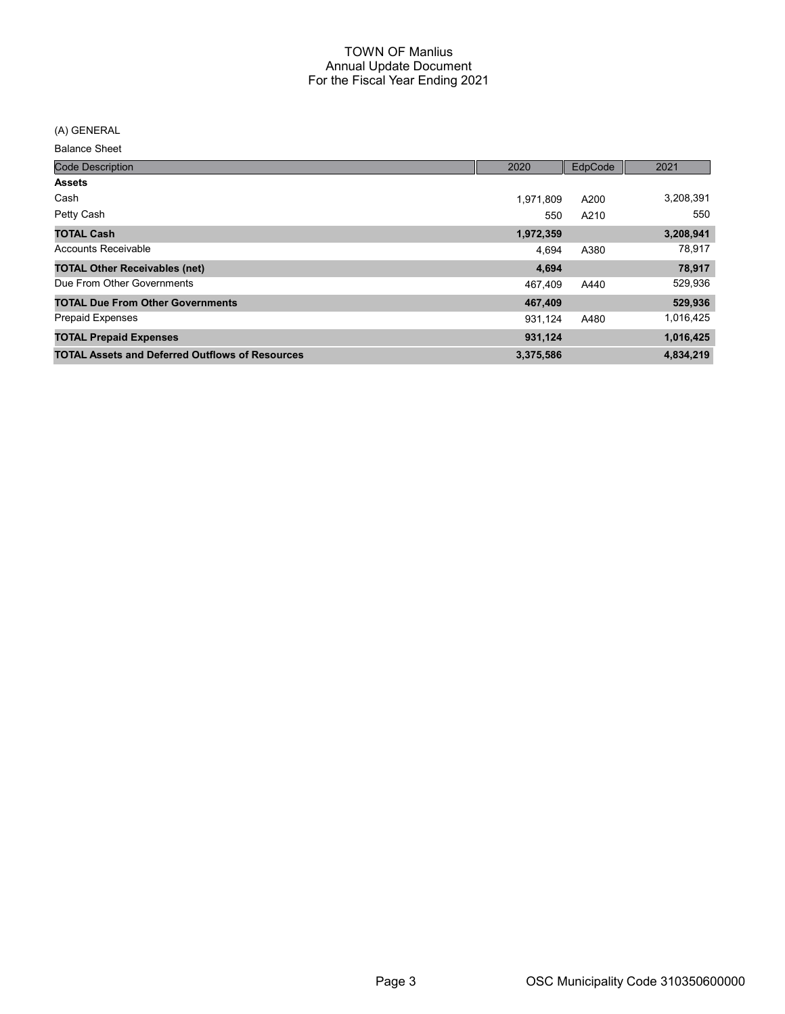(A) GENERAL

Balance Sheet

| <b>Code Description</b>                                | 2020      | EdpCode | 2021      |
|--------------------------------------------------------|-----------|---------|-----------|
| <b>Assets</b>                                          |           |         |           |
| Cash                                                   | 1,971,809 | A200    | 3,208,391 |
| Petty Cash                                             | 550       | A210    | 550       |
| <b>TOTAL Cash</b>                                      | 1,972,359 |         | 3,208,941 |
| <b>Accounts Receivable</b>                             | 4.694     | A380    | 78,917    |
| <b>TOTAL Other Receivables (net)</b>                   | 4,694     |         | 78,917    |
| Due From Other Governments                             | 467,409   | A440    | 529,936   |
| <b>TOTAL Due From Other Governments</b>                | 467,409   |         | 529,936   |
| <b>Prepaid Expenses</b>                                | 931.124   | A480    | 1,016,425 |
| <b>TOTAL Prepaid Expenses</b>                          | 931,124   |         | 1,016,425 |
| <b>TOTAL Assets and Deferred Outflows of Resources</b> | 3,375,586 |         | 4,834,219 |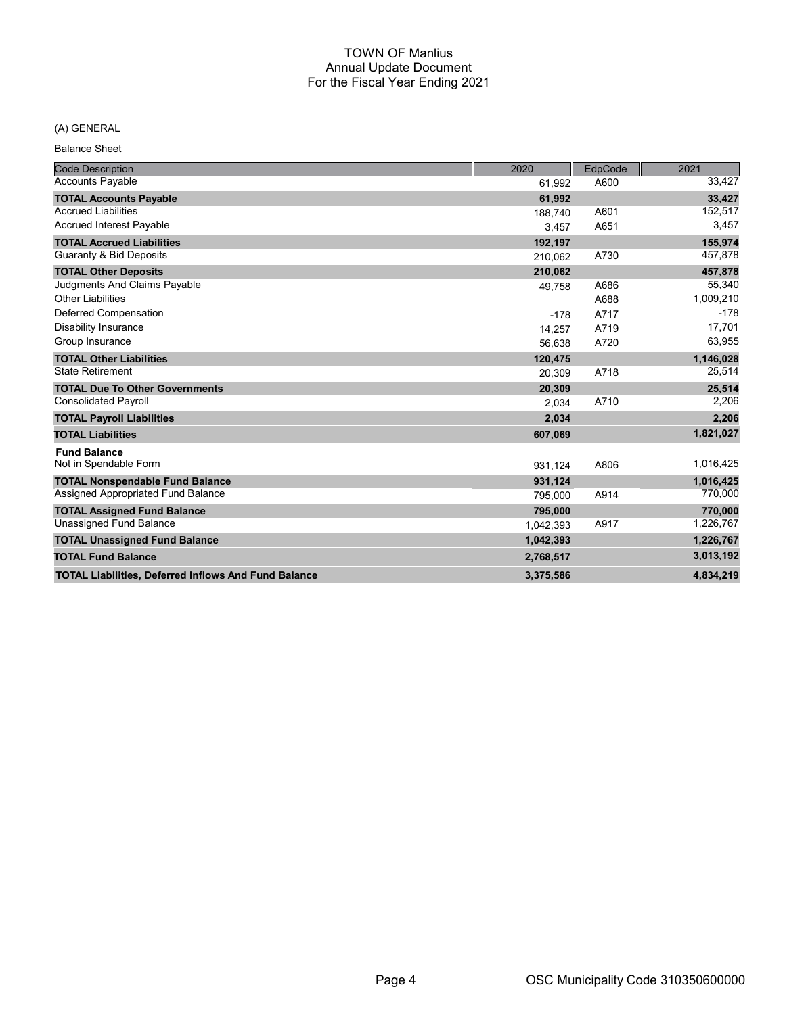# (A) GENERAL

Balance Sheet

| <b>Code Description</b>                                     | 2020      | EdpCode | 2021      |
|-------------------------------------------------------------|-----------|---------|-----------|
| <b>Accounts Payable</b>                                     | 61,992    | A600    | 33,427    |
| <b>TOTAL Accounts Payable</b>                               | 61,992    |         | 33,427    |
| <b>Accrued Liabilities</b>                                  | 188.740   | A601    | 152,517   |
| Accrued Interest Payable                                    | 3,457     | A651    | 3,457     |
| <b>TOTAL Accrued Liabilities</b>                            | 192,197   |         | 155,974   |
| Guaranty & Bid Deposits                                     | 210.062   | A730    | 457,878   |
| <b>TOTAL Other Deposits</b>                                 | 210,062   |         | 457,878   |
| Judgments And Claims Payable                                | 49,758    | A686    | 55,340    |
| <b>Other Liabilities</b>                                    |           | A688    | 1,009,210 |
| Deferred Compensation                                       | $-178$    | A717    | $-178$    |
| <b>Disability Insurance</b>                                 | 14,257    | A719    | 17,701    |
| Group Insurance                                             | 56,638    | A720    | 63,955    |
| <b>TOTAL Other Liabilities</b>                              | 120,475   |         | 1,146,028 |
| <b>State Retirement</b>                                     | 20,309    | A718    | 25,514    |
| <b>TOTAL Due To Other Governments</b>                       | 20,309    |         | 25,514    |
| <b>Consolidated Payroll</b>                                 | 2,034     | A710    | 2,206     |
| <b>TOTAL Payroll Liabilities</b>                            | 2,034     |         | 2,206     |
| <b>TOTAL Liabilities</b>                                    | 607,069   |         | 1,821,027 |
| <b>Fund Balance</b>                                         |           |         |           |
| Not in Spendable Form                                       | 931,124   | A806    | 1,016,425 |
| <b>TOTAL Nonspendable Fund Balance</b>                      | 931,124   |         | 1,016,425 |
| Assigned Appropriated Fund Balance                          | 795.000   | A914    | 770,000   |
| <b>TOTAL Assigned Fund Balance</b>                          | 795,000   |         | 770,000   |
| <b>Unassigned Fund Balance</b>                              | 1,042,393 | A917    | 1,226,767 |
| <b>TOTAL Unassigned Fund Balance</b>                        | 1,042,393 |         | 1,226,767 |
| <b>TOTAL Fund Balance</b>                                   | 2,768,517 |         | 3,013,192 |
| <b>TOTAL Liabilities, Deferred Inflows And Fund Balance</b> | 3,375,586 |         | 4.834.219 |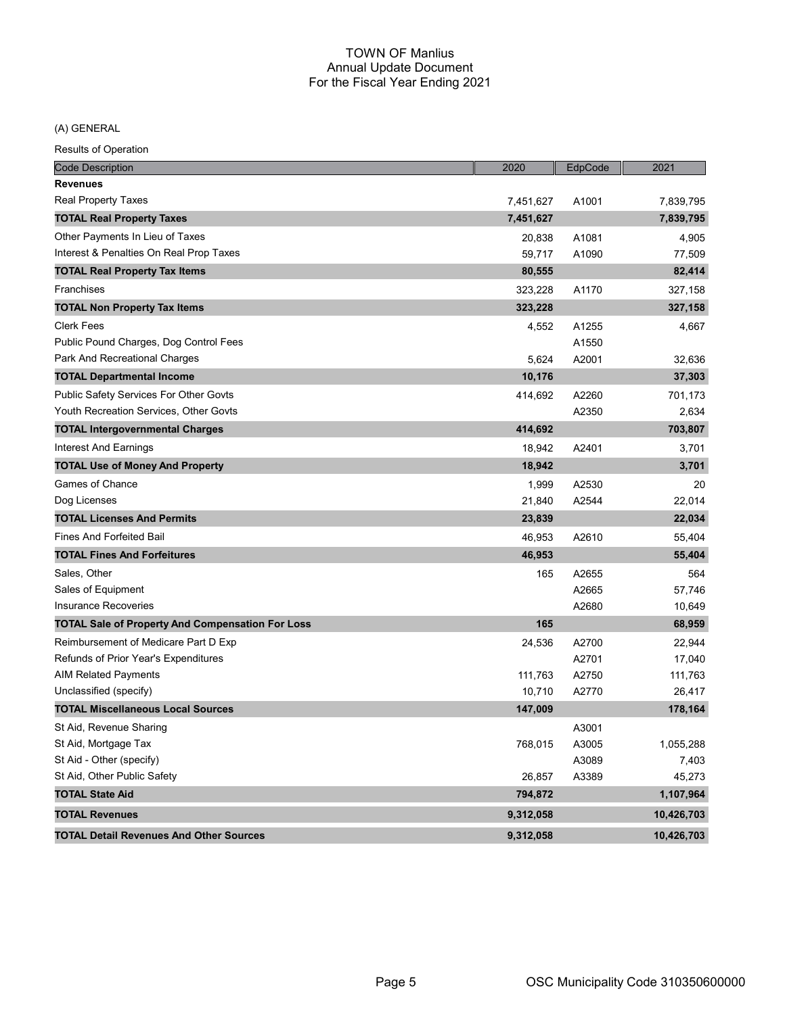(A) GENERAL

| <b>Code Description</b>                                 | 2020      | EdpCode | 2021       |
|---------------------------------------------------------|-----------|---------|------------|
| <b>Revenues</b>                                         |           |         |            |
| <b>Real Property Taxes</b>                              | 7,451,627 | A1001   | 7,839,795  |
| <b>TOTAL Real Property Taxes</b>                        | 7,451,627 |         | 7,839,795  |
| Other Payments In Lieu of Taxes                         | 20,838    | A1081   | 4,905      |
| Interest & Penalties On Real Prop Taxes                 | 59,717    | A1090   | 77,509     |
| <b>TOTAL Real Property Tax Items</b>                    | 80,555    |         | 82,414     |
| Franchises                                              | 323,228   | A1170   | 327,158    |
| <b>TOTAL Non Property Tax Items</b>                     | 323,228   |         | 327,158    |
| <b>Clerk Fees</b>                                       | 4,552     | A1255   | 4,667      |
| Public Pound Charges, Dog Control Fees                  |           | A1550   |            |
| Park And Recreational Charges                           | 5,624     | A2001   | 32,636     |
| <b>TOTAL Departmental Income</b>                        | 10,176    |         | 37,303     |
| Public Safety Services For Other Govts                  | 414,692   | A2260   | 701,173    |
| Youth Recreation Services, Other Govts                  |           | A2350   | 2,634      |
| <b>TOTAL Intergovernmental Charges</b>                  | 414,692   |         | 703,807    |
| Interest And Earnings                                   | 18,942    | A2401   | 3,701      |
| <b>TOTAL Use of Money And Property</b>                  | 18,942    |         | 3,701      |
| Games of Chance                                         | 1,999     | A2530   | 20         |
| Dog Licenses                                            | 21,840    | A2544   | 22,014     |
| <b>TOTAL Licenses And Permits</b>                       | 23,839    |         | 22,034     |
| <b>Fines And Forfeited Bail</b>                         | 46,953    | A2610   | 55,404     |
| <b>TOTAL Fines And Forfeitures</b>                      | 46,953    |         | 55,404     |
| Sales, Other                                            | 165       | A2655   | 564        |
| Sales of Equipment                                      |           | A2665   | 57,746     |
| <b>Insurance Recoveries</b>                             |           | A2680   | 10,649     |
| <b>TOTAL Sale of Property And Compensation For Loss</b> | 165       |         | 68,959     |
| Reimbursement of Medicare Part D Exp                    | 24,536    | A2700   | 22,944     |
| Refunds of Prior Year's Expenditures                    |           | A2701   | 17,040     |
| <b>AIM Related Payments</b>                             | 111,763   | A2750   | 111,763    |
| Unclassified (specify)                                  | 10,710    | A2770   | 26,417     |
| <b>TOTAL Miscellaneous Local Sources</b>                | 147,009   |         | 178,164    |
| St Aid, Revenue Sharing                                 |           | A3001   |            |
| St Aid, Mortgage Tax                                    | 768,015   | A3005   | 1,055,288  |
| St Aid - Other (specify)                                |           | A3089   | 7,403      |
| St Aid, Other Public Safety                             | 26,857    | A3389   | 45,273     |
| <b>TOTAL State Aid</b>                                  | 794,872   |         | 1,107,964  |
| <b>TOTAL Revenues</b>                                   | 9,312,058 |         | 10,426,703 |
| <b>TOTAL Detail Revenues And Other Sources</b>          | 9,312,058 |         | 10,426,703 |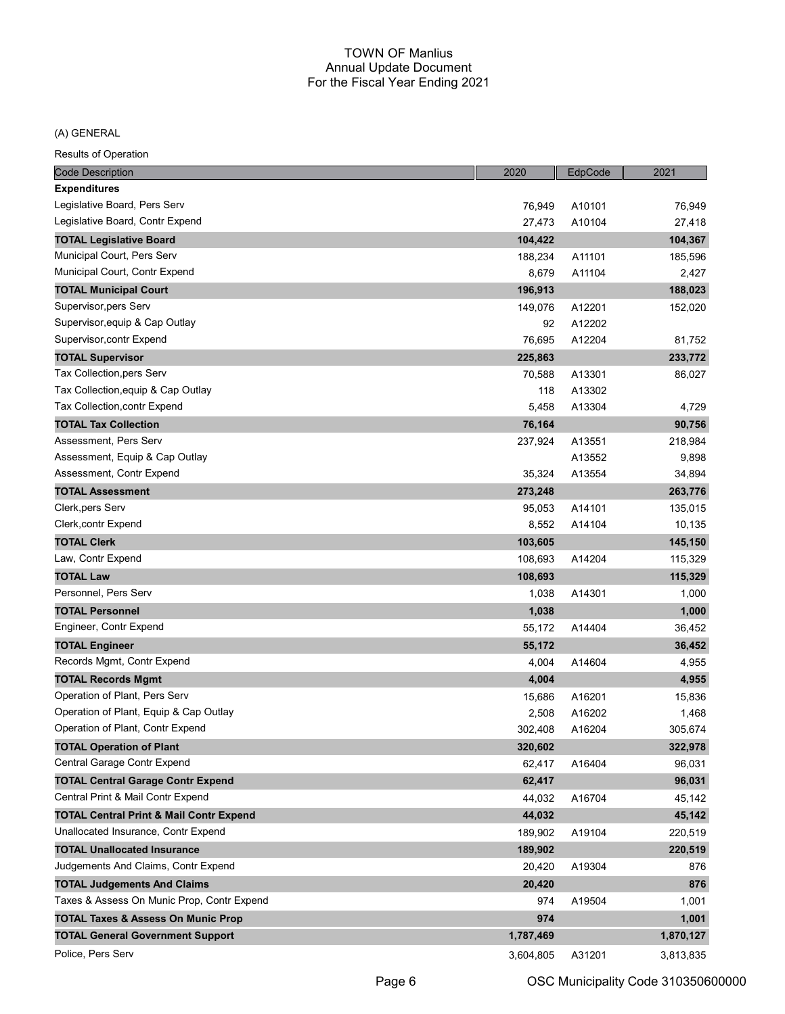#### (A) GENERAL

| <b>Code Description</b>                            | 2020      | EdpCode | 2021      |
|----------------------------------------------------|-----------|---------|-----------|
| <b>Expenditures</b>                                |           |         |           |
| Legislative Board, Pers Serv                       | 76,949    | A10101  | 76,949    |
| Legislative Board, Contr Expend                    | 27,473    | A10104  | 27,418    |
| <b>TOTAL Legislative Board</b>                     | 104,422   |         | 104,367   |
| Municipal Court, Pers Serv                         | 188,234   | A11101  | 185,596   |
| Municipal Court, Contr Expend                      | 8,679     | A11104  | 2,427     |
| <b>TOTAL Municipal Court</b>                       | 196,913   |         | 188,023   |
| Supervisor, pers Serv                              | 149,076   | A12201  | 152,020   |
| Supervisor, equip & Cap Outlay                     | 92        | A12202  |           |
| Supervisor, contr Expend                           | 76,695    | A12204  | 81,752    |
| <b>TOTAL Supervisor</b>                            | 225,863   |         | 233,772   |
| Tax Collection, pers Serv                          | 70,588    | A13301  | 86,027    |
| Tax Collection, equip & Cap Outlay                 | 118       | A13302  |           |
| Tax Collection, contr Expend                       | 5,458     | A13304  | 4,729     |
| <b>TOTAL Tax Collection</b>                        | 76,164    |         | 90,756    |
| Assessment, Pers Serv                              | 237,924   | A13551  | 218,984   |
| Assessment, Equip & Cap Outlay                     |           | A13552  | 9,898     |
| Assessment, Contr Expend                           | 35,324    | A13554  | 34,894    |
| <b>TOTAL Assessment</b>                            | 273,248   |         | 263,776   |
| Clerk, pers Serv                                   | 95,053    | A14101  | 135,015   |
| <b>Clerk,contr Expend</b>                          | 8,552     | A14104  | 10,135    |
| <b>TOTAL Clerk</b>                                 | 103,605   |         | 145,150   |
| Law, Contr Expend                                  | 108,693   | A14204  | 115,329   |
| <b>TOTAL Law</b>                                   | 108,693   |         | 115,329   |
| Personnel, Pers Serv                               | 1,038     | A14301  | 1,000     |
| <b>TOTAL Personnel</b>                             | 1,038     |         | 1,000     |
| Engineer, Contr Expend                             | 55,172    | A14404  | 36,452    |
| <b>TOTAL Engineer</b>                              | 55,172    |         | 36,452    |
| Records Mgmt, Contr Expend                         | 4,004     | A14604  | 4,955     |
| <b>TOTAL Records Mgmt</b>                          | 4,004     |         | 4,955     |
| Operation of Plant, Pers Serv                      | 15,686    | A16201  | 15,836    |
| Operation of Plant, Equip & Cap Outlay             | 2,508     | A16202  | 1,468     |
| Operation of Plant, Contr Expend                   | 302,408   | A16204  | 305,674   |
| <b>TOTAL Operation of Plant</b>                    | 320,602   |         | 322,978   |
| Central Garage Contr Expend                        | 62,417    | A16404  | 96,031    |
| <b>TOTAL Central Garage Contr Expend</b>           | 62,417    |         | 96,031    |
| Central Print & Mail Contr Expend                  | 44,032    | A16704  | 45,142    |
| <b>TOTAL Central Print &amp; Mail Contr Expend</b> | 44,032    |         | 45,142    |
| Unallocated Insurance, Contr Expend                | 189,902   | A19104  | 220,519   |
| <b>TOTAL Unallocated Insurance</b>                 | 189,902   |         | 220,519   |
| Judgements And Claims, Contr Expend                | 20,420    | A19304  | 876       |
| <b>TOTAL Judgements And Claims</b>                 | 20,420    |         | 876       |
| Taxes & Assess On Munic Prop, Contr Expend         | 974       | A19504  | 1,001     |
| <b>TOTAL Taxes &amp; Assess On Munic Prop</b>      | 974       |         | 1,001     |
| <b>TOTAL General Government Support</b>            | 1,787,469 |         | 1,870,127 |
| Police, Pers Serv                                  | 3,604,805 | A31201  | 3,813,835 |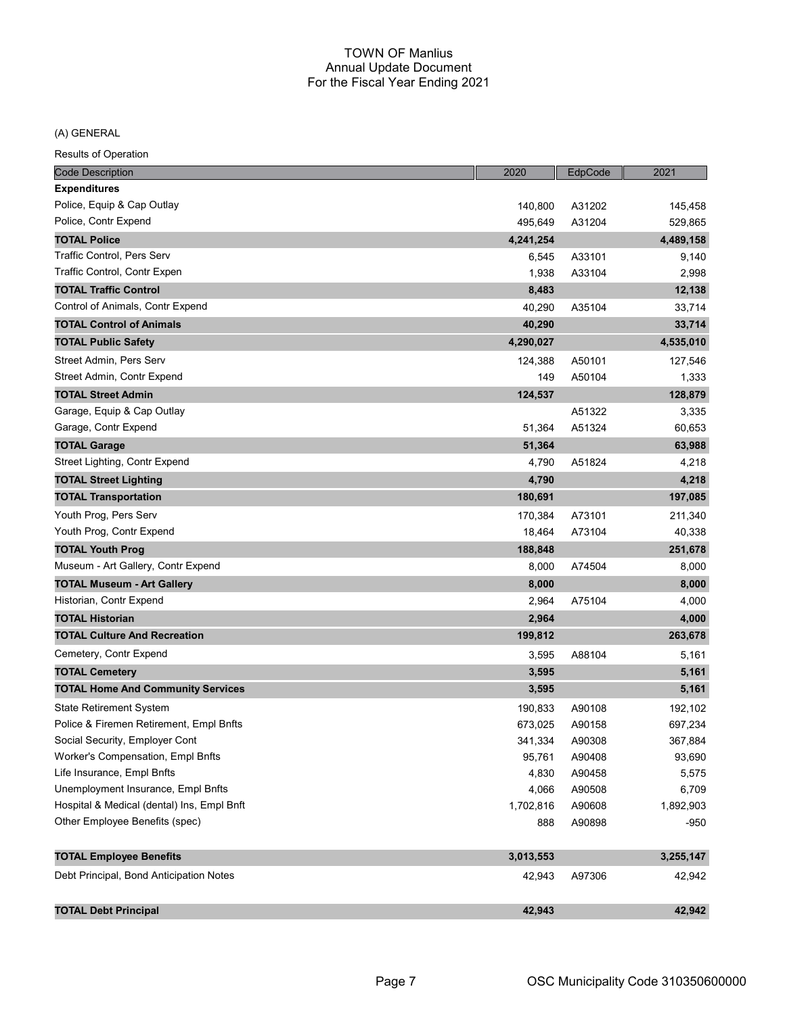(A) GENERAL

| <b>Code Description</b>                    | 2020      | EdpCode | 2021      |
|--------------------------------------------|-----------|---------|-----------|
| <b>Expenditures</b>                        |           |         |           |
| Police, Equip & Cap Outlay                 | 140,800   | A31202  | 145,458   |
| Police, Contr Expend                       | 495,649   | A31204  | 529,865   |
| <b>TOTAL Police</b>                        | 4,241,254 |         | 4,489,158 |
| Traffic Control, Pers Serv                 | 6,545     | A33101  | 9,140     |
| Traffic Control, Contr Expen               | 1,938     | A33104  | 2,998     |
| <b>TOTAL Traffic Control</b>               | 8,483     |         | 12,138    |
| Control of Animals, Contr Expend           | 40,290    | A35104  | 33,714    |
| <b>TOTAL Control of Animals</b>            | 40,290    |         | 33,714    |
| <b>TOTAL Public Safety</b>                 | 4,290,027 |         | 4,535,010 |
| Street Admin, Pers Serv                    | 124,388   | A50101  | 127,546   |
| Street Admin, Contr Expend                 | 149       | A50104  | 1,333     |
| <b>TOTAL Street Admin</b>                  | 124,537   |         | 128,879   |
| Garage, Equip & Cap Outlay                 |           | A51322  | 3,335     |
| Garage, Contr Expend                       | 51,364    | A51324  | 60,653    |
| <b>TOTAL Garage</b>                        | 51,364    |         | 63,988    |
| Street Lighting, Contr Expend              | 4,790     | A51824  | 4,218     |
| <b>TOTAL Street Lighting</b>               | 4,790     |         | 4,218     |
| <b>TOTAL Transportation</b>                | 180,691   |         | 197,085   |
| Youth Prog, Pers Serv                      | 170,384   | A73101  | 211,340   |
| Youth Prog, Contr Expend                   | 18,464    | A73104  | 40,338    |
| <b>TOTAL Youth Prog</b>                    | 188,848   |         | 251,678   |
| Museum - Art Gallery, Contr Expend         | 8,000     | A74504  | 8,000     |
| <b>TOTAL Museum - Art Gallery</b>          | 8,000     |         | 8,000     |
| Historian, Contr Expend                    | 2,964     | A75104  | 4,000     |
| <b>TOTAL Historian</b>                     | 2,964     |         | 4,000     |
| <b>TOTAL Culture And Recreation</b>        | 199,812   |         | 263,678   |
| Cemetery, Contr Expend                     | 3,595     | A88104  | 5,161     |
| <b>TOTAL Cemetery</b>                      | 3,595     |         | 5,161     |
| <b>TOTAL Home And Community Services</b>   | 3,595     |         | 5,161     |
| State Retirement System                    | 190,833   | A90108  | 192,102   |
| Police & Firemen Retirement, Empl Bnfts    | 673,025   | A90158  | 697,234   |
| Social Security, Employer Cont             | 341,334   | A90308  | 367,884   |
| Worker's Compensation, Empl Bnfts          | 95,761    | A90408  | 93,690    |
| Life Insurance, Empl Bnfts                 | 4,830     | A90458  | 5,575     |
| Unemployment Insurance, Empl Bnfts         | 4,066     | A90508  | 6,709     |
| Hospital & Medical (dental) Ins, Empl Bnft | 1,702,816 | A90608  | 1,892,903 |
| Other Employee Benefits (spec)             | 888       | A90898  | $-950$    |
|                                            |           |         |           |
| <b>TOTAL Employee Benefits</b>             | 3,013,553 |         | 3,255,147 |
| Debt Principal, Bond Anticipation Notes    | 42,943    | A97306  | 42,942    |
| <b>TOTAL Debt Principal</b>                | 42,943    |         | 42,942    |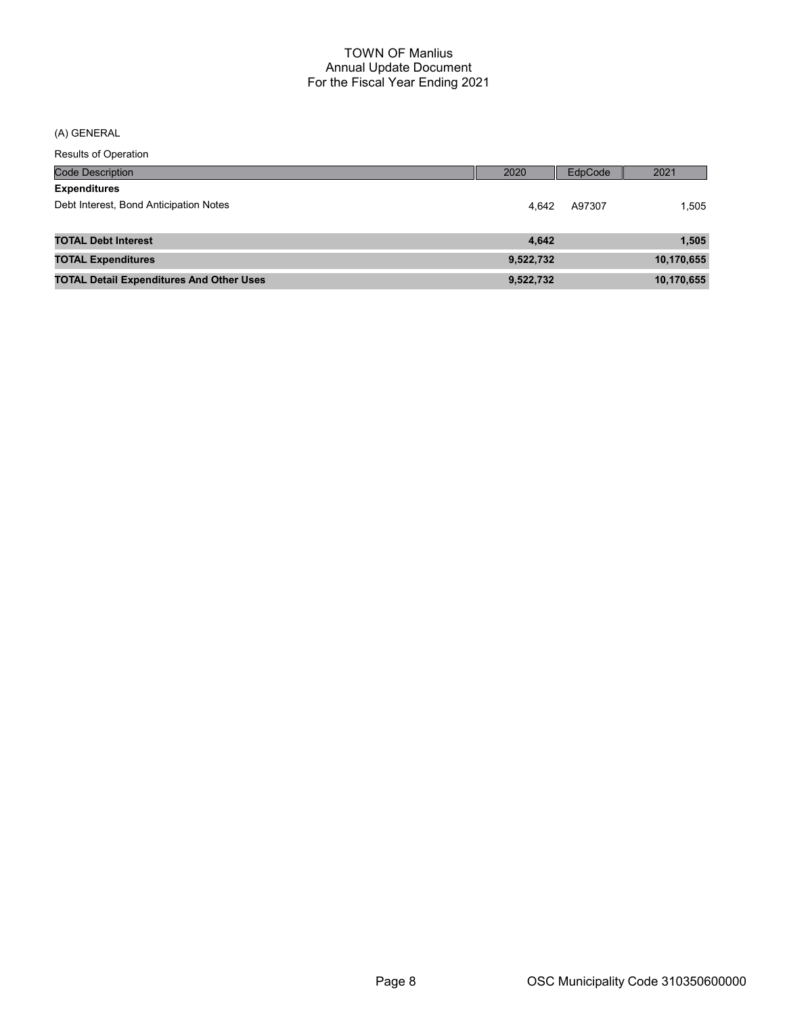(A) GENERAL

| <b>Code Description</b>                         | 2020      | EdpCode | 2021       |
|-------------------------------------------------|-----------|---------|------------|
| <b>Expenditures</b>                             |           |         |            |
| Debt Interest, Bond Anticipation Notes          | 4.642     | A97307  | 1.505      |
|                                                 |           |         |            |
| <b>TOTAL Debt Interest</b>                      | 4.642     |         | 1,505      |
| <b>TOTAL Expenditures</b>                       | 9,522,732 |         | 10,170,655 |
| <b>TOTAL Detail Expenditures And Other Uses</b> | 9,522,732 |         | 10,170,655 |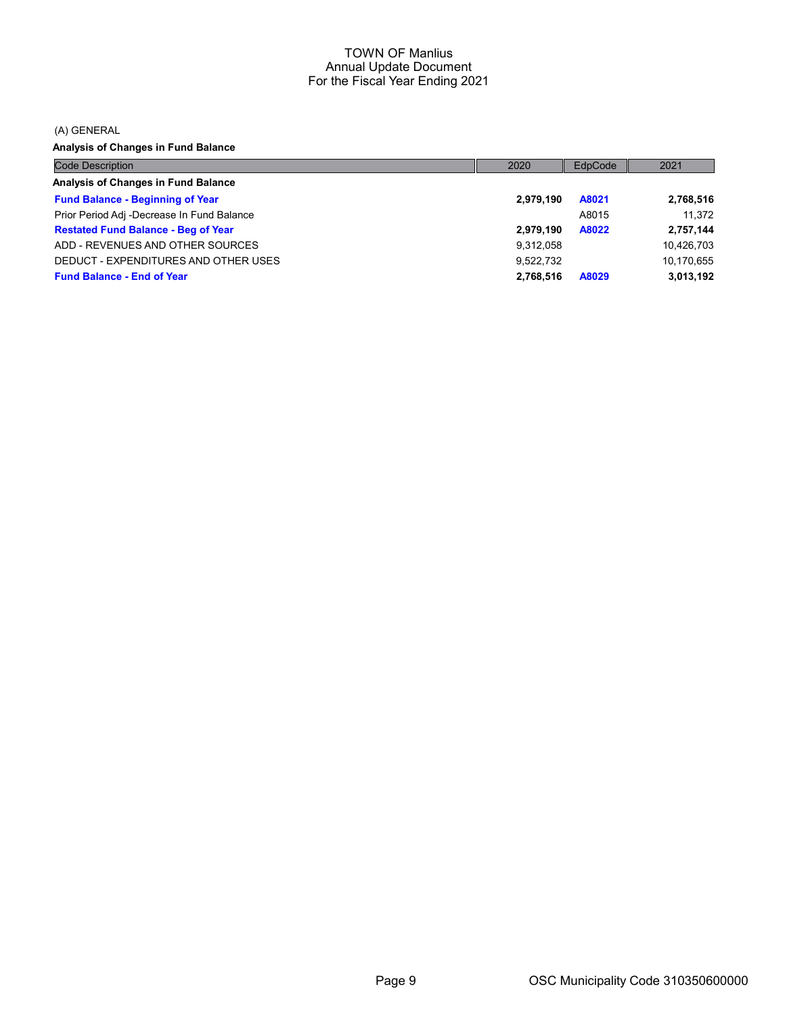(A) GENERAL

Analysis of Changes in Fund Balance

| <b>Code Description</b>                    | 2020      | EdpCode | 2021       |
|--------------------------------------------|-----------|---------|------------|
| Analysis of Changes in Fund Balance        |           |         |            |
| <b>Fund Balance - Beginning of Year</b>    | 2,979,190 | A8021   | 2,768,516  |
| Prior Period Adj -Decrease In Fund Balance |           | A8015   | 11.372     |
| <b>Restated Fund Balance - Beg of Year</b> | 2,979,190 | A8022   | 2,757,144  |
| ADD - REVENUES AND OTHER SOURCES           | 9,312,058 |         | 10,426,703 |
| DEDUCT - EXPENDITURES AND OTHER USES       | 9.522.732 |         | 10,170,655 |
| <b>Fund Balance - End of Year</b>          | 2.768.516 | A8029   | 3.013.192  |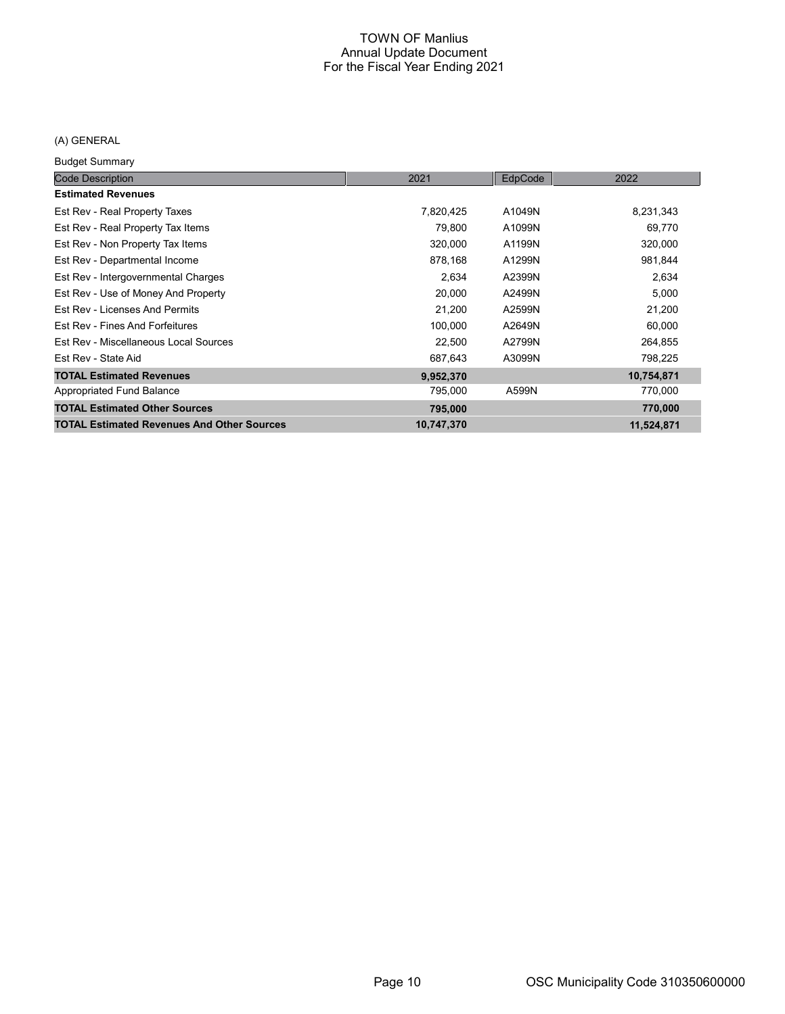# (A) GENERAL

Budget Summary

| Duuyut Ouriniur y                                 |            |         |            |
|---------------------------------------------------|------------|---------|------------|
| <b>Code Description</b>                           | 2021       | EdpCode | 2022       |
| <b>Estimated Revenues</b>                         |            |         |            |
| Est Rev - Real Property Taxes                     | 7,820,425  | A1049N  | 8,231,343  |
| Est Rev - Real Property Tax Items                 | 79,800     | A1099N  | 69,770     |
| Est Rev - Non Property Tax Items                  | 320,000    | A1199N  | 320,000    |
| Est Rev - Departmental Income                     | 878,168    | A1299N  | 981,844    |
| Est Rev - Intergovernmental Charges               | 2,634      | A2399N  | 2,634      |
| Est Rev - Use of Money And Property               | 20,000     | A2499N  | 5,000      |
| Est Rev - Licenses And Permits                    | 21,200     | A2599N  | 21,200     |
| Est Rev - Fines And Forfeitures                   | 100,000    | A2649N  | 60,000     |
| Est Rev - Miscellaneous Local Sources             | 22,500     | A2799N  | 264,855    |
| Est Rev - State Aid                               | 687,643    | A3099N  | 798,225    |
| <b>TOTAL Estimated Revenues</b>                   | 9,952,370  |         | 10,754,871 |
| Appropriated Fund Balance                         | 795,000    | A599N   | 770,000    |
| <b>TOTAL Estimated Other Sources</b>              | 795,000    |         | 770,000    |
| <b>TOTAL Estimated Revenues And Other Sources</b> | 10,747,370 |         | 11,524,871 |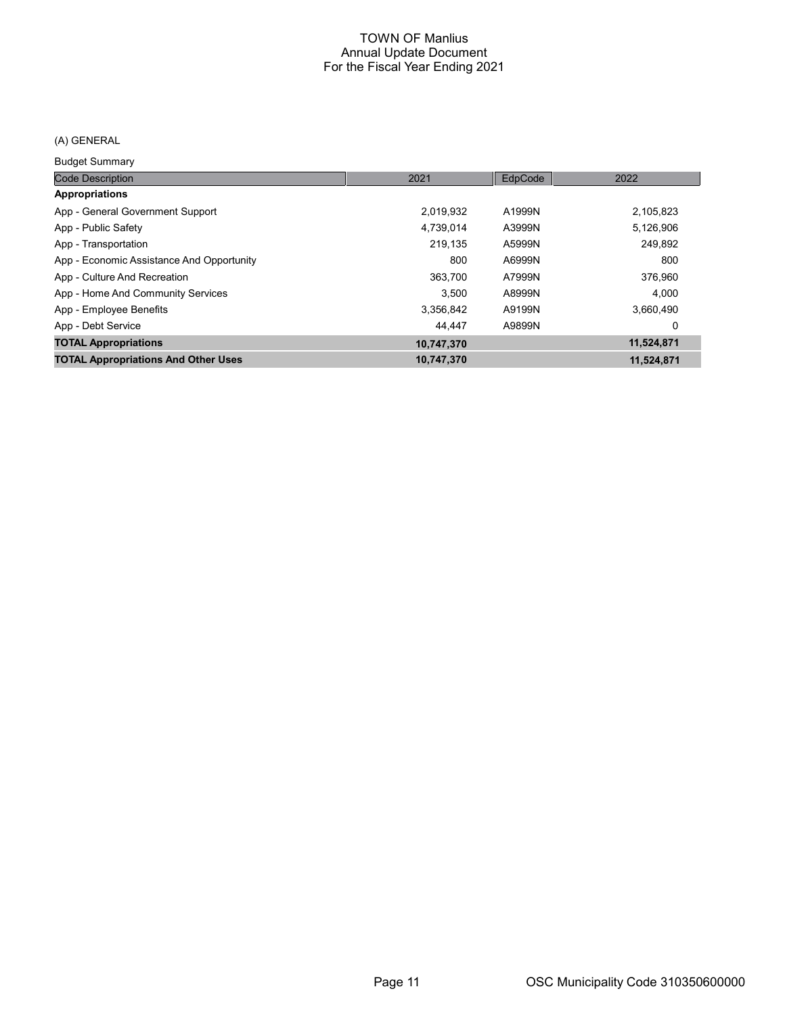# (A) GENERAL

Budget Summary

| <b>Code Description</b>                    | 2021       | EdpCode | 2022       |
|--------------------------------------------|------------|---------|------------|
| Appropriations                             |            |         |            |
| App - General Government Support           | 2,019,932  | A1999N  | 2,105,823  |
| App - Public Safety                        | 4,739,014  | A3999N  | 5,126,906  |
| App - Transportation                       | 219.135    | A5999N  | 249,892    |
| App - Economic Assistance And Opportunity  | 800        | A6999N  | 800        |
| App - Culture And Recreation               | 363.700    | A7999N  | 376,960    |
| App - Home And Community Services          | 3.500      | A8999N  | 4.000      |
| App - Employee Benefits                    | 3,356,842  | A9199N  | 3,660,490  |
| App - Debt Service                         | 44.447     | A9899N  | 0          |
| <b>TOTAL Appropriations</b>                | 10,747,370 |         | 11,524,871 |
| <b>TOTAL Appropriations And Other Uses</b> | 10,747,370 |         | 11,524,871 |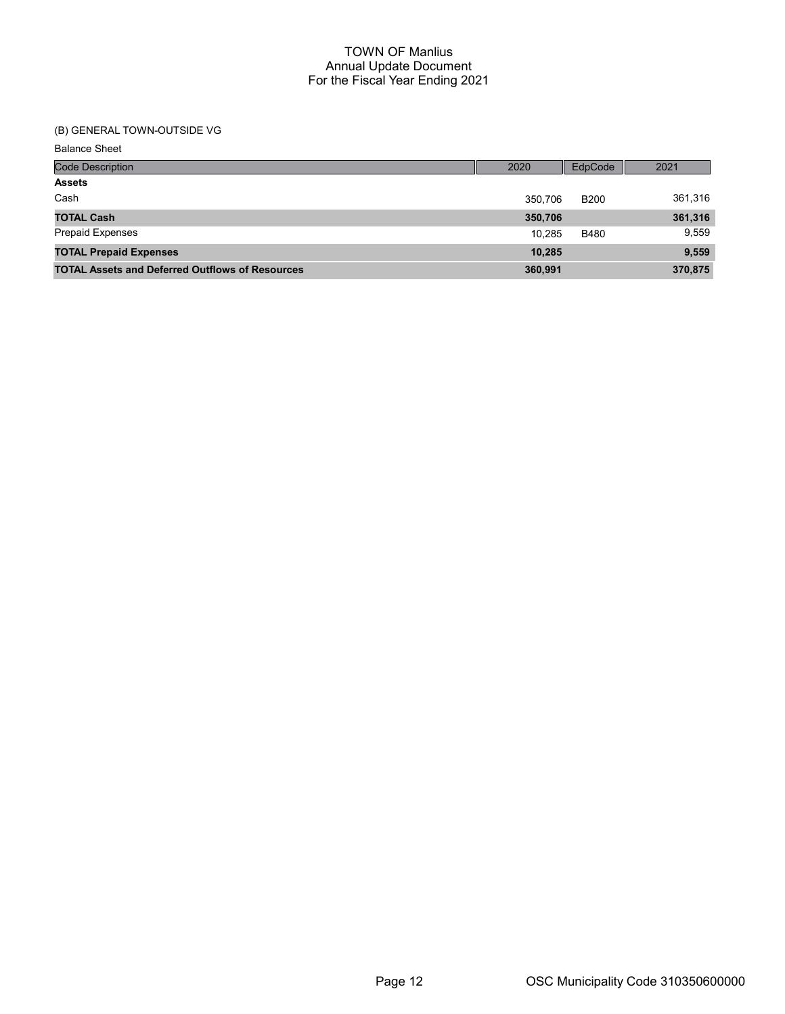# (B) GENERAL TOWN-OUTSIDE VG

Balance Sheet

| <b>Code Description</b>                                | 2020    | EdpCode     | 2021    |
|--------------------------------------------------------|---------|-------------|---------|
| <b>Assets</b>                                          |         |             |         |
| Cash                                                   | 350.706 | <b>B200</b> | 361,316 |
| <b>TOTAL Cash</b>                                      | 350,706 |             | 361,316 |
| <b>Prepaid Expenses</b>                                | 10.285  | <b>B480</b> | 9,559   |
| <b>TOTAL Prepaid Expenses</b>                          | 10.285  |             | 9,559   |
| <b>TOTAL Assets and Deferred Outflows of Resources</b> | 360,991 |             | 370,875 |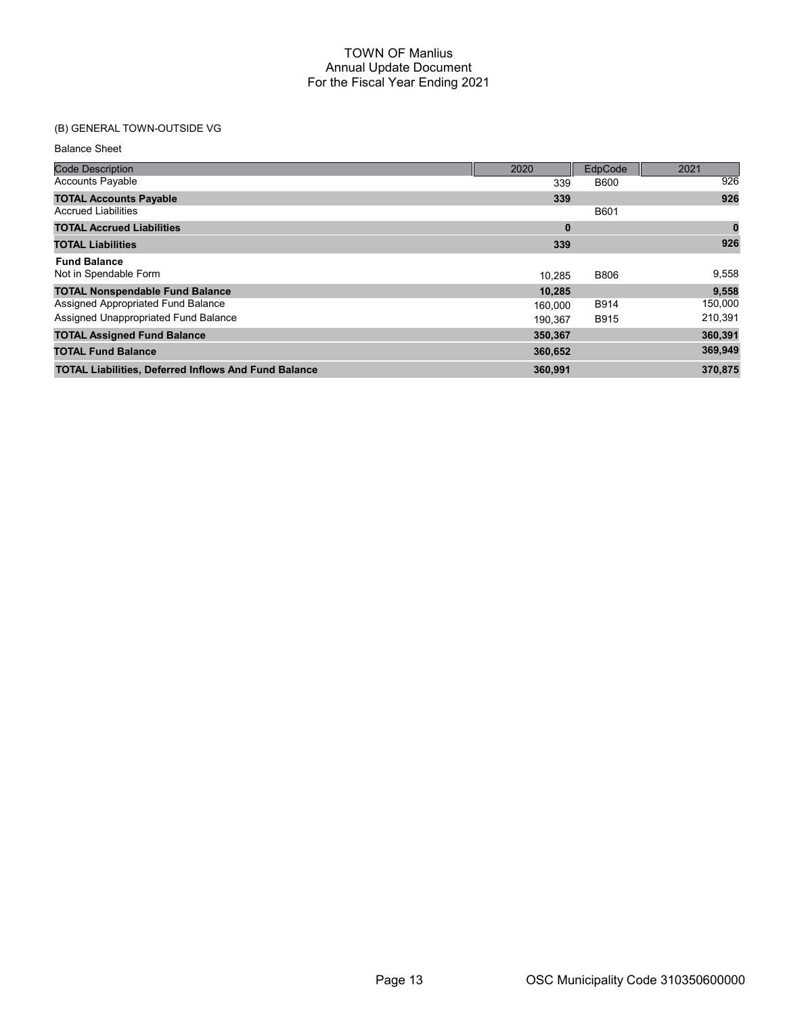# (B) GENERAL TOWN-OUTSIDE VG

Balance Sheet

| <b>Code Description</b>                                     | 2020     | EdpCode     | 2021     |
|-------------------------------------------------------------|----------|-------------|----------|
| <b>Accounts Payable</b>                                     | 339      | <b>B600</b> | 926      |
| <b>TOTAL Accounts Payable</b>                               | 339      |             | 926      |
| <b>Accrued Liabilities</b>                                  |          | B601        |          |
| <b>TOTAL Accrued Liabilities</b>                            | $\bf{0}$ |             | $\bf{0}$ |
| <b>TOTAL Liabilities</b>                                    | 339      |             | 926      |
| <b>Fund Balance</b>                                         |          |             |          |
| Not in Spendable Form                                       | 10.285   | <b>B806</b> | 9,558    |
| <b>TOTAL Nonspendable Fund Balance</b>                      | 10,285   |             | 9,558    |
| Assigned Appropriated Fund Balance                          | 160,000  | B914        | 150,000  |
| Assigned Unappropriated Fund Balance                        | 190.367  | <b>B915</b> | 210,391  |
| <b>TOTAL Assigned Fund Balance</b>                          | 350,367  |             | 360,391  |
| <b>TOTAL Fund Balance</b>                                   | 360,652  |             | 369,949  |
| <b>TOTAL Liabilities, Deferred Inflows And Fund Balance</b> | 360,991  |             | 370,875  |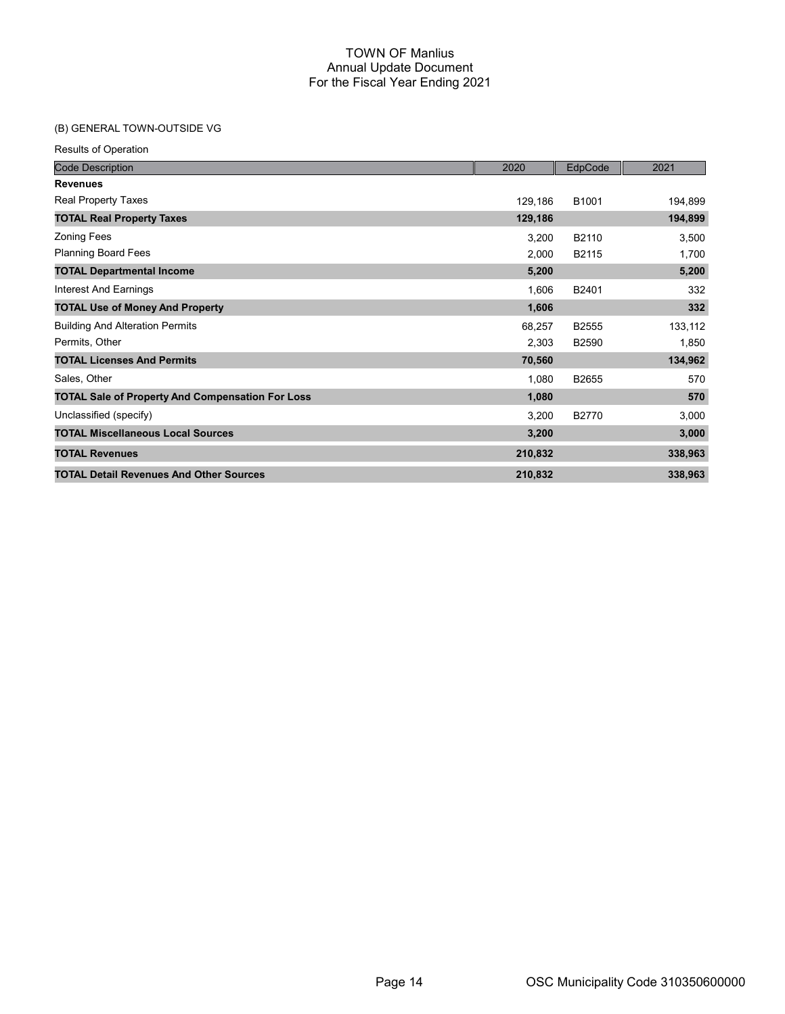# (B) GENERAL TOWN-OUTSIDE VG

| <b>Code Description</b>                                 | 2020    | EdpCode | 2021    |
|---------------------------------------------------------|---------|---------|---------|
| <b>Revenues</b>                                         |         |         |         |
| <b>Real Property Taxes</b>                              | 129,186 | B1001   | 194,899 |
| <b>TOTAL Real Property Taxes</b>                        | 129,186 |         | 194,899 |
| <b>Zoning Fees</b>                                      | 3,200   | B2110   | 3,500   |
| <b>Planning Board Fees</b>                              | 2,000   | B2115   | 1,700   |
| <b>TOTAL Departmental Income</b>                        | 5,200   |         | 5,200   |
| Interest And Earnings                                   | 1,606   | B2401   | 332     |
| <b>TOTAL Use of Money And Property</b>                  | 1,606   |         | 332     |
| <b>Building And Alteration Permits</b>                  | 68,257  | B2555   | 133,112 |
| Permits, Other                                          | 2,303   | B2590   | 1,850   |
| <b>TOTAL Licenses And Permits</b>                       | 70,560  |         | 134,962 |
| Sales, Other                                            | 1,080   | B2655   | 570     |
| <b>TOTAL Sale of Property And Compensation For Loss</b> | 1,080   |         | 570     |
| Unclassified (specify)                                  | 3,200   | B2770   | 3,000   |
| <b>TOTAL Miscellaneous Local Sources</b>                | 3,200   |         | 3,000   |
| <b>TOTAL Revenues</b>                                   | 210,832 |         | 338,963 |
| <b>TOTAL Detail Revenues And Other Sources</b>          | 210,832 |         | 338,963 |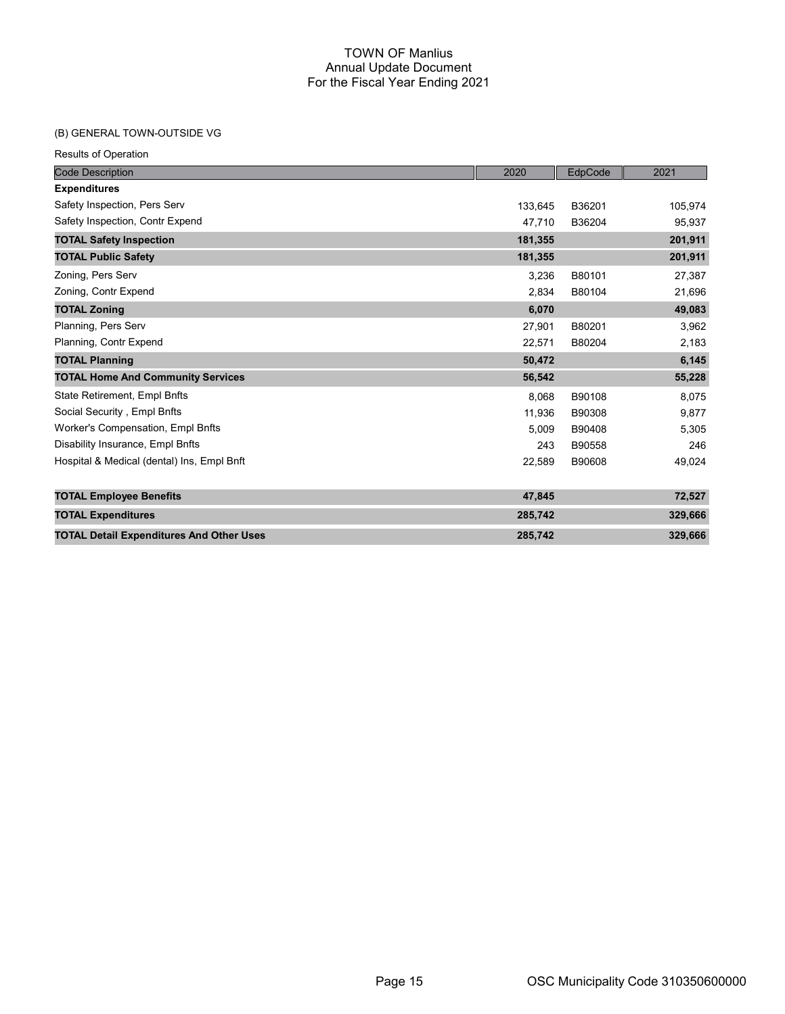## (B) GENERAL TOWN-OUTSIDE VG

| <b>Code Description</b>                         | 2020    | EdpCode | 2021    |
|-------------------------------------------------|---------|---------|---------|
| <b>Expenditures</b>                             |         |         |         |
| Safety Inspection, Pers Serv                    | 133,645 | B36201  | 105,974 |
| Safety Inspection, Contr Expend                 | 47,710  | B36204  | 95,937  |
| <b>TOTAL Safety Inspection</b>                  | 181,355 |         | 201,911 |
| <b>TOTAL Public Safety</b>                      | 181,355 |         | 201,911 |
| Zoning, Pers Serv                               | 3,236   | B80101  | 27,387  |
| Zoning, Contr Expend                            | 2,834   | B80104  | 21,696  |
| <b>TOTAL Zoning</b>                             | 6,070   |         | 49,083  |
| Planning, Pers Serv                             | 27,901  | B80201  | 3,962   |
| Planning, Contr Expend                          | 22,571  | B80204  | 2,183   |
| <b>TOTAL Planning</b>                           | 50,472  |         | 6,145   |
| <b>TOTAL Home And Community Services</b>        | 56,542  |         | 55,228  |
| State Retirement, Empl Bnfts                    | 8,068   | B90108  | 8,075   |
| Social Security, Empl Bnfts                     | 11,936  | B90308  | 9,877   |
| Worker's Compensation, Empl Bnfts               | 5,009   | B90408  | 5,305   |
| Disability Insurance, Empl Bnfts                | 243     | B90558  | 246     |
| Hospital & Medical (dental) Ins, Empl Bnft      | 22,589  | B90608  | 49,024  |
| <b>TOTAL Employee Benefits</b>                  | 47,845  |         | 72,527  |
| <b>TOTAL Expenditures</b>                       | 285,742 |         | 329,666 |
| <b>TOTAL Detail Expenditures And Other Uses</b> | 285,742 |         | 329,666 |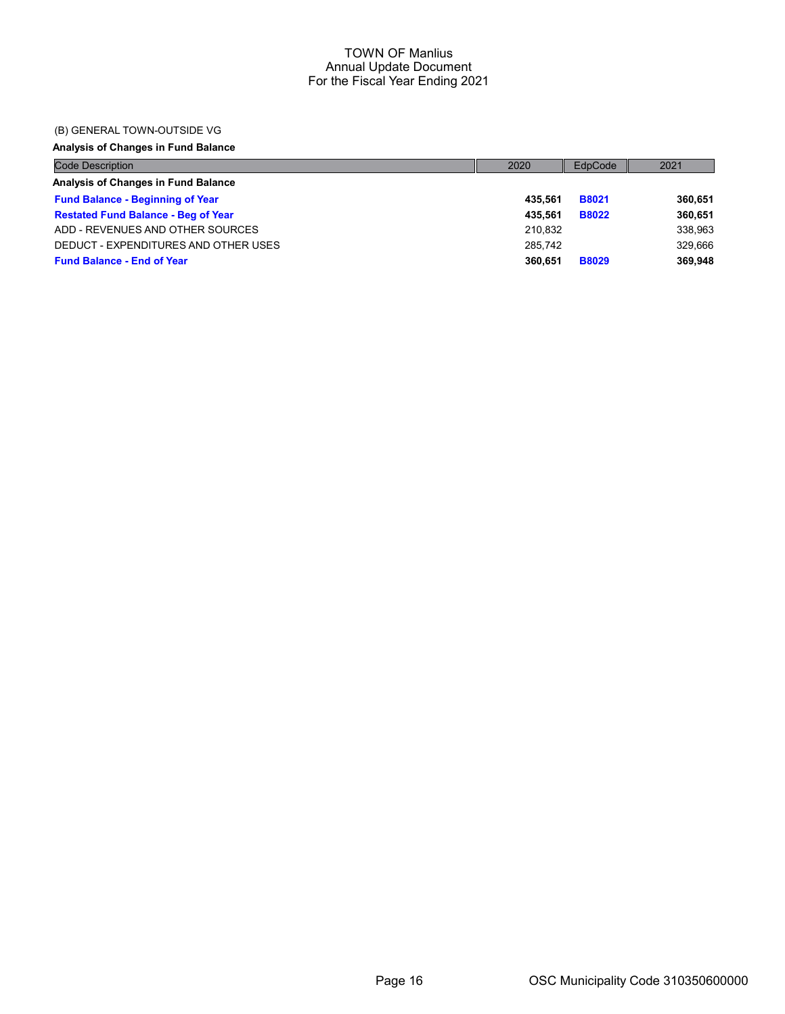## (B) GENERAL TOWN-OUTSIDE VG

# Analysis of Changes in Fund Balance

| <b>Code Description</b>                    | 2020    | EdpCode      | 2021    |
|--------------------------------------------|---------|--------------|---------|
| Analysis of Changes in Fund Balance        |         |              |         |
| <b>Fund Balance - Beginning of Year</b>    | 435.561 | <b>B8021</b> | 360.651 |
| <b>Restated Fund Balance - Beg of Year</b> | 435.561 | <b>B8022</b> | 360.651 |
| ADD - REVENUES AND OTHER SOURCES           | 210.832 |              | 338,963 |
| DEDUCT - EXPENDITURES AND OTHER USES       | 285.742 |              | 329.666 |
| <b>Fund Balance - End of Year</b>          | 360.651 | <b>B8029</b> | 369.948 |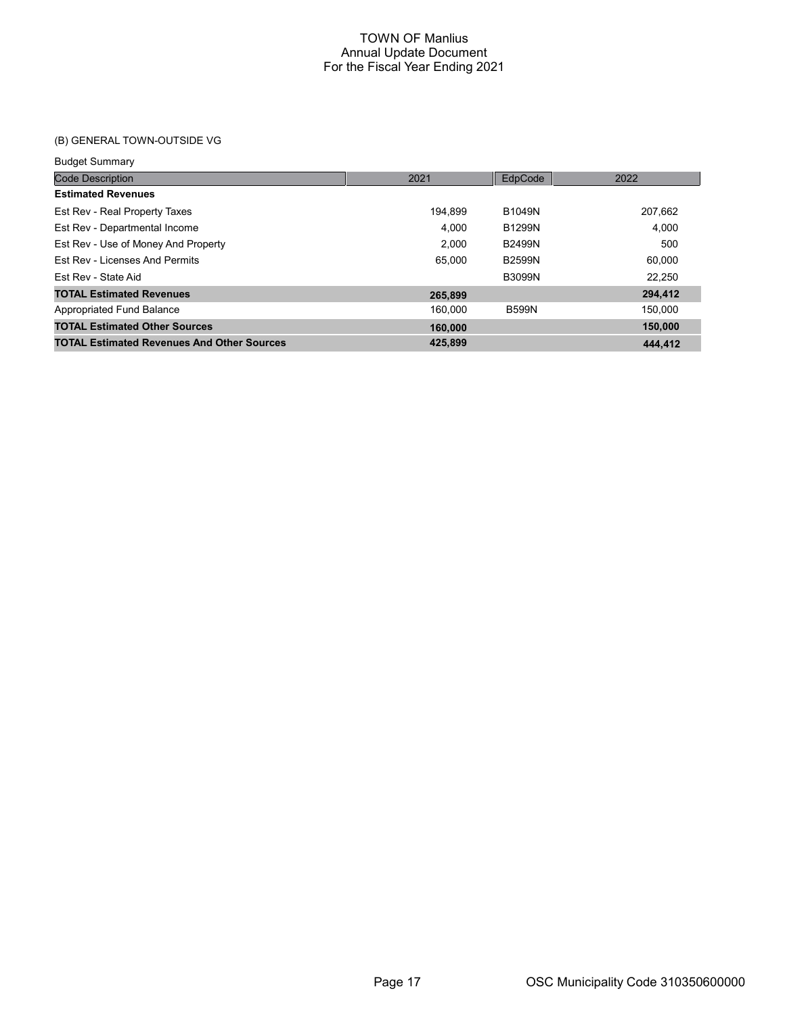# (B) GENERAL TOWN-OUTSIDE VG

#### Budget Summary

| <b>Code Description</b>                           | 2021    | EdpCode       | 2022    |
|---------------------------------------------------|---------|---------------|---------|
| <b>Estimated Revenues</b>                         |         |               |         |
| Est Rev - Real Property Taxes                     | 194.899 | B1049N        | 207,662 |
| Est Rev - Departmental Income                     | 4.000   | B1299N        | 4.000   |
| Est Rev - Use of Money And Property               | 2.000   | <b>B2499N</b> | 500     |
| Est Rev - Licenses And Permits                    | 65.000  | <b>B2599N</b> | 60.000  |
| Est Rev - State Aid                               |         | <b>B3099N</b> | 22.250  |
| <b>TOTAL Estimated Revenues</b>                   | 265.899 |               | 294,412 |
| Appropriated Fund Balance                         | 160.000 | <b>B599N</b>  | 150.000 |
| <b>TOTAL Estimated Other Sources</b>              | 160,000 |               | 150,000 |
| <b>TOTAL Estimated Revenues And Other Sources</b> | 425.899 |               | 444.412 |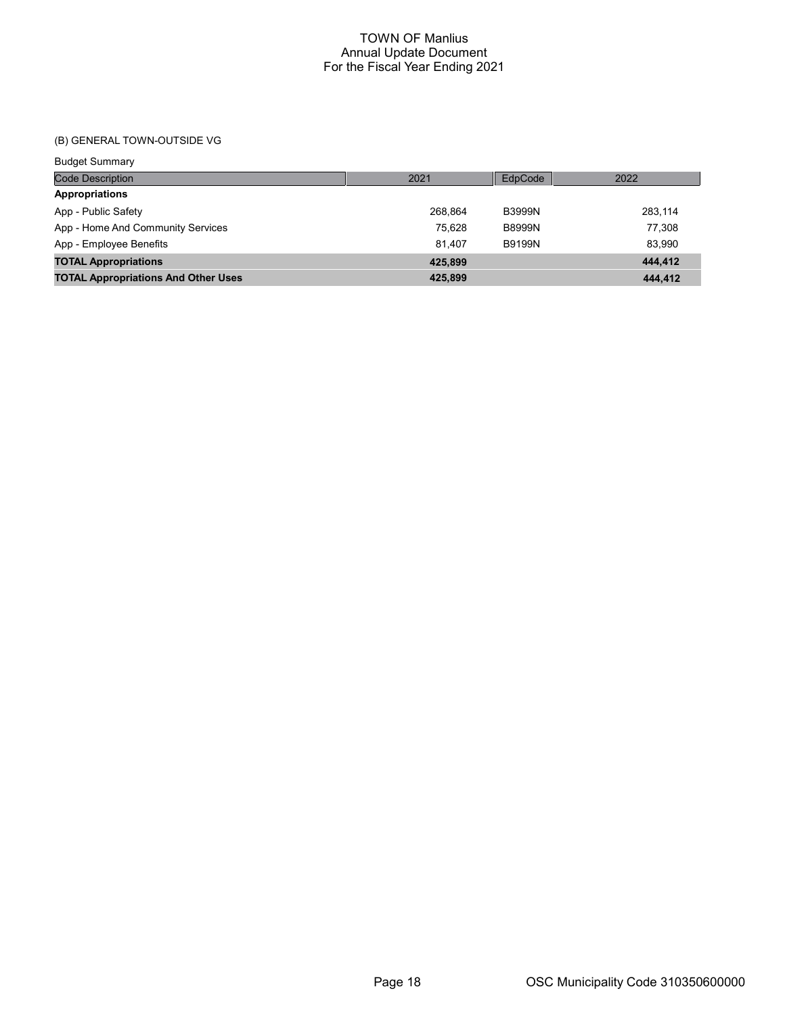# (B) GENERAL TOWN-OUTSIDE VG

Budget Summary

| <b>Code Description</b>                    | 2021    | EdpCode       | 2022    |
|--------------------------------------------|---------|---------------|---------|
| <b>Appropriations</b>                      |         |               |         |
| App - Public Safety                        | 268.864 | <b>B3999N</b> | 283,114 |
| App - Home And Community Services          | 75.628  | <b>B8999N</b> | 77.308  |
| App - Employee Benefits                    | 81.407  | <b>B9199N</b> | 83,990  |
| <b>TOTAL Appropriations</b>                | 425.899 |               | 444,412 |
| <b>TOTAL Appropriations And Other Uses</b> | 425.899 |               | 444.412 |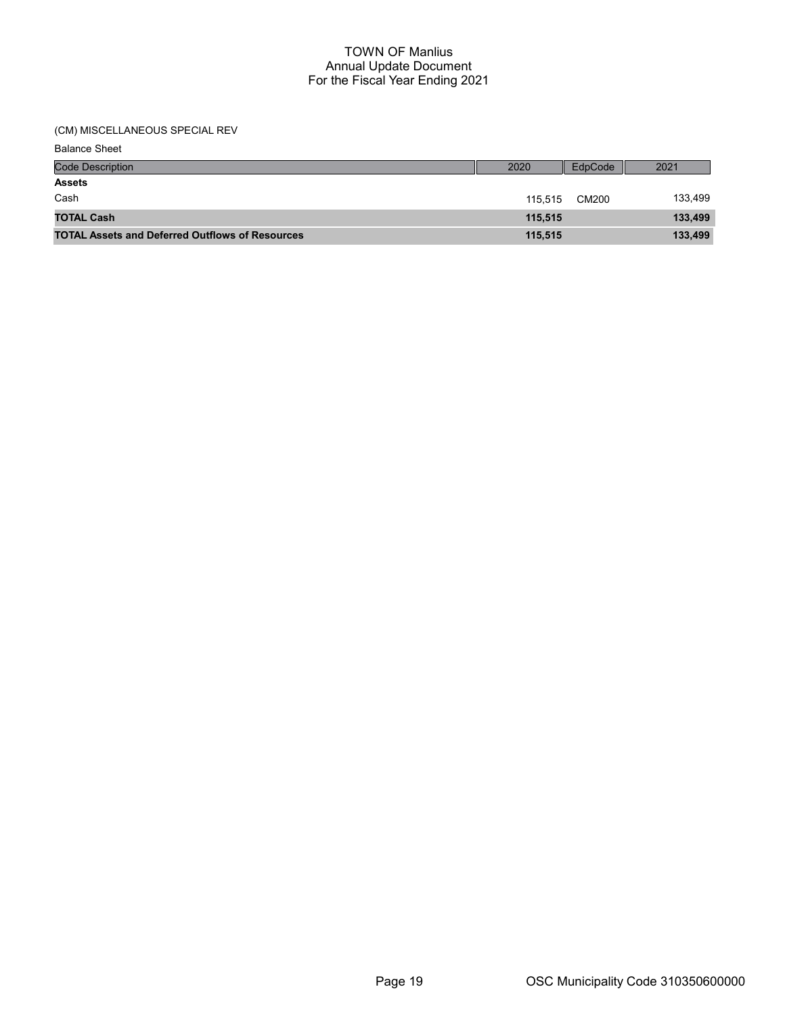(CM) MISCELLANEOUS SPECIAL REV

| <b>Balance Sheet</b>                                   |         |         |         |
|--------------------------------------------------------|---------|---------|---------|
| <b>Code Description</b>                                | 2020    | EdpCode | 2021    |
| <b>Assets</b>                                          |         |         |         |
| Cash                                                   | 115.515 | CM200   | 133,499 |
| <b>TOTAL Cash</b>                                      | 115.515 |         | 133,499 |
| <b>TOTAL Assets and Deferred Outflows of Resources</b> | 115,515 |         | 133,499 |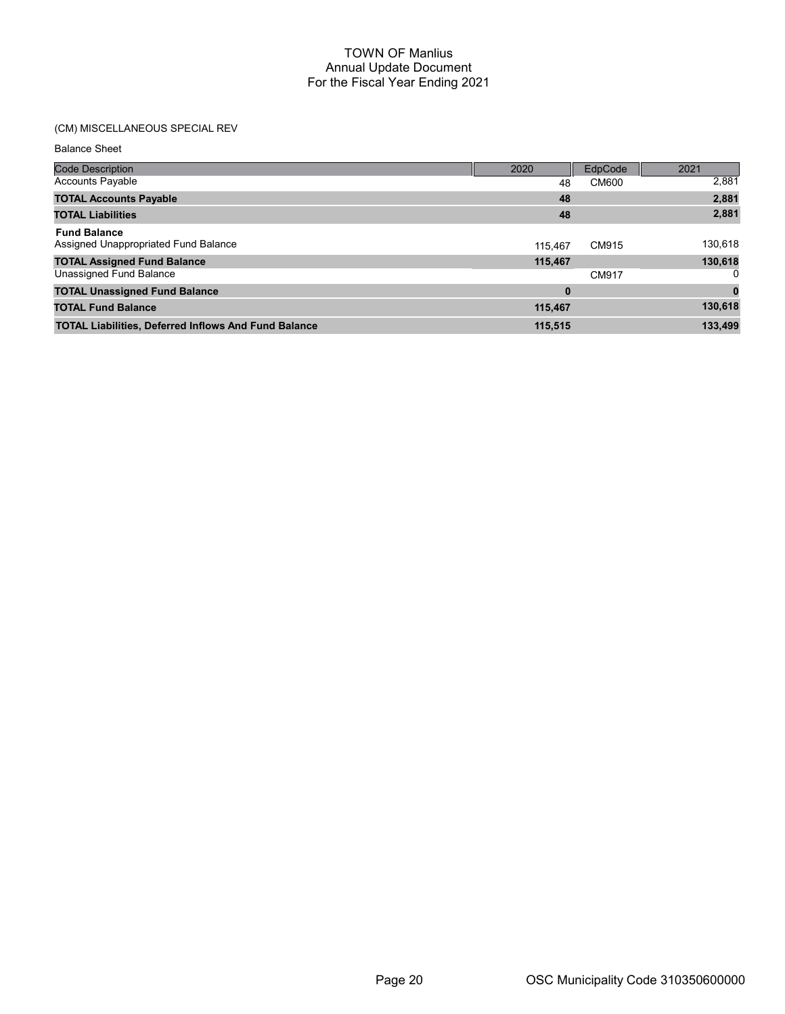# (CM) MISCELLANEOUS SPECIAL REV

Balance Sheet

| <b>Code Description</b>                                     | 2020     | EdpCode | 2021    |
|-------------------------------------------------------------|----------|---------|---------|
| Accounts Payable                                            | 48       | CM600   | 2,881   |
| <b>TOTAL Accounts Payable</b>                               | 48       |         | 2,881   |
| <b>TOTAL Liabilities</b>                                    | 48       |         | 2,881   |
| <b>Fund Balance</b><br>Assigned Unappropriated Fund Balance | 115.467  | CM915   | 130,618 |
| <b>TOTAL Assigned Fund Balance</b>                          | 115,467  |         | 130,618 |
| Unassigned Fund Balance                                     |          | CM917   |         |
| <b>TOTAL Unassigned Fund Balance</b>                        | $\bf{0}$ |         |         |
| <b>TOTAL Fund Balance</b>                                   | 115,467  |         | 130,618 |
| <b>TOTAL Liabilities, Deferred Inflows And Fund Balance</b> | 115,515  |         | 133,499 |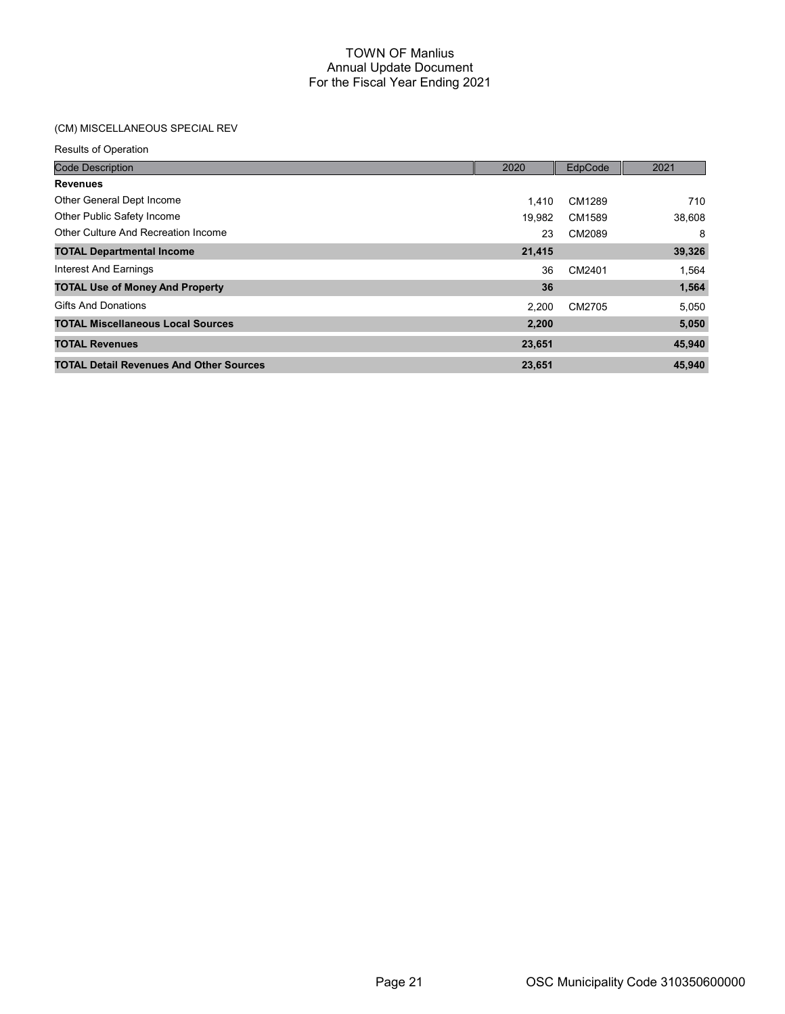# (CM) MISCELLANEOUS SPECIAL REV

| <b>Code Description</b>                        | 2020   | EdpCode | 2021   |
|------------------------------------------------|--------|---------|--------|
| <b>Revenues</b>                                |        |         |        |
| Other General Dept Income                      | 1.410  | CM1289  | 710    |
| Other Public Safety Income                     | 19,982 | CM1589  | 38,608 |
| Other Culture And Recreation Income            | 23     | CM2089  | 8      |
| <b>TOTAL Departmental Income</b>               | 21,415 |         | 39,326 |
| Interest And Earnings                          | 36     | CM2401  | 1,564  |
| <b>TOTAL Use of Money And Property</b>         | 36     |         | 1,564  |
| <b>Gifts And Donations</b>                     | 2.200  | CM2705  | 5,050  |
| <b>TOTAL Miscellaneous Local Sources</b>       | 2,200  |         | 5,050  |
| <b>TOTAL Revenues</b>                          | 23,651 |         | 45,940 |
| <b>TOTAL Detail Revenues And Other Sources</b> | 23,651 |         | 45,940 |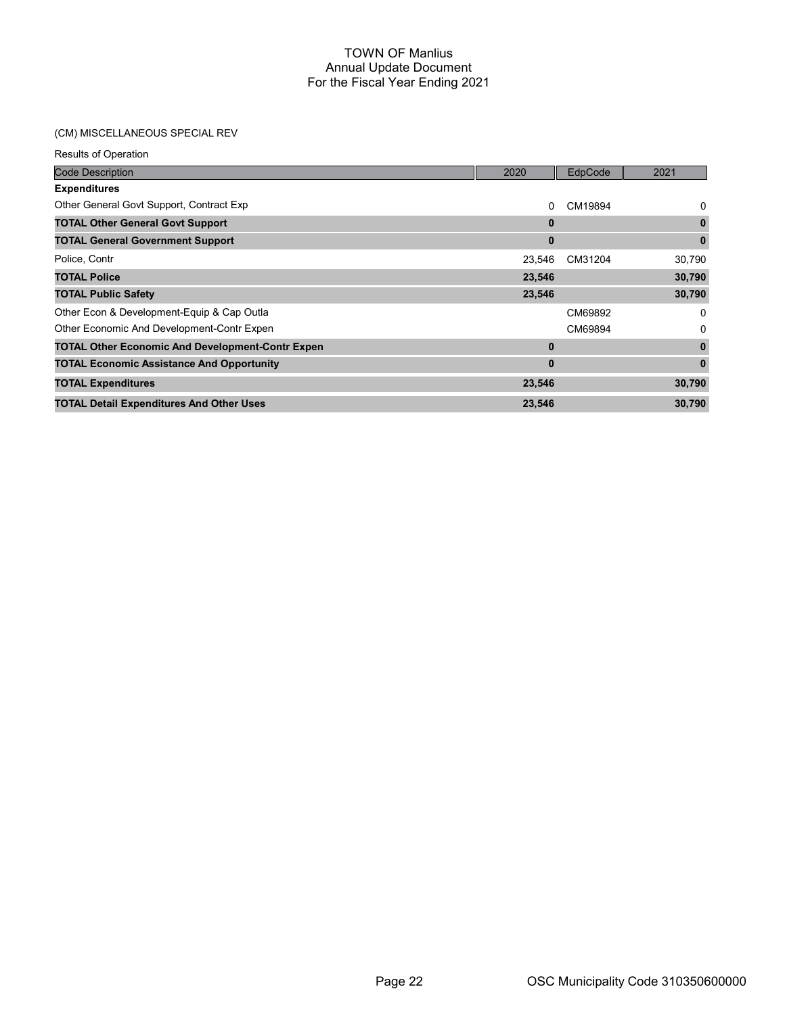## (CM) MISCELLANEOUS SPECIAL REV

| Results of Operation                                    |              |         |              |
|---------------------------------------------------------|--------------|---------|--------------|
| <b>Code Description</b>                                 | 2020         | EdpCode | 2021         |
| <b>Expenditures</b>                                     |              |         |              |
| Other General Govt Support, Contract Exp                | 0            | CM19894 | 0            |
| <b>TOTAL Other General Govt Support</b>                 | $\bf{0}$     |         | $\mathbf 0$  |
| <b>TOTAL General Government Support</b>                 | $\mathbf{0}$ |         | $\mathbf{0}$ |
| Police, Contr                                           | 23,546       | CM31204 | 30,790       |
| <b>TOTAL Police</b>                                     | 23,546       |         | 30,790       |
| <b>TOTAL Public Safety</b>                              | 23,546       |         | 30,790       |
| Other Econ & Development-Equip & Cap Outla              |              | CM69892 | 0            |
| Other Economic And Development-Contr Expen              |              | CM69894 | 0            |
| <b>TOTAL Other Economic And Development-Contr Expen</b> | $\bf{0}$     |         | $\mathbf{0}$ |
| <b>TOTAL Economic Assistance And Opportunity</b>        | $\bf{0}$     |         | $\mathbf{0}$ |
| <b>TOTAL Expenditures</b>                               | 23,546       |         | 30,790       |
| <b>TOTAL Detail Expenditures And Other Uses</b>         | 23,546       |         | 30,790       |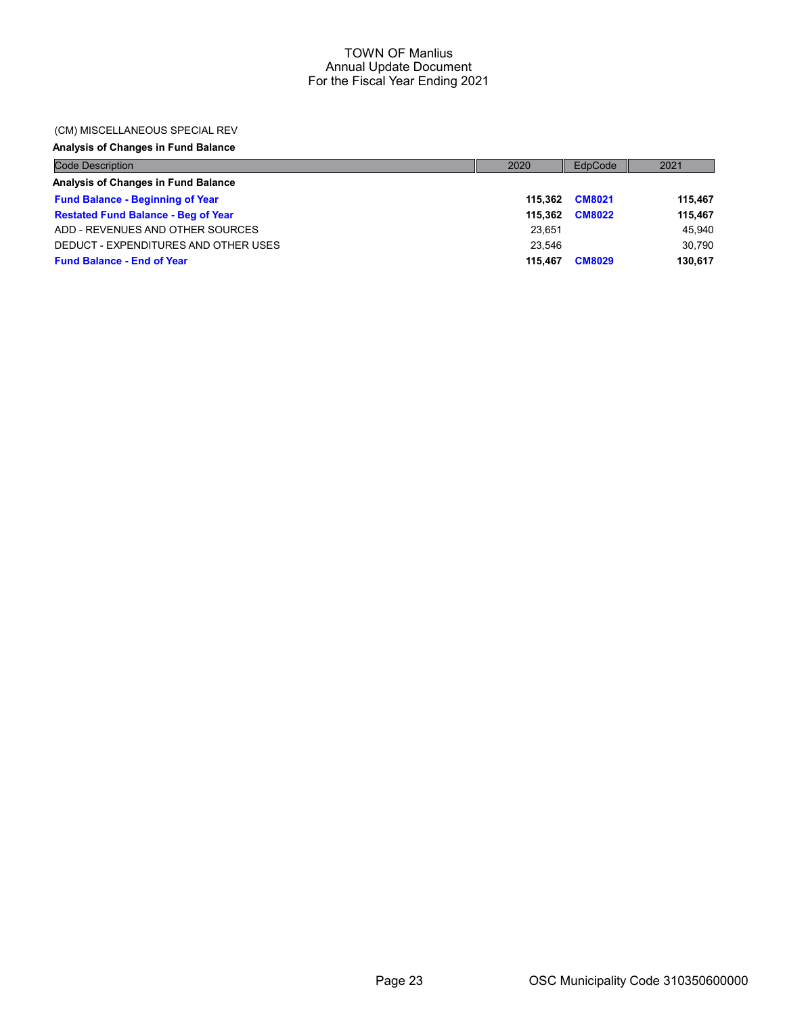### (CM) MISCELLANEOUS SPECIAL REV

# Analysis of Changes in Fund Balance

| <b>Code Description</b>                    | 2020    | EdpCode       | 2021    |
|--------------------------------------------|---------|---------------|---------|
| Analysis of Changes in Fund Balance        |         |               |         |
| <b>Fund Balance - Beginning of Year</b>    | 115.362 | <b>CM8021</b> | 115.467 |
| <b>Restated Fund Balance - Beg of Year</b> | 115.362 | <b>CM8022</b> | 115.467 |
| ADD - REVENUES AND OTHER SOURCES           | 23.651  |               | 45,940  |
| DEDUCT - EXPENDITURES AND OTHER USES       | 23.546  |               | 30.790  |
| <b>Fund Balance - End of Year</b>          | 115.467 | <b>CM8029</b> | 130.617 |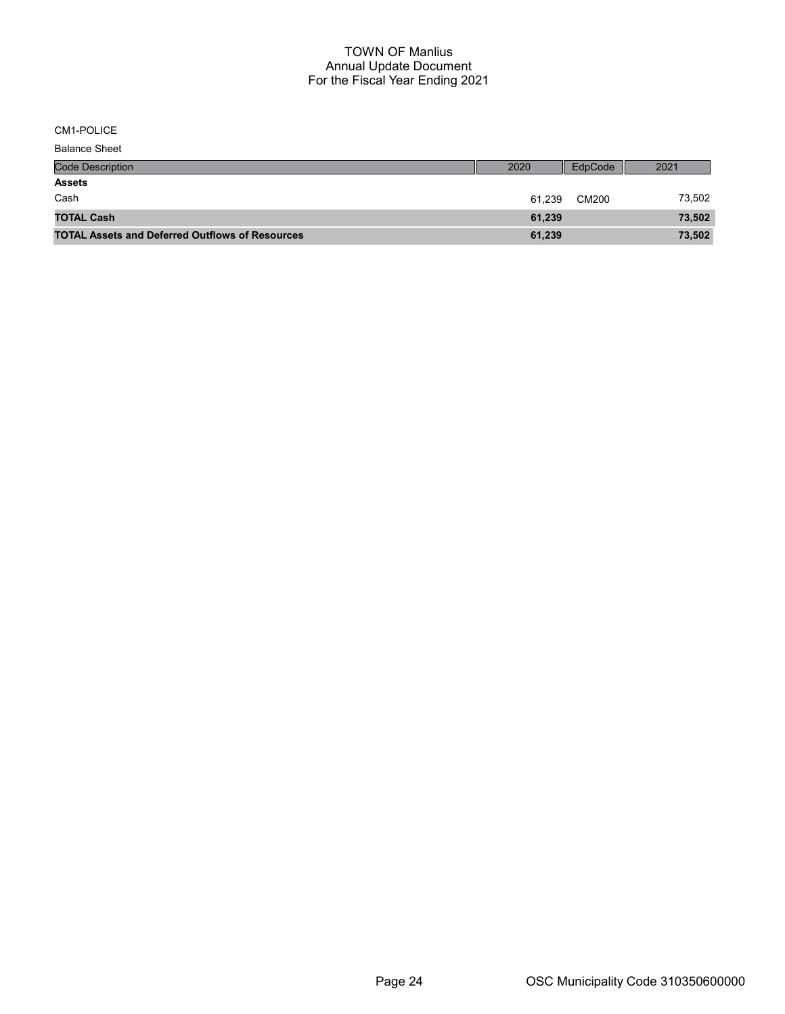CM1-POLICE

| <b>Balance Sheet</b>                                   |        |         |        |
|--------------------------------------------------------|--------|---------|--------|
| <b>Code Description</b>                                | 2020   | EdpCode | 2021   |
| <b>Assets</b>                                          |        |         |        |
| Cash                                                   | 61.239 | CM200   | 73,502 |
| <b>TOTAL Cash</b>                                      | 61,239 |         | 73,502 |
| <b>TOTAL Assets and Deferred Outflows of Resources</b> | 61,239 |         | 73,502 |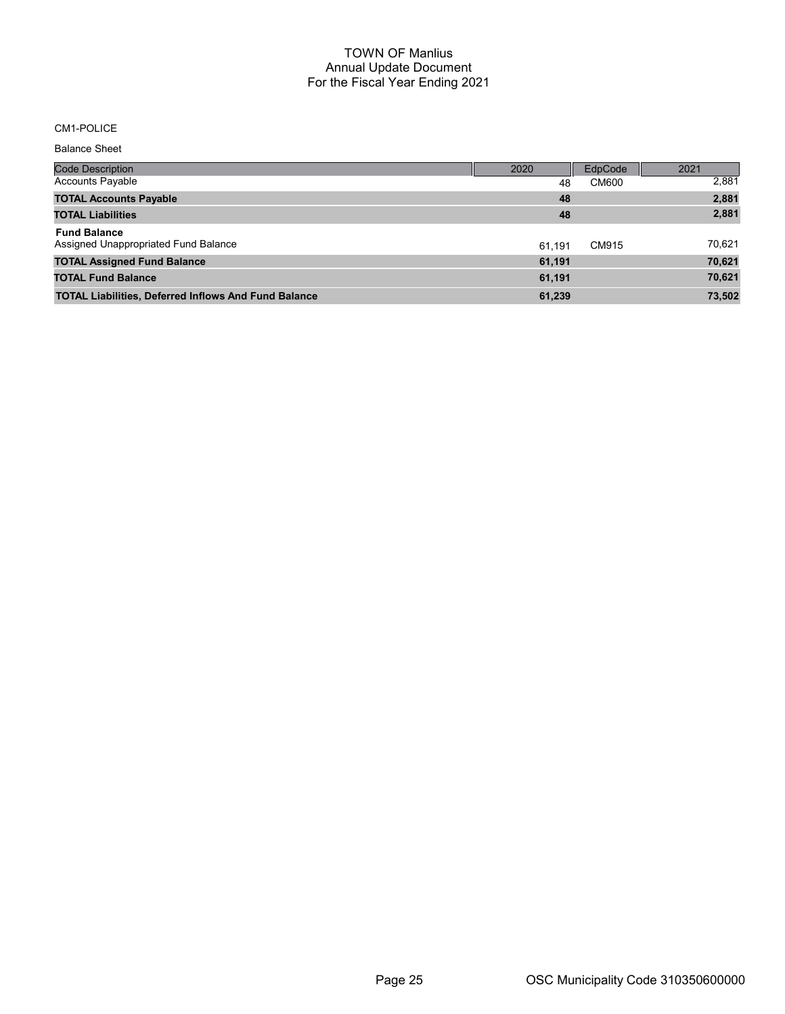## CM1-POLICE

Balance Sheet

| Code Description                                            | 2020   | EdpCode      | 2021   |
|-------------------------------------------------------------|--------|--------------|--------|
| <b>Accounts Payable</b>                                     | 48     | <b>CM600</b> | 2,881  |
| <b>TOTAL Accounts Payable</b>                               | 48     |              | 2,881  |
| <b>TOTAL Liabilities</b>                                    | 48     |              | 2,881  |
| <b>Fund Balance</b><br>Assigned Unappropriated Fund Balance | 61.191 | CM915        | 70,621 |
| <b>TOTAL Assigned Fund Balance</b>                          | 61,191 |              | 70,621 |
| <b>TOTAL Fund Balance</b>                                   | 61,191 |              | 70,621 |
| <b>TOTAL Liabilities, Deferred Inflows And Fund Balance</b> | 61,239 |              | 73,502 |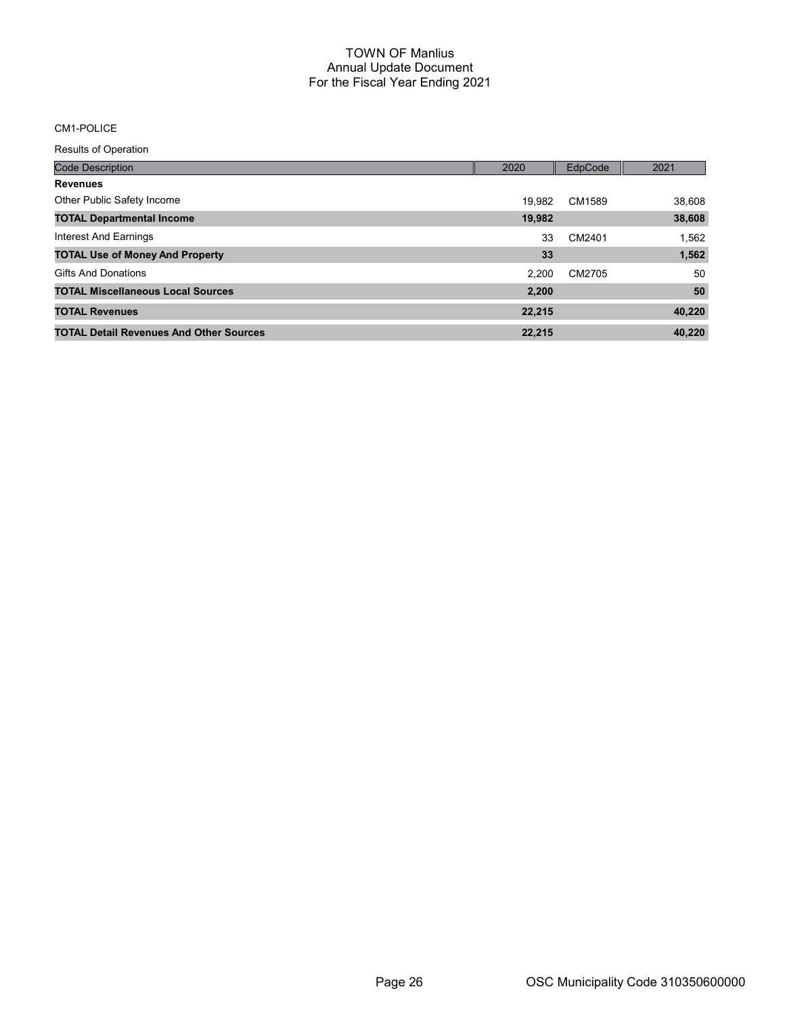## CM1-POLICE

| <b>Code Description</b>                        | 2020   | EdpCode | 2021   |
|------------------------------------------------|--------|---------|--------|
| <b>Revenues</b>                                |        |         |        |
| Other Public Safety Income                     | 19.982 | CM1589  | 38,608 |
| <b>TOTAL Departmental Income</b>               | 19,982 |         | 38,608 |
| Interest And Earnings                          | 33     | CM2401  | 1,562  |
| <b>TOTAL Use of Money And Property</b>         | 33     |         | 1,562  |
| <b>Gifts And Donations</b>                     | 2.200  | CM2705  | 50     |
| <b>TOTAL Miscellaneous Local Sources</b>       | 2.200  |         | 50     |
| <b>TOTAL Revenues</b>                          | 22,215 |         | 40,220 |
| <b>TOTAL Detail Revenues And Other Sources</b> | 22,215 |         | 40.220 |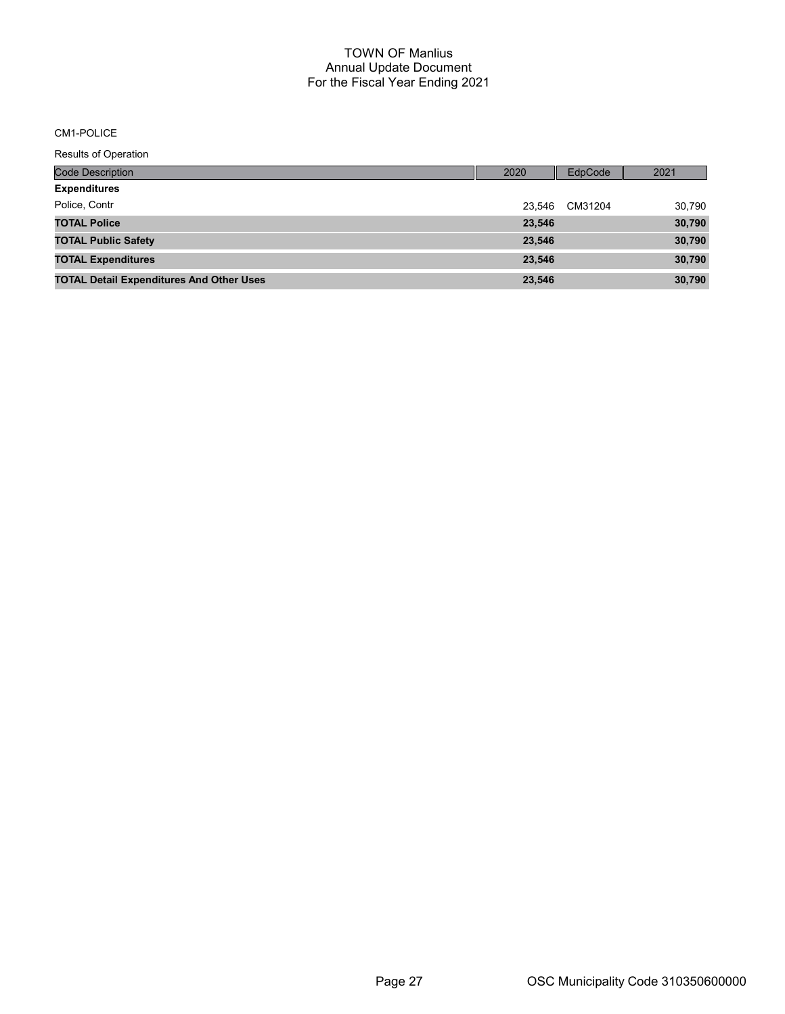#### CM1-POLICE

| <b>Code Description</b>                         | 2020   | EdpCode | 2021   |
|-------------------------------------------------|--------|---------|--------|
| <b>Expenditures</b>                             |        |         |        |
| Police, Contr                                   | 23.546 | CM31204 | 30,790 |
| <b>TOTAL Police</b>                             | 23,546 |         | 30,790 |
| <b>TOTAL Public Safety</b>                      | 23,546 |         | 30,790 |
| <b>TOTAL Expenditures</b>                       | 23,546 |         | 30,790 |
| <b>TOTAL Detail Expenditures And Other Uses</b> | 23,546 |         | 30,790 |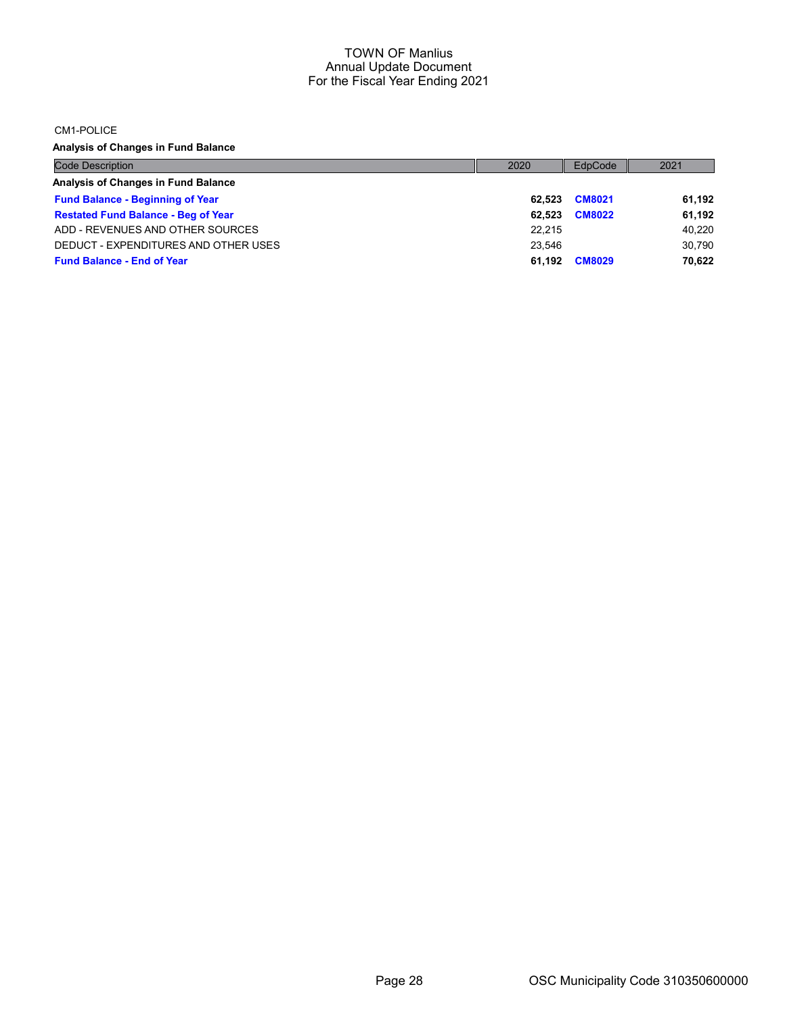CM1-POLICE

Analysis of Changes in Fund Balance

| <b>Code Description</b>                    | 2020   | EdpCode       | 2021   |
|--------------------------------------------|--------|---------------|--------|
| Analysis of Changes in Fund Balance        |        |               |        |
| <b>Fund Balance - Beginning of Year</b>    | 62.523 | <b>CM8021</b> | 61.192 |
| <b>Restated Fund Balance - Beg of Year</b> | 62.523 | <b>CM8022</b> | 61.192 |
| ADD - REVENUES AND OTHER SOURCES           | 22.215 |               | 40.220 |
| DEDUCT - EXPENDITURES AND OTHER USES       | 23.546 |               | 30.790 |
| <b>Fund Balance - End of Year</b>          | 61.192 | <b>CM8029</b> | 70,622 |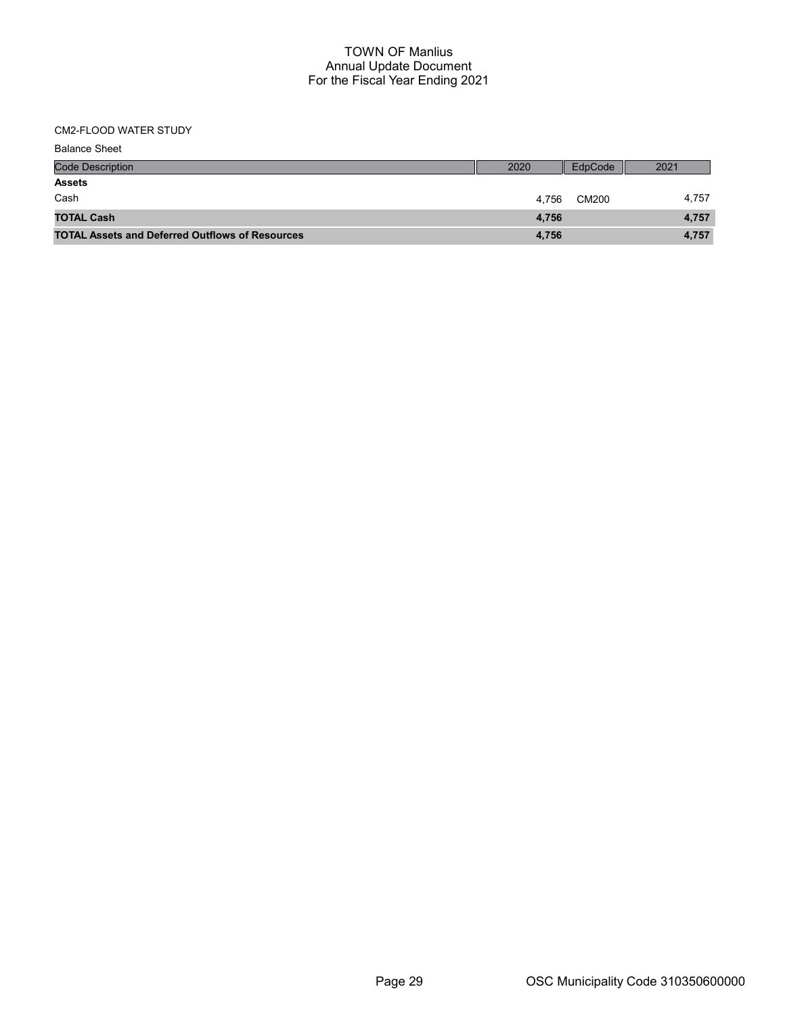# CM2-FLOOD WATER STUDY

| <b>Balance Sheet</b>                                   |       |         |       |
|--------------------------------------------------------|-------|---------|-------|
| <b>Code Description</b>                                | 2020  | EdpCode | 2021  |
| <b>Assets</b>                                          |       |         |       |
| Cash                                                   | 4.756 | CM200   | 4,757 |
| <b>TOTAL Cash</b>                                      | 4,756 |         | 4,757 |
| <b>TOTAL Assets and Deferred Outflows of Resources</b> | 4,756 |         | 4,757 |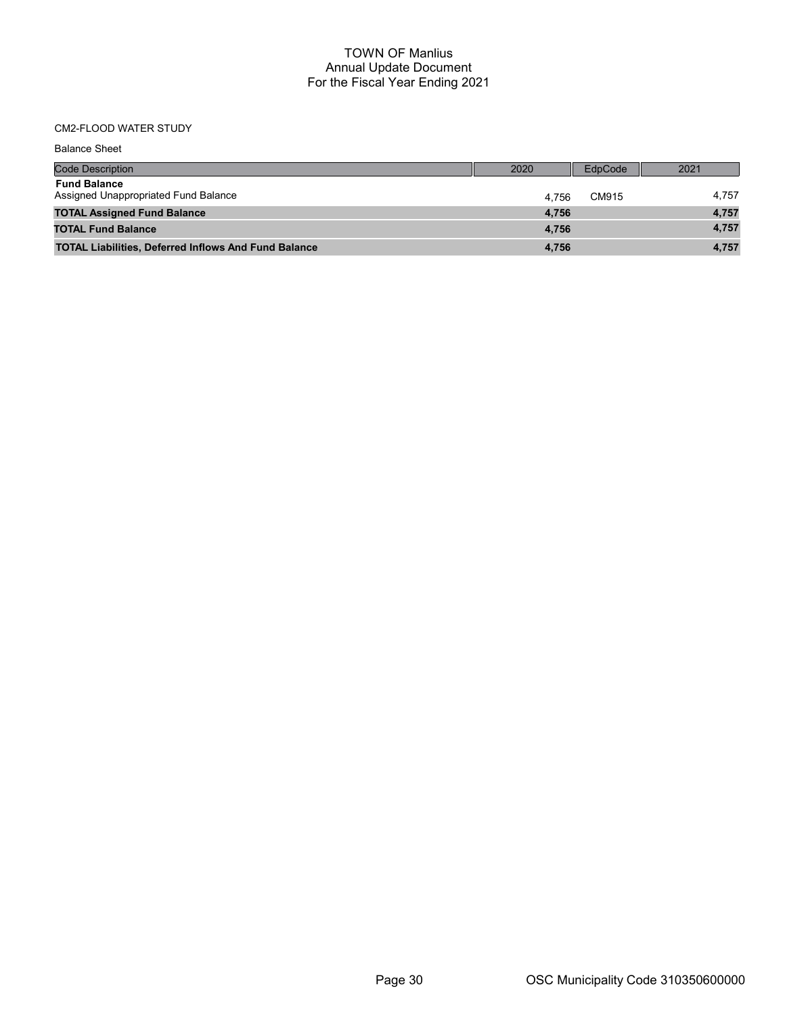# CM2-FLOOD WATER STUDY

| <b>Balance Sheet</b>                                        |       |         |       |
|-------------------------------------------------------------|-------|---------|-------|
| <b>Code Description</b>                                     | 2020  | EdpCode | 2021  |
| <b>Fund Balance</b><br>Assigned Unappropriated Fund Balance | 4.756 | CM915   | 4,757 |
| <b>TOTAL Assigned Fund Balance</b>                          | 4,756 |         | 4,757 |
| <b>TOTAL Fund Balance</b>                                   | 4.756 |         | 4,757 |
| <b>TOTAL Liabilities, Deferred Inflows And Fund Balance</b> | 4,756 |         | 4,757 |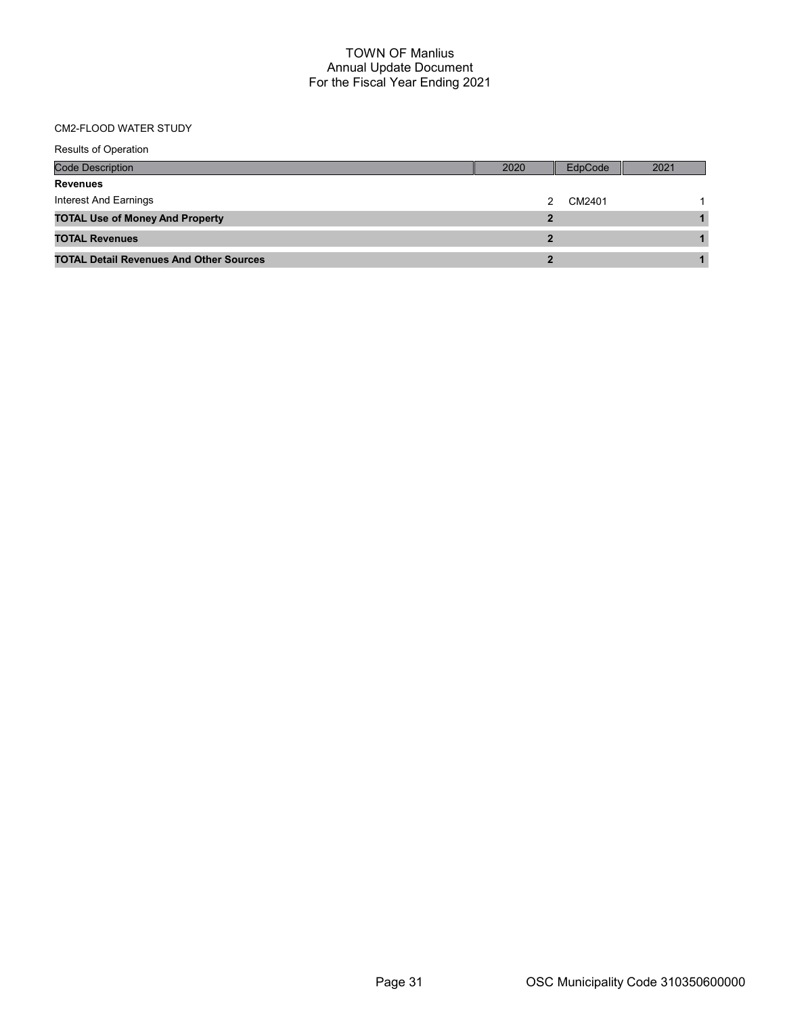## CM2-FLOOD WATER STUDY

| <b>Results of Operation</b>                    |                |         |      |
|------------------------------------------------|----------------|---------|------|
| <b>Code Description</b>                        | 2020           | EdpCode | 2021 |
| <b>Revenues</b>                                |                |         |      |
| Interest And Earnings                          |                | CM2401  |      |
| <b>TOTAL Use of Money And Property</b>         | $\overline{2}$ |         |      |
| <b>TOTAL Revenues</b>                          |                |         |      |
| <b>TOTAL Detail Revenues And Other Sources</b> |                |         |      |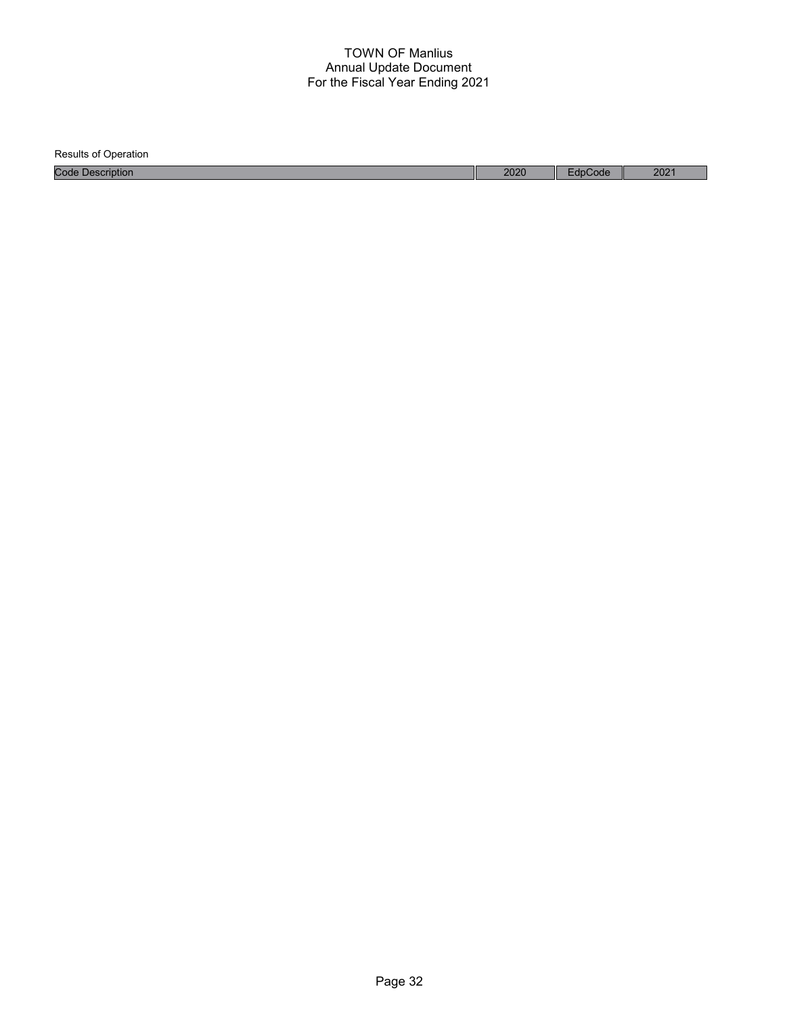| <b>Results of Operation</b> |      |         |                  |
|-----------------------------|------|---------|------------------|
| <b>Code Description</b>     | 2020 | EdpCode | 202 <sup>1</sup> |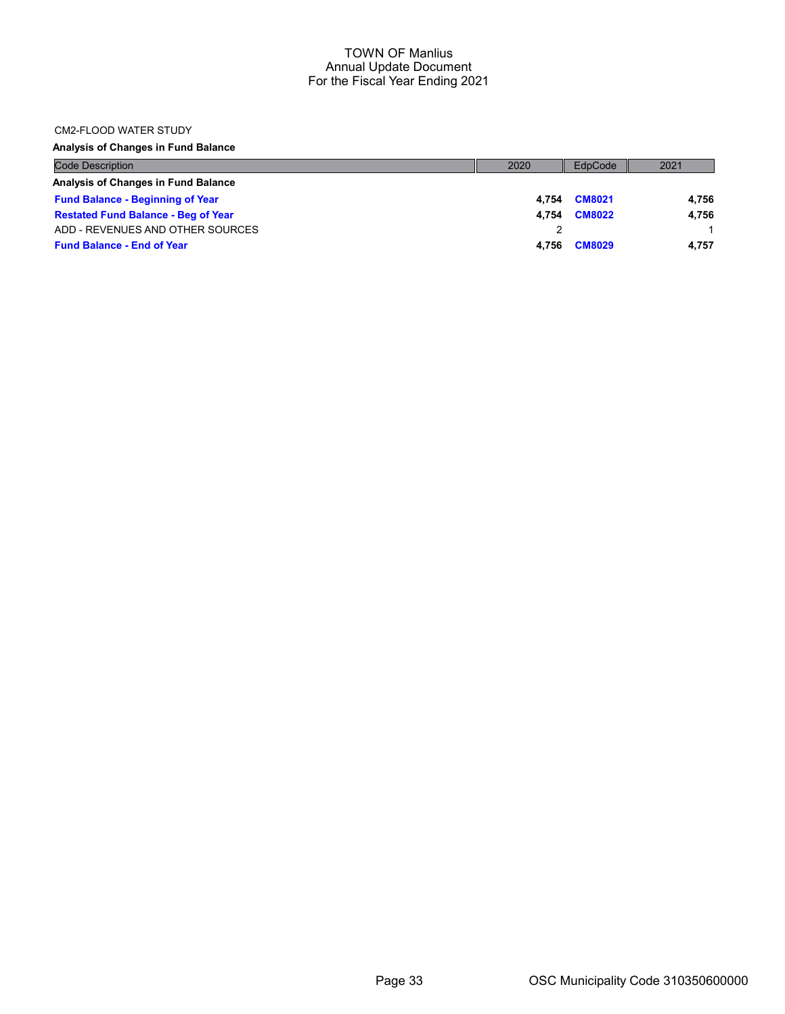## CM2-FLOOD WATER STUDY

## Analysis of Changes in Fund Balance

| <b>Code Description</b>                    | 2020  | EdpCode       | 2021  |
|--------------------------------------------|-------|---------------|-------|
| Analysis of Changes in Fund Balance        |       |               |       |
| <b>Fund Balance - Beginning of Year</b>    | 4.754 | <b>CM8021</b> | 4.756 |
| <b>Restated Fund Balance - Beg of Year</b> | 4.754 | <b>CM8022</b> | 4.756 |
| ADD - REVENUES AND OTHER SOURCES           |       |               |       |
| <b>Fund Balance - End of Year</b>          | 4.756 | <b>CM8029</b> | 4.757 |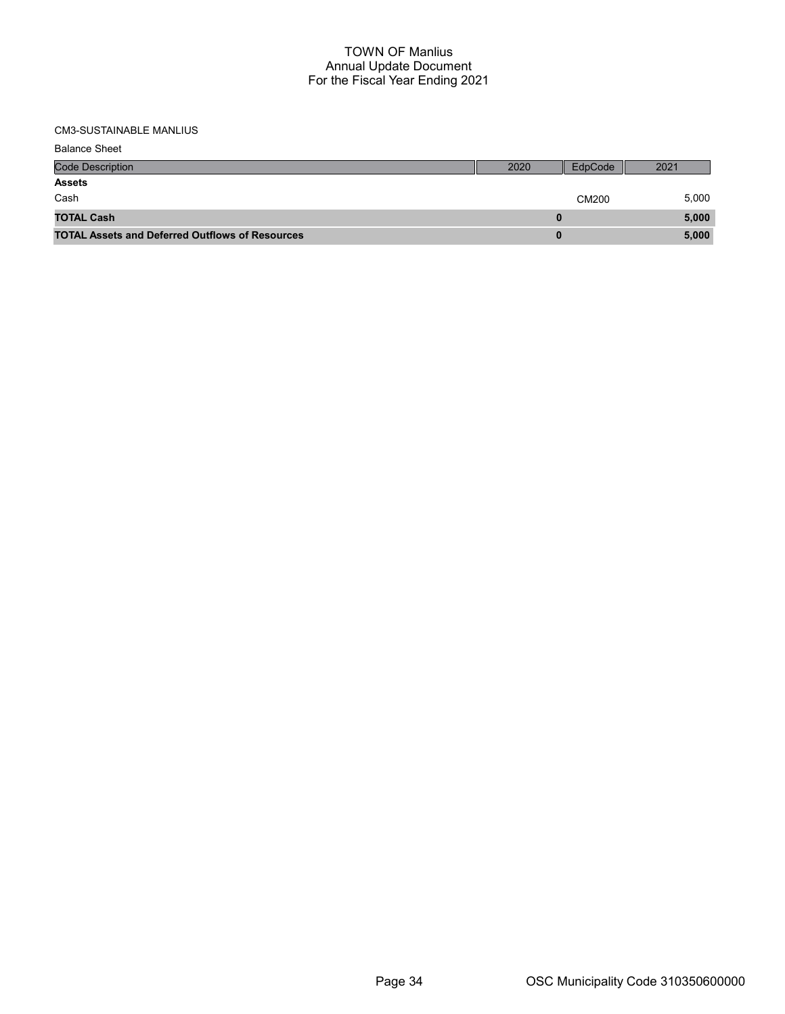## CM3-SUSTAINABLE MANLIUS

| <b>Balance Sheet</b>                                   |      |         |       |
|--------------------------------------------------------|------|---------|-------|
| <b>Code Description</b>                                | 2020 | EdpCode | 2021  |
| <b>Assets</b>                                          |      |         |       |
| Cash                                                   |      | CM200   | 5,000 |
| <b>TOTAL Cash</b>                                      |      |         | 5,000 |
| <b>TOTAL Assets and Deferred Outflows of Resources</b> |      |         | 5,000 |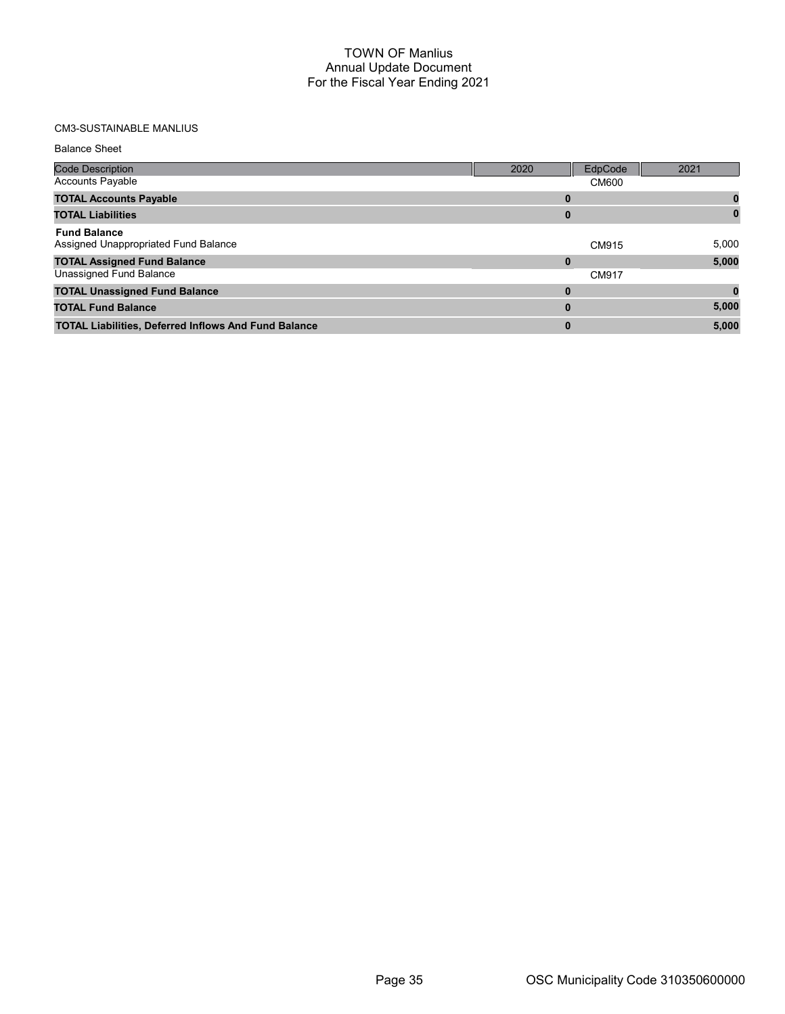# CM3-SUSTAINABLE MANLIUS

| <b>Balance Sheet</b> |  |
|----------------------|--|
|----------------------|--|

| <b>Code Description</b>                                     | 2020 | EdpCode      | 2021  |
|-------------------------------------------------------------|------|--------------|-------|
| <b>Accounts Payable</b>                                     |      | <b>CM600</b> |       |
| <b>TOTAL Accounts Payable</b>                               | 0    |              |       |
| <b>TOTAL Liabilities</b>                                    | 0    |              |       |
| <b>Fund Balance</b><br>Assigned Unappropriated Fund Balance |      | CM915        | 5,000 |
| <b>TOTAL Assigned Fund Balance</b>                          | 0    |              | 5,000 |
| Unassigned Fund Balance                                     |      | CM917        |       |
| <b>TOTAL Unassigned Fund Balance</b>                        | 0    |              |       |
| <b>TOTAL Fund Balance</b>                                   | 0    |              | 5,000 |
| <b>TOTAL Liabilities, Deferred Inflows And Fund Balance</b> | 0    |              | 5,000 |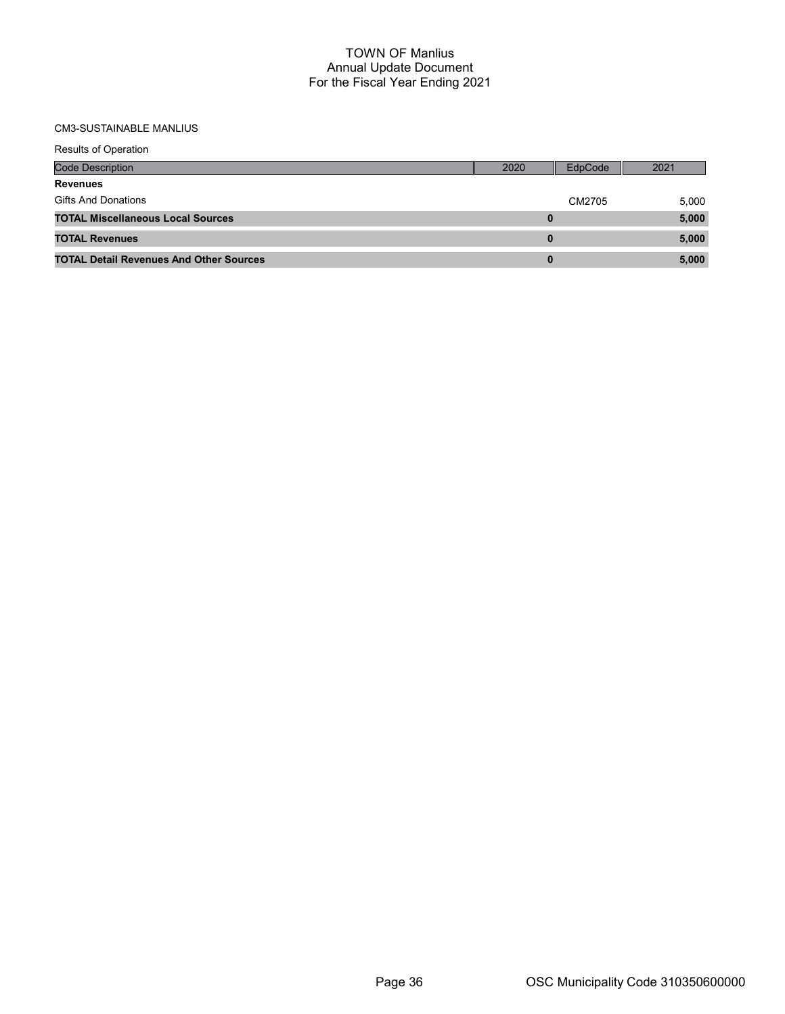# CM3-SUSTAINABLE MANLIUS

| <b>Results of Operation</b>                    |      |         |       |
|------------------------------------------------|------|---------|-------|
| <b>Code Description</b>                        | 2020 | EdpCode | 2021  |
| <b>Revenues</b>                                |      |         |       |
| Gifts And Donations                            |      | CM2705  | 5,000 |
| <b>TOTAL Miscellaneous Local Sources</b>       | 0    |         | 5,000 |
| <b>TOTAL Revenues</b>                          | 0    |         | 5,000 |
| <b>TOTAL Detail Revenues And Other Sources</b> | 0    |         | 5.000 |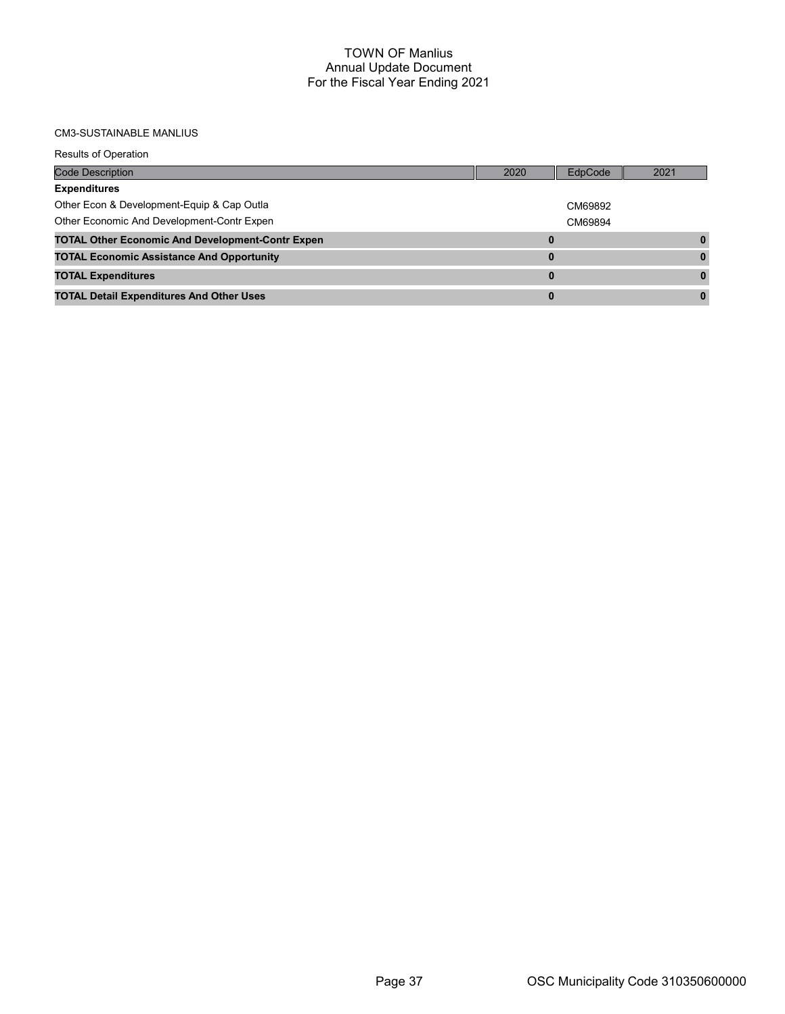# CM3-SUSTAINABLE MANLIUS

| <b>Code Description</b>                                 | 2020 | EdpCode | 2021 |
|---------------------------------------------------------|------|---------|------|
| <b>Expenditures</b>                                     |      |         |      |
| Other Econ & Development-Equip & Cap Outla              |      | CM69892 |      |
| Other Economic And Development-Contr Expen              |      | CM69894 |      |
| <b>TOTAL Other Economic And Development-Contr Expen</b> |      |         |      |
| <b>TOTAL Economic Assistance And Opportunity</b>        |      |         |      |
| <b>TOTAL Expenditures</b>                               | 0    |         |      |
| <b>TOTAL Detail Expenditures And Other Uses</b>         | 0    |         |      |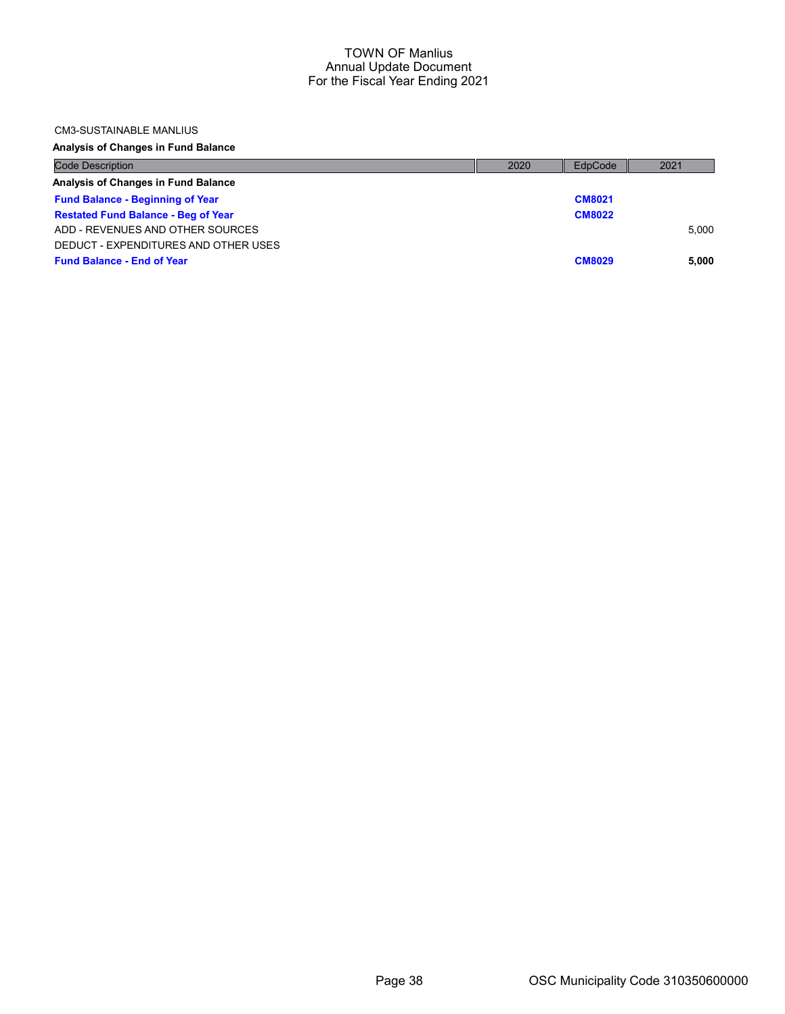#### CM3-SUSTAINABLE MANLIUS

## Analysis of Changes in Fund Balance

| <b>Code Description</b>                    | 2020 | EdpCode       | 2021  |
|--------------------------------------------|------|---------------|-------|
| Analysis of Changes in Fund Balance        |      |               |       |
| <b>Fund Balance - Beginning of Year</b>    |      | <b>CM8021</b> |       |
| <b>Restated Fund Balance - Beg of Year</b> |      | <b>CM8022</b> |       |
| ADD - REVENUES AND OTHER SOURCES           |      |               | 5.000 |
| DEDUCT - EXPENDITURES AND OTHER USES       |      |               |       |
| <b>Fund Balance - End of Year</b>          |      | <b>CM8029</b> | 5.000 |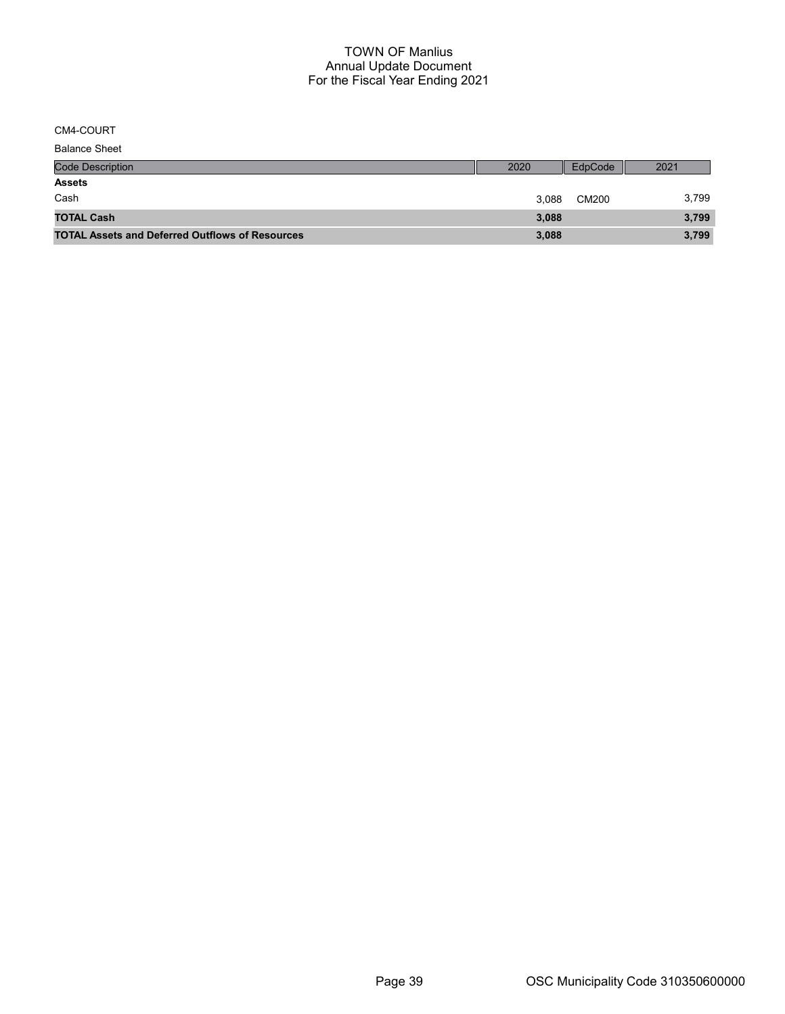CM4-COURT

| <b>Balance Sheet</b>                                   |       |         |       |
|--------------------------------------------------------|-------|---------|-------|
| <b>Code Description</b>                                | 2020  | EdpCode | 2021  |
| <b>Assets</b>                                          |       |         |       |
| Cash                                                   | 3.088 | CM200   | 3,799 |
| <b>TOTAL Cash</b>                                      | 3,088 |         | 3,799 |
| <b>TOTAL Assets and Deferred Outflows of Resources</b> | 3,088 |         | 3,799 |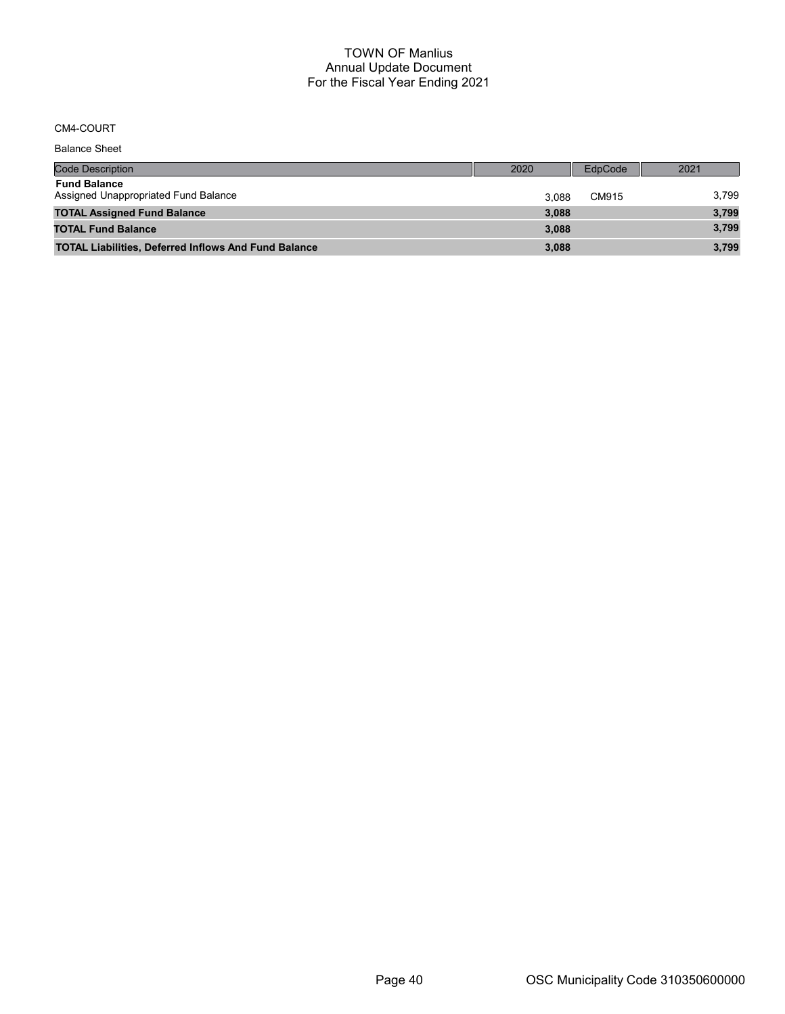#### CM4-COURT

Code Description 2020 EdpCode 2021 Balance Sheet Fund Balance Assigned Unappropriated Fund Balance 3,799 and 3,088 CM915 3,799 and 3,799 TOTAL Assigned Fund Balance 3,799 3,799 3,799 3,799 3,799 3,088 of the United States of the United States of the United States and the United States of the United States and the United States and the United States and the United States and the United States and the United States and th TOTAL Liabilities, Deferred Inflows And Fund Balance 3,088 3,088 3,799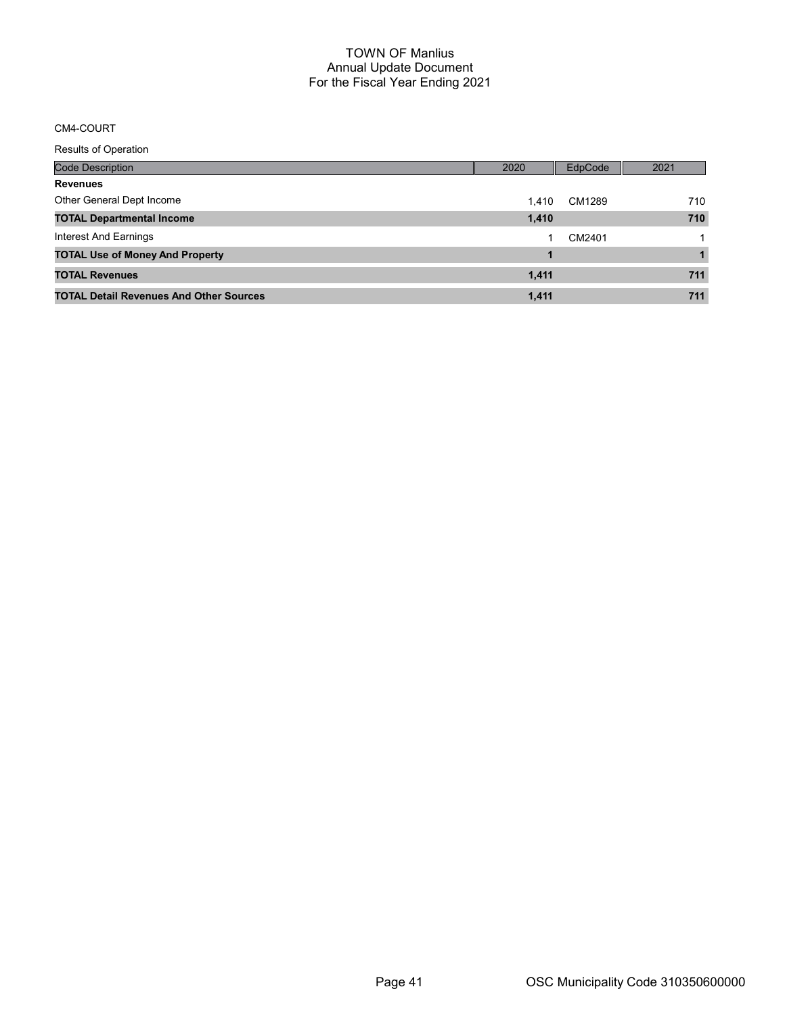# CM4-COURT

Results of Operation

| Code Description                               | 2020  | EdpCode | 2021 |
|------------------------------------------------|-------|---------|------|
| <b>Revenues</b>                                |       |         |      |
| Other General Dept Income                      | 1.410 | CM1289  | 710  |
| <b>TOTAL Departmental Income</b>               | 1,410 |         | 710  |
| Interest And Earnings                          |       | CM2401  |      |
| <b>TOTAL Use of Money And Property</b>         |       |         |      |
| <b>TOTAL Revenues</b>                          | 1,411 |         | 711  |
| <b>TOTAL Detail Revenues And Other Sources</b> | 1.411 |         | 711  |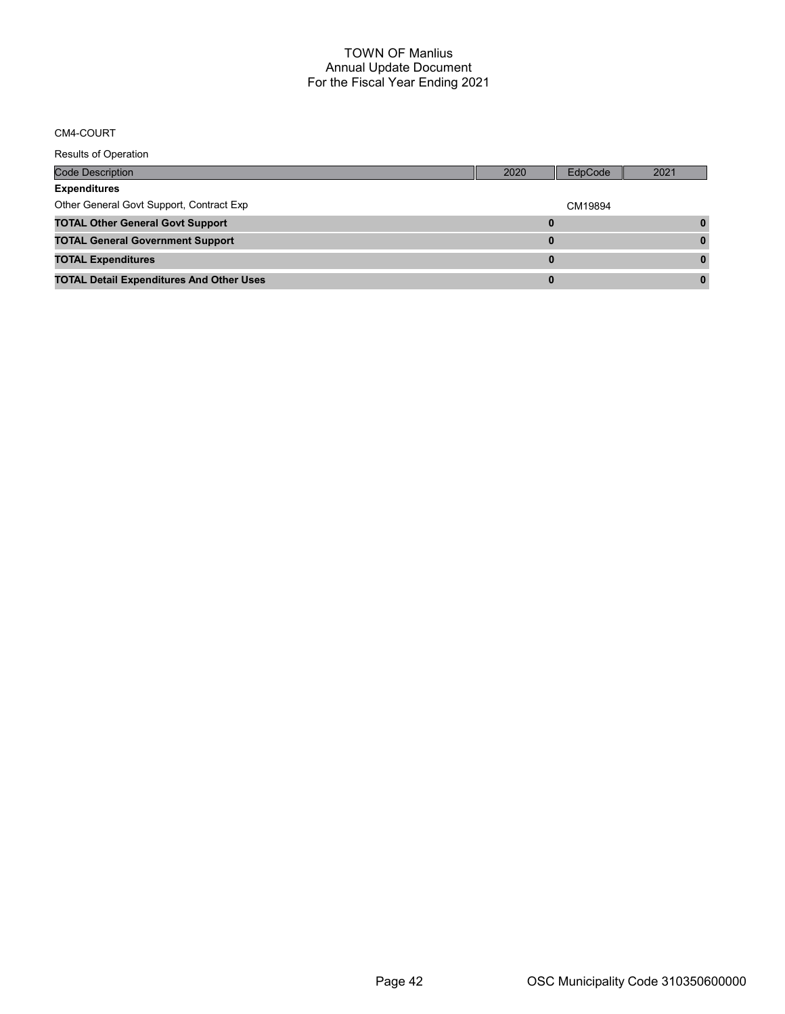#### CM4-COURT

Results of Operation Code Description 2020 EdpCode 2021 Expenditures Other General Govt Support, Contract Exp contract CX CM19894 TOTAL Other General Govt Support 0 0 TOTAL General Government Support 0 0 TOTAL Expenditures 0 0 TOTAL Detail Expenditures And Other Uses 0 0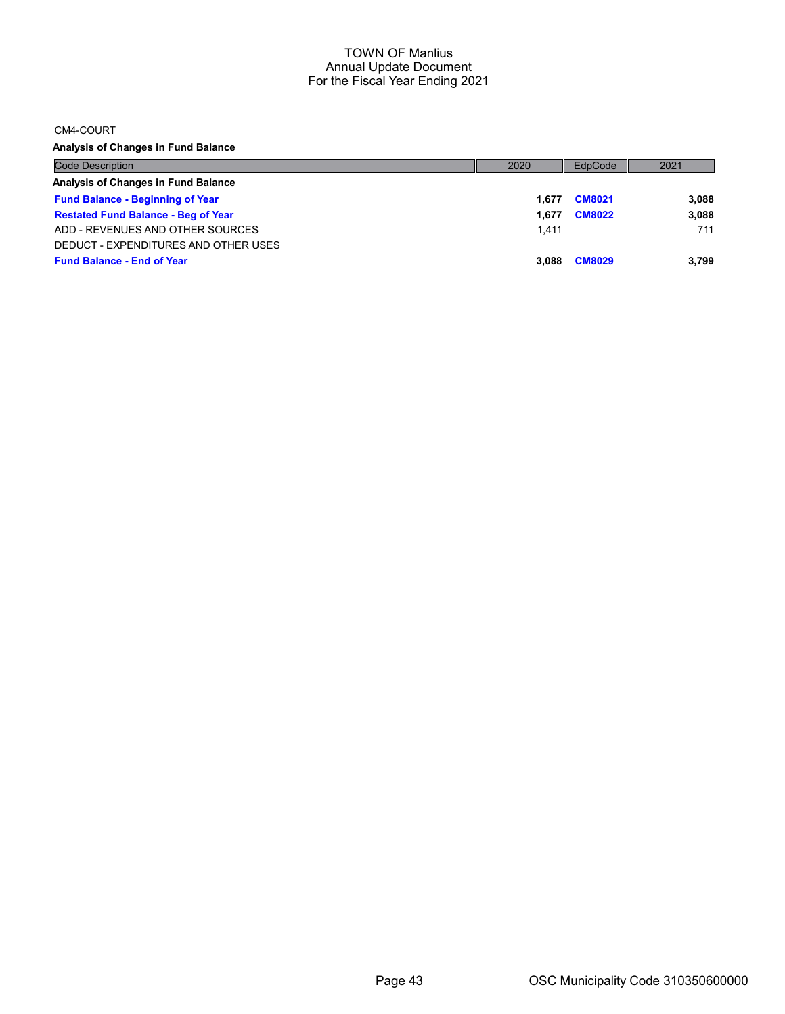CM4-COURT

Analysis of Changes in Fund Balance

| <b>Code Description</b>                    | 2020  | EdpCode       | 2021  |
|--------------------------------------------|-------|---------------|-------|
| Analysis of Changes in Fund Balance        |       |               |       |
| <b>Fund Balance - Beginning of Year</b>    | 1.677 | <b>CM8021</b> | 3,088 |
| <b>Restated Fund Balance - Beg of Year</b> | 1.677 | <b>CM8022</b> | 3,088 |
| ADD - REVENUES AND OTHER SOURCES           | 1.411 |               | 711   |
| DEDUCT - EXPENDITURES AND OTHER USES       |       |               |       |
| <b>Fund Balance - End of Year</b>          | 3.088 | <b>CM8029</b> | 3.799 |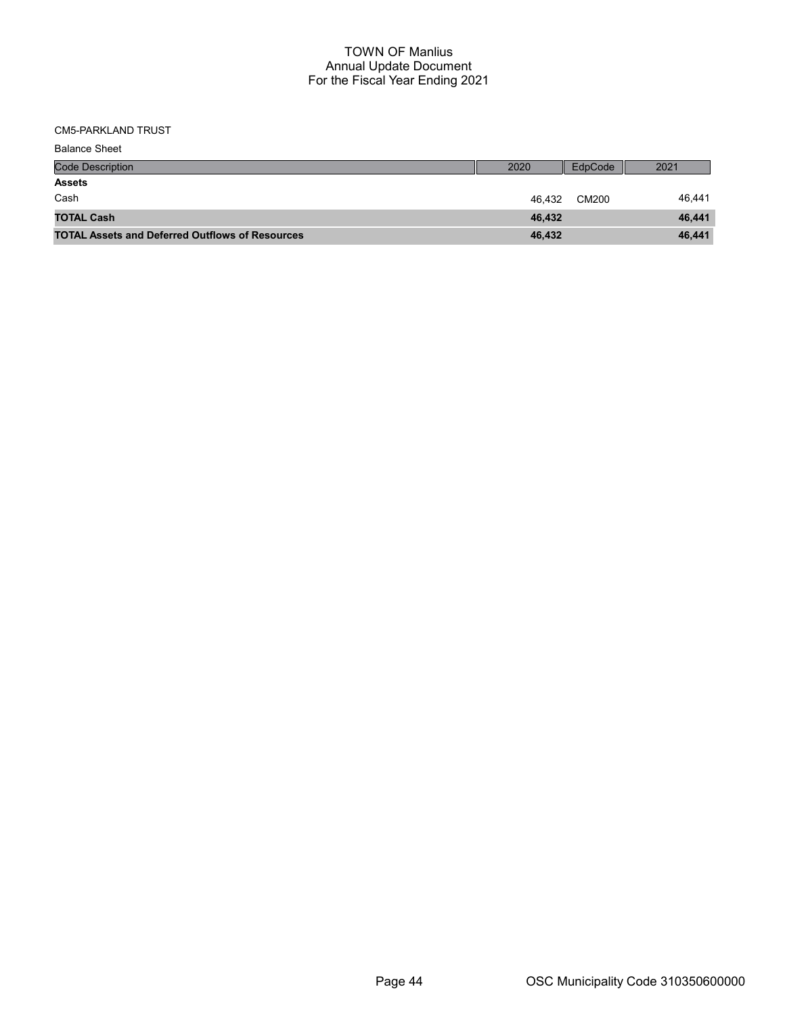CM5-PARKLAND TRUST

| <b>Balance Sheet</b>                                   |        |         |        |
|--------------------------------------------------------|--------|---------|--------|
| <b>Code Description</b>                                | 2020   | EdpCode | 2021   |
| <b>Assets</b>                                          |        |         |        |
| Cash                                                   | 46.432 | CM200   | 46,441 |
| <b>TOTAL Cash</b>                                      | 46,432 |         | 46,441 |
| <b>TOTAL Assets and Deferred Outflows of Resources</b> | 46,432 |         | 46,441 |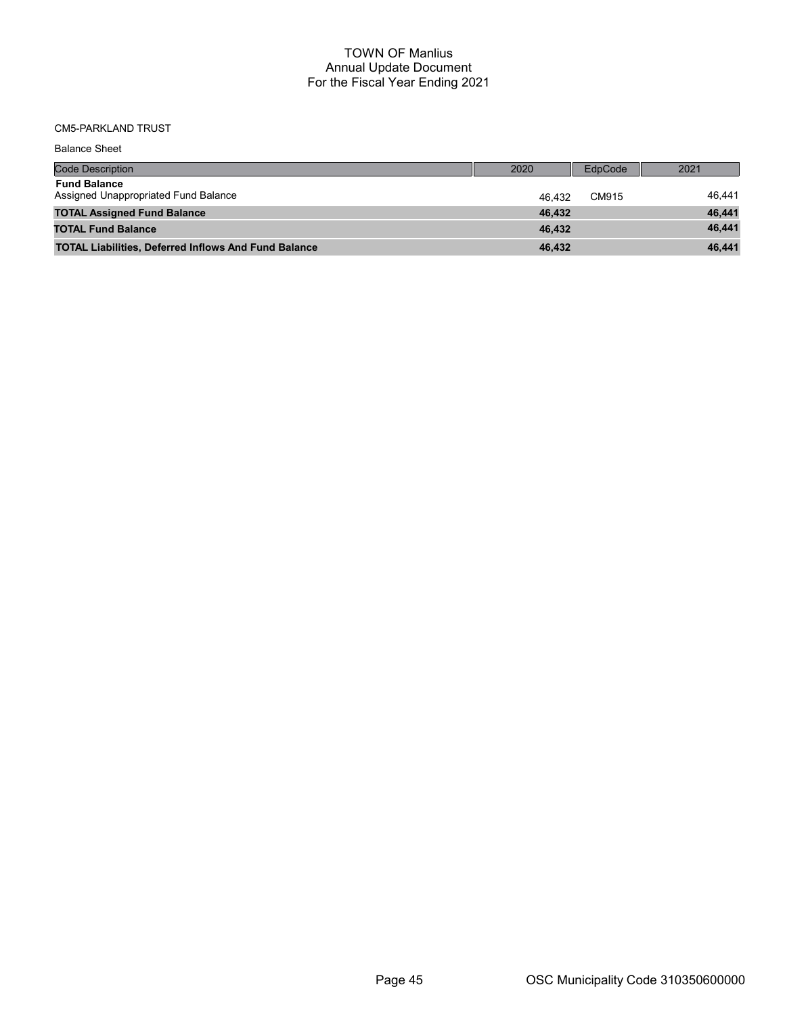# CM5-PARKLAND TRUST

| <b>Balance Sheet</b>                                        |        |         |        |
|-------------------------------------------------------------|--------|---------|--------|
| Code Description                                            | 2020   | EdpCode | 2021   |
| <b>Fund Balance</b><br>Assigned Unappropriated Fund Balance | 46.432 | CM915   | 46.441 |
| <b>TOTAL Assigned Fund Balance</b>                          | 46.432 |         | 46,441 |
| <b>TOTAL Fund Balance</b>                                   | 46.432 |         | 46,441 |
| <b>TOTAL Liabilities, Deferred Inflows And Fund Balance</b> | 46,432 |         | 46,441 |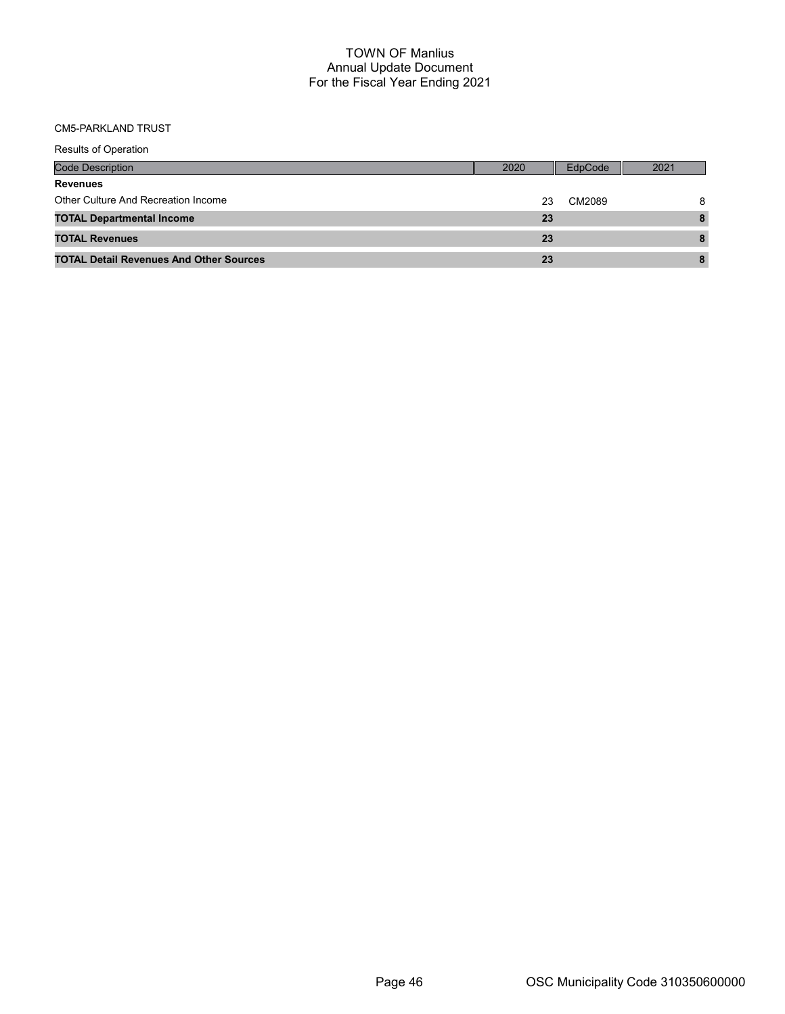#### CM5-PARKLAND TRUST

| <b>Results of Operation</b>                    |      |         |      |
|------------------------------------------------|------|---------|------|
| Code Description                               | 2020 | EdpCode | 2021 |
| <b>Revenues</b>                                |      |         |      |
| Other Culture And Recreation Income            | 23   | CM2089  | 8    |
| <b>TOTAL Departmental Income</b>               | 23   |         | 8    |
| <b>TOTAL Revenues</b>                          | 23   |         | 8    |
| <b>TOTAL Detail Revenues And Other Sources</b> | 23   |         | 8    |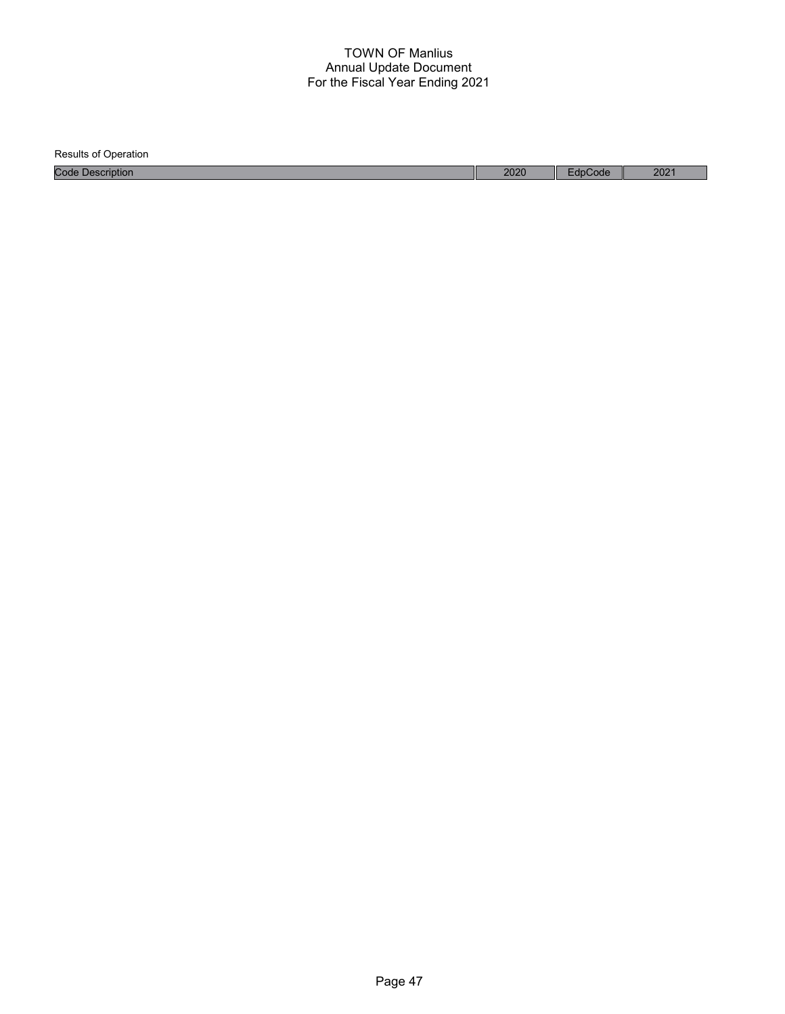| <b>Results of Operation</b> |      |         |                  |
|-----------------------------|------|---------|------------------|
| <b>Code Description</b>     | 2020 | EdpCode | 202 <sup>1</sup> |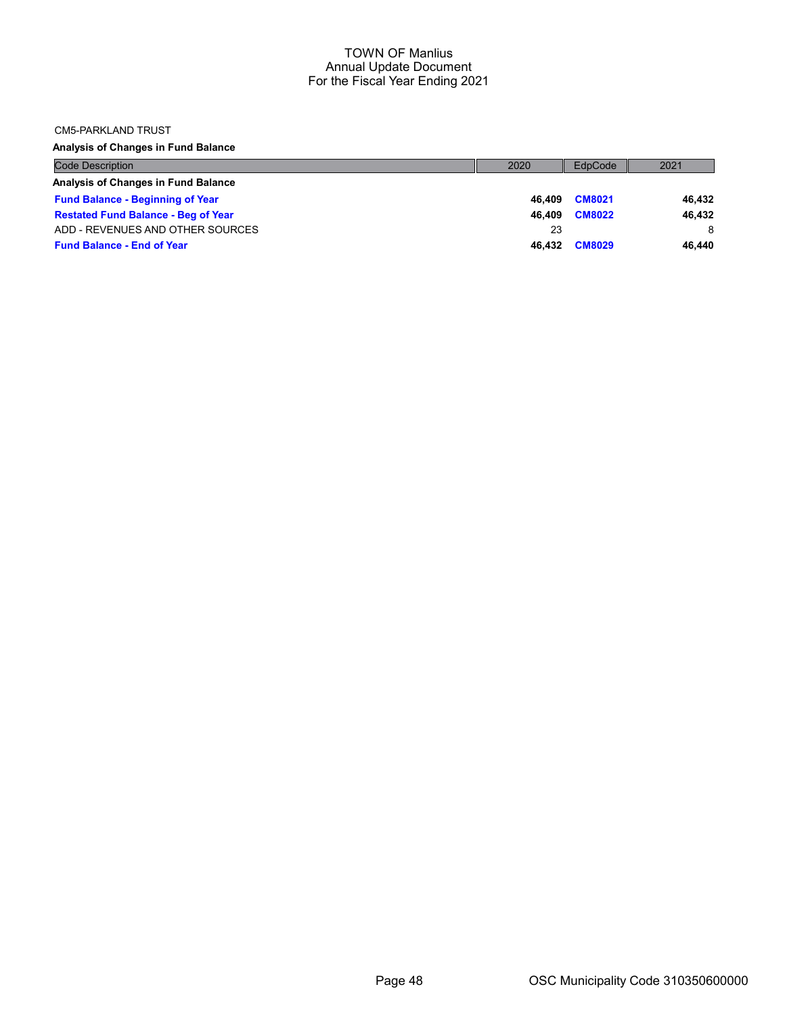#### CM5-PARKLAND TRUST

Analysis of Changes in Fund Balance

| <b>Code Description</b>                    | 2020   | EdpCode       | 2021   |
|--------------------------------------------|--------|---------------|--------|
| Analysis of Changes in Fund Balance        |        |               |        |
| <b>Fund Balance - Beginning of Year</b>    | 46.409 | <b>CM8021</b> | 46.432 |
| <b>Restated Fund Balance - Beg of Year</b> | 46.409 | <b>CM8022</b> | 46.432 |
| ADD - REVENUES AND OTHER SOURCES           | 23     |               | 8      |
| <b>Fund Balance - End of Year</b>          | 46.432 | <b>CM8029</b> | 46.440 |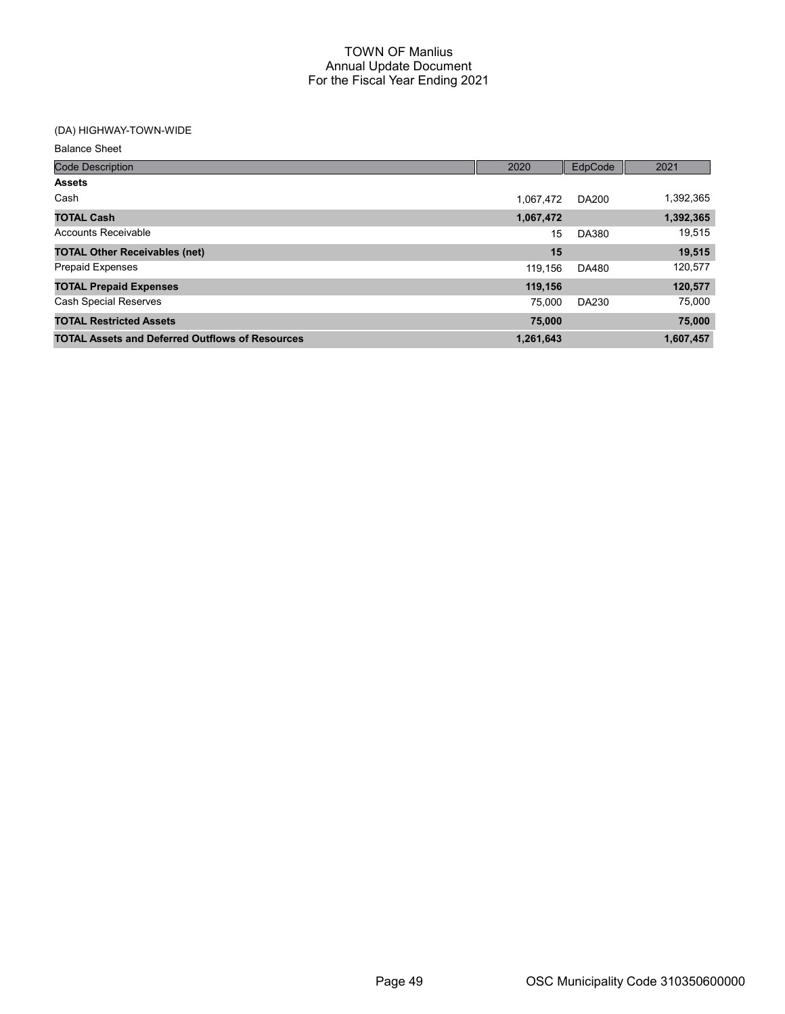# (DA) HIGHWAY-TOWN-WIDE

Balance Sheet

| <b>Code Description</b>                                | 2020      | EdpCode      | 2021      |
|--------------------------------------------------------|-----------|--------------|-----------|
| <b>Assets</b>                                          |           |              |           |
| Cash                                                   | 1.067.472 | <b>DA200</b> | 1,392,365 |
| <b>TOTAL Cash</b>                                      | 1,067,472 |              | 1,392,365 |
| Accounts Receivable                                    | 15        | <b>DA380</b> | 19,515    |
| <b>TOTAL Other Receivables (net)</b>                   | 15        |              | 19,515    |
| <b>Prepaid Expenses</b>                                | 119,156   | DA480        | 120,577   |
| <b>TOTAL Prepaid Expenses</b>                          | 119,156   |              | 120,577   |
| <b>Cash Special Reserves</b>                           | 75.000    | DA230        | 75,000    |
| <b>TOTAL Restricted Assets</b>                         | 75,000    |              | 75,000    |
| <b>TOTAL Assets and Deferred Outflows of Resources</b> | 1,261,643 |              | 1,607,457 |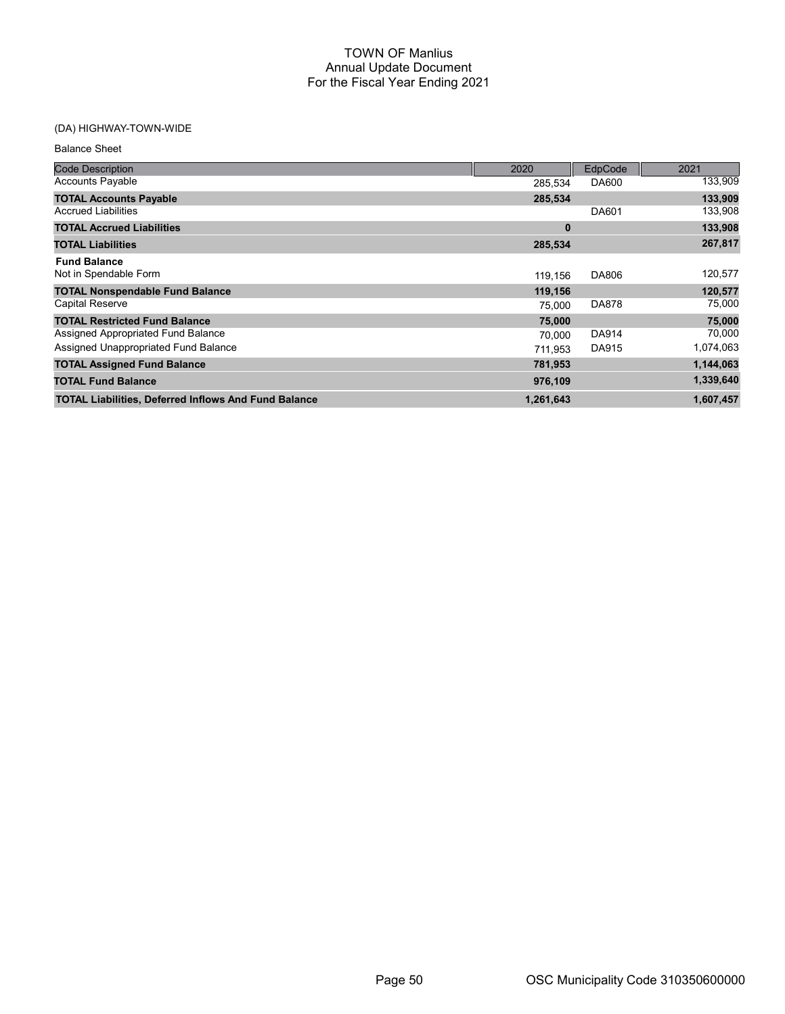| <b>Balance Sheet</b>                                        |           |              |           |
|-------------------------------------------------------------|-----------|--------------|-----------|
| <b>Code Description</b>                                     | 2020      | EdpCode      | 2021      |
| <b>Accounts Payable</b>                                     | 285.534   | DA600        | 133,909   |
| <b>TOTAL Accounts Payable</b>                               | 285,534   |              | 133,909   |
| <b>Accrued Liabilities</b>                                  |           | DA601        | 133,908   |
| <b>TOTAL Accrued Liabilities</b>                            | $\bf{0}$  |              | 133,908   |
| <b>TOTAL Liabilities</b>                                    | 285,534   |              | 267,817   |
| <b>Fund Balance</b><br>Not in Spendable Form                | 119,156   | DA806        | 120,577   |
| <b>TOTAL Nonspendable Fund Balance</b>                      | 119,156   |              | 120,577   |
| <b>Capital Reserve</b>                                      | 75,000    | <b>DA878</b> | 75,000    |
| <b>TOTAL Restricted Fund Balance</b>                        | 75,000    |              | 75,000    |
| Assigned Appropriated Fund Balance                          | 70,000    | <b>DA914</b> | 70,000    |
| Assigned Unappropriated Fund Balance                        | 711.953   | DA915        | 1,074,063 |
| <b>TOTAL Assigned Fund Balance</b>                          | 781,953   |              | 1,144,063 |
| <b>TOTAL Fund Balance</b>                                   | 976,109   |              | 1,339,640 |
| <b>TOTAL Liabilities, Deferred Inflows And Fund Balance</b> | 1,261,643 |              | 1,607,457 |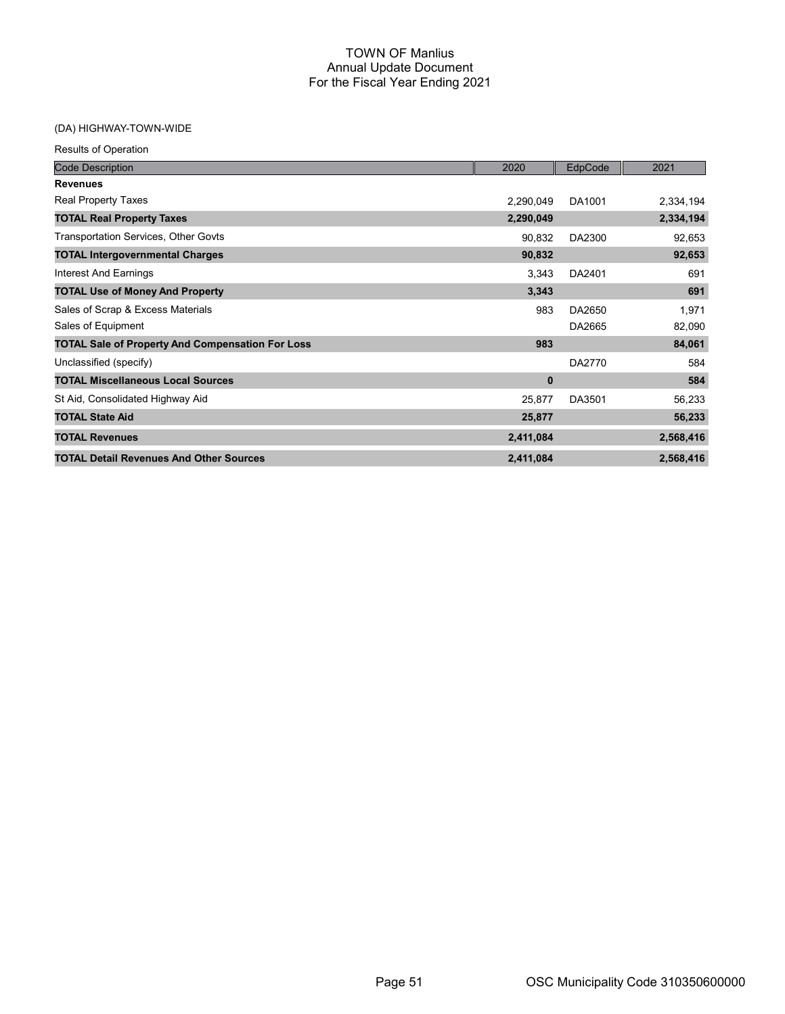| <b>Results of Operation</b>                             |           |         |           |
|---------------------------------------------------------|-----------|---------|-----------|
| <b>Code Description</b>                                 | 2020      | EdpCode | 2021      |
| <b>Revenues</b>                                         |           |         |           |
| <b>Real Property Taxes</b>                              | 2,290,049 | DA1001  | 2,334,194 |
| <b>TOTAL Real Property Taxes</b>                        | 2,290,049 |         | 2,334,194 |
| <b>Transportation Services, Other Govts</b>             | 90,832    | DA2300  | 92,653    |
| <b>TOTAL Intergovernmental Charges</b>                  | 90,832    |         | 92,653    |
| Interest And Earnings                                   | 3,343     | DA2401  | 691       |
| <b>TOTAL Use of Money And Property</b>                  | 3,343     |         | 691       |
| Sales of Scrap & Excess Materials                       | 983       | DA2650  | 1,971     |
| Sales of Equipment                                      |           | DA2665  | 82,090    |
| <b>TOTAL Sale of Property And Compensation For Loss</b> | 983       |         | 84,061    |
| Unclassified (specify)                                  |           | DA2770  | 584       |
| <b>TOTAL Miscellaneous Local Sources</b>                | $\bf{0}$  |         | 584       |
| St Aid, Consolidated Highway Aid                        | 25,877    | DA3501  | 56,233    |
| <b>TOTAL State Aid</b>                                  | 25,877    |         | 56,233    |
| <b>TOTAL Revenues</b>                                   | 2,411,084 |         | 2,568,416 |
| <b>TOTAL Detail Revenues And Other Sources</b>          | 2,411,084 |         | 2,568,416 |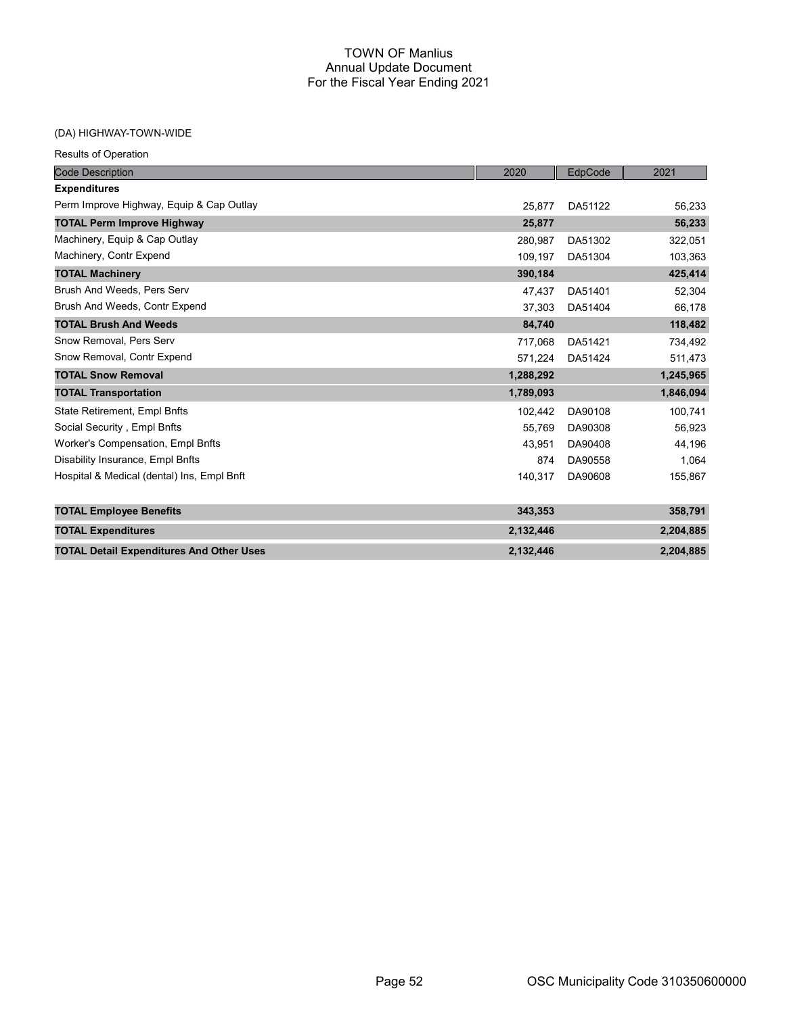| <b>Results of Operation</b> |  |
|-----------------------------|--|
|-----------------------------|--|

| <b>Code Description</b>                         | 2020      | EdpCode | 2021      |
|-------------------------------------------------|-----------|---------|-----------|
| <b>Expenditures</b>                             |           |         |           |
| Perm Improve Highway, Equip & Cap Outlay        | 25.877    | DA51122 | 56,233    |
| <b>TOTAL Perm Improve Highway</b>               | 25,877    |         | 56,233    |
| Machinery, Equip & Cap Outlay                   | 280.987   | DA51302 | 322,051   |
| Machinery, Contr Expend                         | 109,197   | DA51304 | 103,363   |
| <b>TOTAL Machinery</b>                          | 390,184   |         | 425,414   |
| Brush And Weeds, Pers Serv                      | 47,437    | DA51401 | 52,304    |
| Brush And Weeds, Contr Expend                   | 37,303    | DA51404 | 66,178    |
| <b>TOTAL Brush And Weeds</b>                    | 84,740    |         | 118,482   |
| Snow Removal, Pers Serv                         | 717,068   | DA51421 | 734,492   |
| Snow Removal, Contr Expend                      | 571,224   | DA51424 | 511,473   |
| <b>TOTAL Snow Removal</b>                       | 1,288,292 |         | 1,245,965 |
| <b>TOTAL Transportation</b>                     | 1,789,093 |         | 1,846,094 |
| State Retirement, Empl Bnfts                    | 102,442   | DA90108 | 100,741   |
| Social Security, Empl Bnfts                     | 55,769    | DA90308 | 56,923    |
| Worker's Compensation, Empl Bnfts               | 43.951    | DA90408 | 44,196    |
| Disability Insurance, Empl Bnfts                | 874       | DA90558 | 1,064     |
| Hospital & Medical (dental) Ins, Empl Bnft      | 140,317   | DA90608 | 155,867   |
| <b>TOTAL Employee Benefits</b>                  | 343,353   |         | 358,791   |
| <b>TOTAL Expenditures</b>                       | 2,132,446 |         | 2,204,885 |
| <b>TOTAL Detail Expenditures And Other Uses</b> | 2,132,446 |         | 2,204,885 |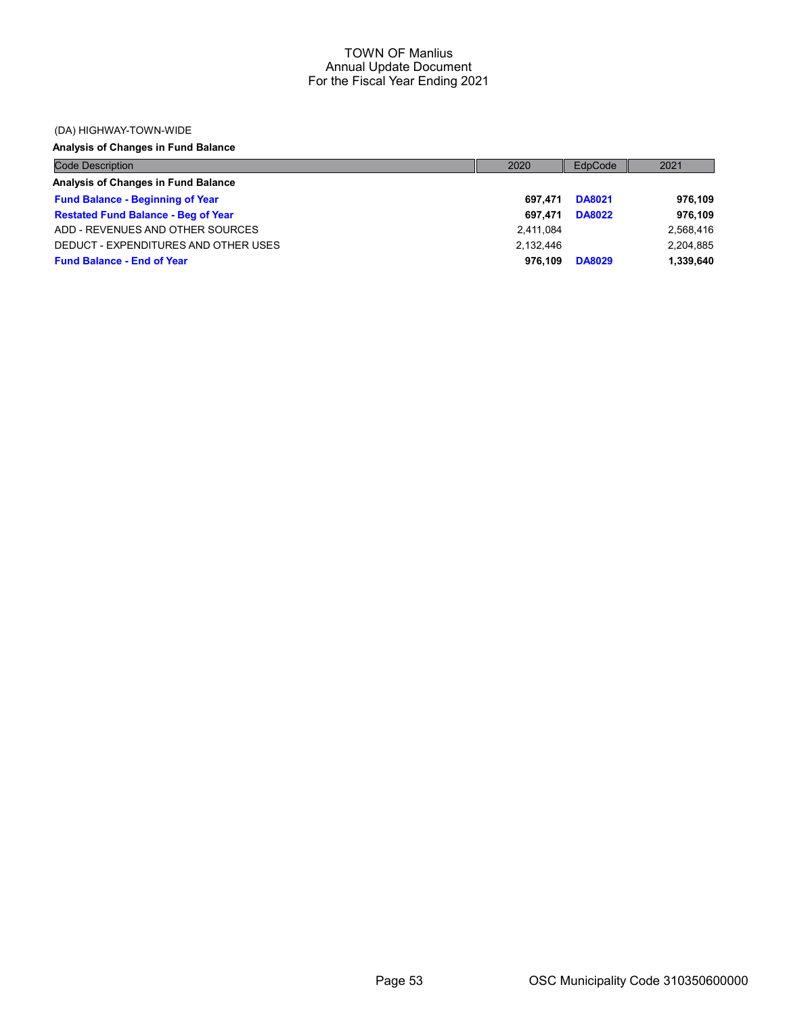#### (DA) HIGHWAY-TOWN-WIDE

# Analysis of Changes in Fund Balance

| <b>Code Description</b>                    | 2020      | EdpCode       | 2021      |
|--------------------------------------------|-----------|---------------|-----------|
| Analysis of Changes in Fund Balance        |           |               |           |
| <b>Fund Balance - Beginning of Year</b>    | 697.471   | <b>DA8021</b> | 976,109   |
| <b>Restated Fund Balance - Beg of Year</b> | 697.471   | <b>DA8022</b> | 976,109   |
| ADD - REVENUES AND OTHER SOURCES           | 2,411,084 |               | 2,568,416 |
| DEDUCT - EXPENDITURES AND OTHER USES       | 2.132.446 |               | 2,204,885 |
| <b>Fund Balance - End of Year</b>          | 976.109   | <b>DA8029</b> | 1,339,640 |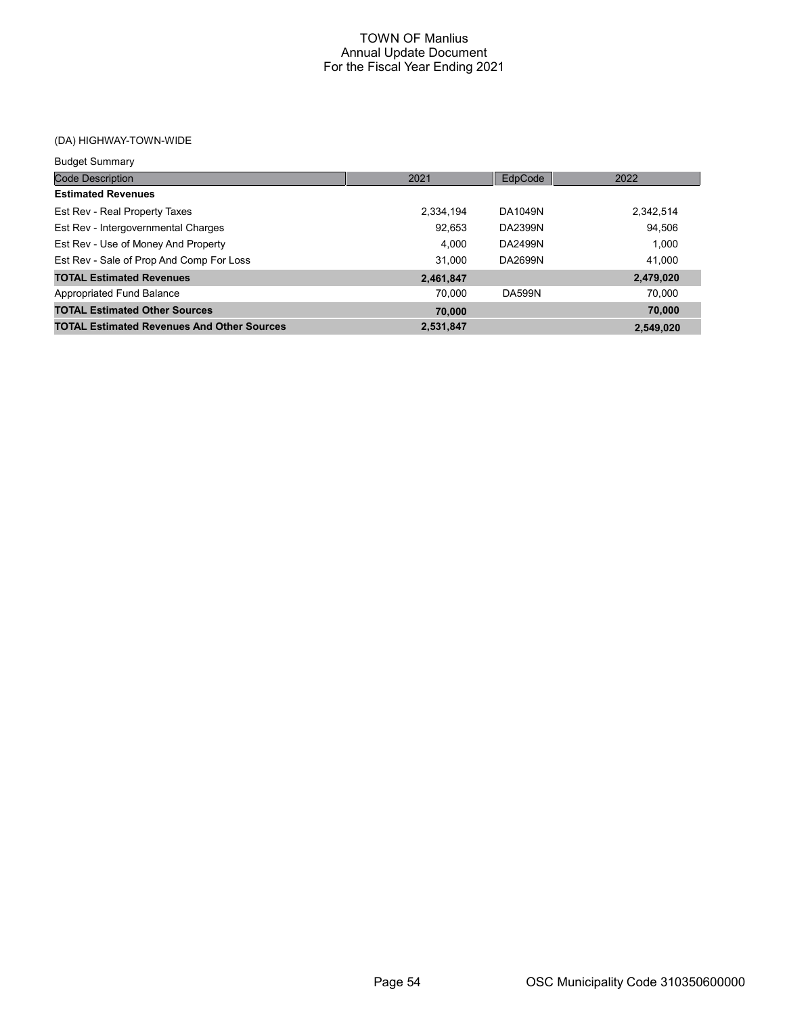| <b>Budget Summary</b>                             |           |               |           |
|---------------------------------------------------|-----------|---------------|-----------|
| <b>Code Description</b>                           | 2021      | EdpCode       | 2022      |
| <b>Estimated Revenues</b>                         |           |               |           |
| Est Rev - Real Property Taxes                     | 2,334,194 | DA1049N       | 2,342,514 |
| Est Rev - Intergovernmental Charges               | 92.653    | DA2399N       | 94.506    |
| Est Rev - Use of Money And Property               | 4.000     | DA2499N       | 1.000     |
| Est Rev - Sale of Prop And Comp For Loss          | 31.000    | DA2699N       | 41.000    |
| <b>TOTAL Estimated Revenues</b>                   | 2,461,847 |               | 2,479,020 |
| Appropriated Fund Balance                         | 70.000    | <b>DA599N</b> | 70.000    |
| <b>TOTAL Estimated Other Sources</b>              | 70,000    |               | 70,000    |
| <b>TOTAL Estimated Revenues And Other Sources</b> | 2,531,847 |               | 2.549.020 |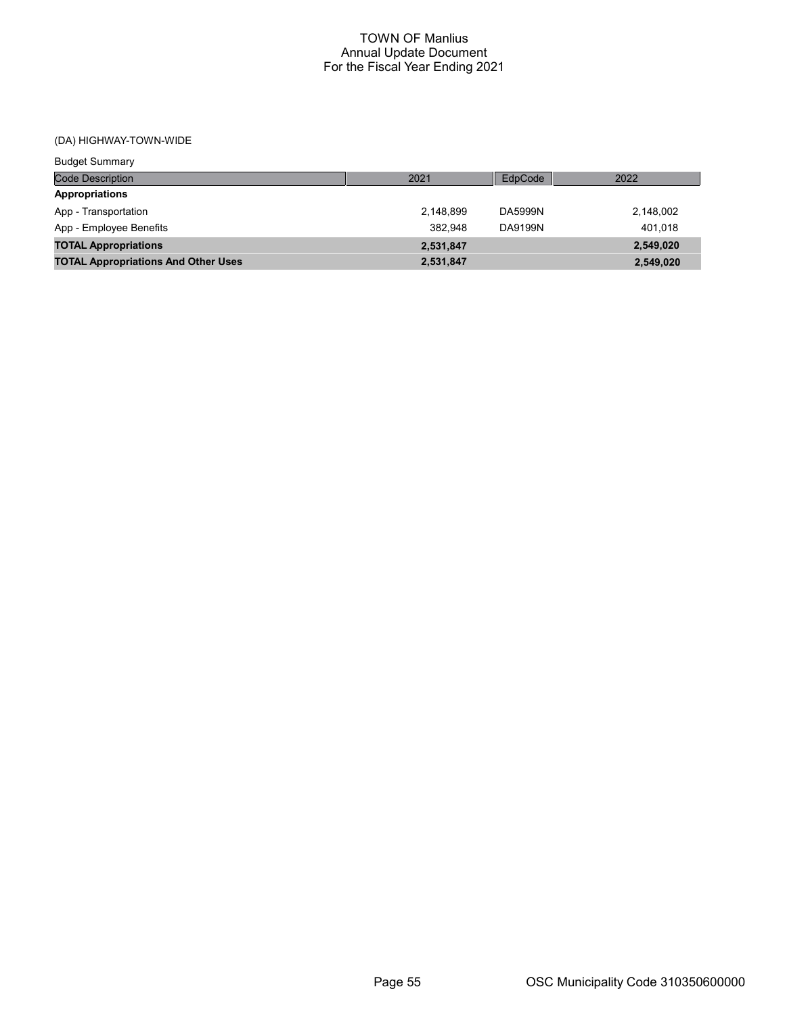| <b>Budget Summary</b>                      |           |         |           |
|--------------------------------------------|-----------|---------|-----------|
| <b>Code Description</b>                    | 2021      | EdpCode | 2022      |
| <b>Appropriations</b>                      |           |         |           |
| App - Transportation                       | 2,148,899 | DA5999N | 2,148,002 |
| App - Employee Benefits                    | 382.948   | DA9199N | 401.018   |
| <b>TOTAL Appropriations</b>                | 2,531,847 |         | 2,549,020 |
| <b>TOTAL Appropriations And Other Uses</b> | 2,531,847 |         | 2,549,020 |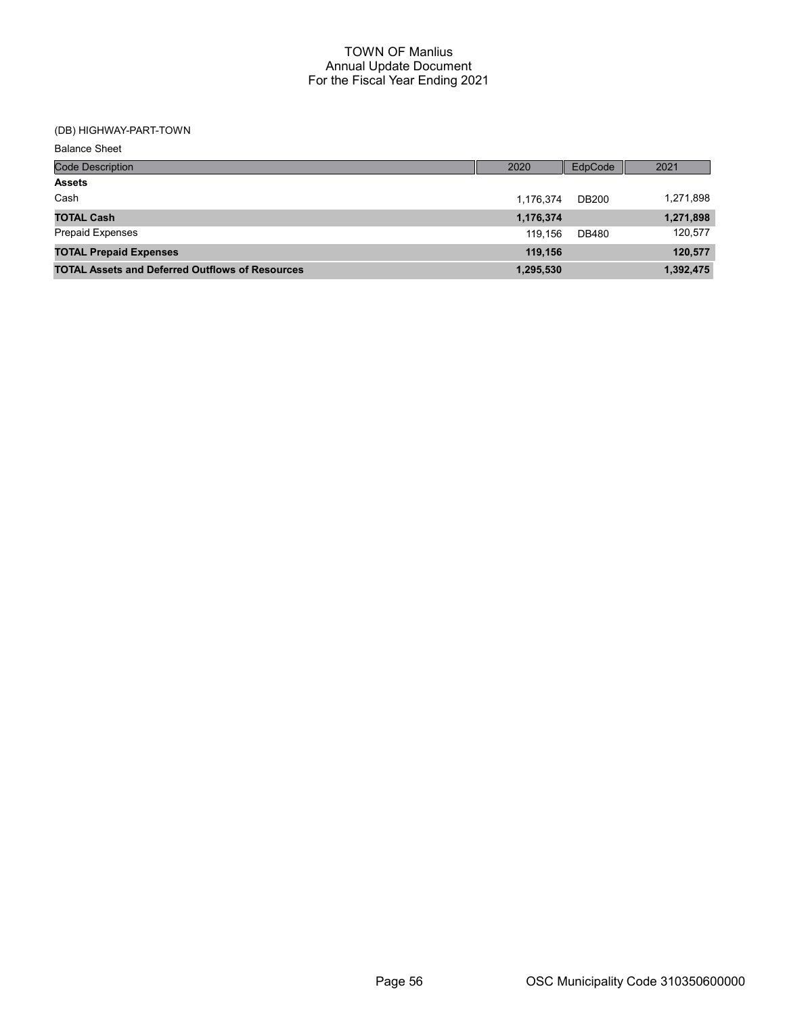# (DB) HIGHWAY-PART-TOWN

| <b>Balance Sheet</b>                                   |           |              |           |
|--------------------------------------------------------|-----------|--------------|-----------|
| <b>Code Description</b>                                | 2020      | EdpCode      | 2021      |
| <b>Assets</b>                                          |           |              |           |
| Cash                                                   | 1,176,374 | <b>DB200</b> | 1,271,898 |
| <b>TOTAL Cash</b>                                      | 1,176,374 |              | 1,271,898 |
| <b>Prepaid Expenses</b>                                | 119.156   | DB480        | 120,577   |
| <b>TOTAL Prepaid Expenses</b>                          | 119,156   |              | 120,577   |
| <b>TOTAL Assets and Deferred Outflows of Resources</b> | 1,295,530 |              | 1,392,475 |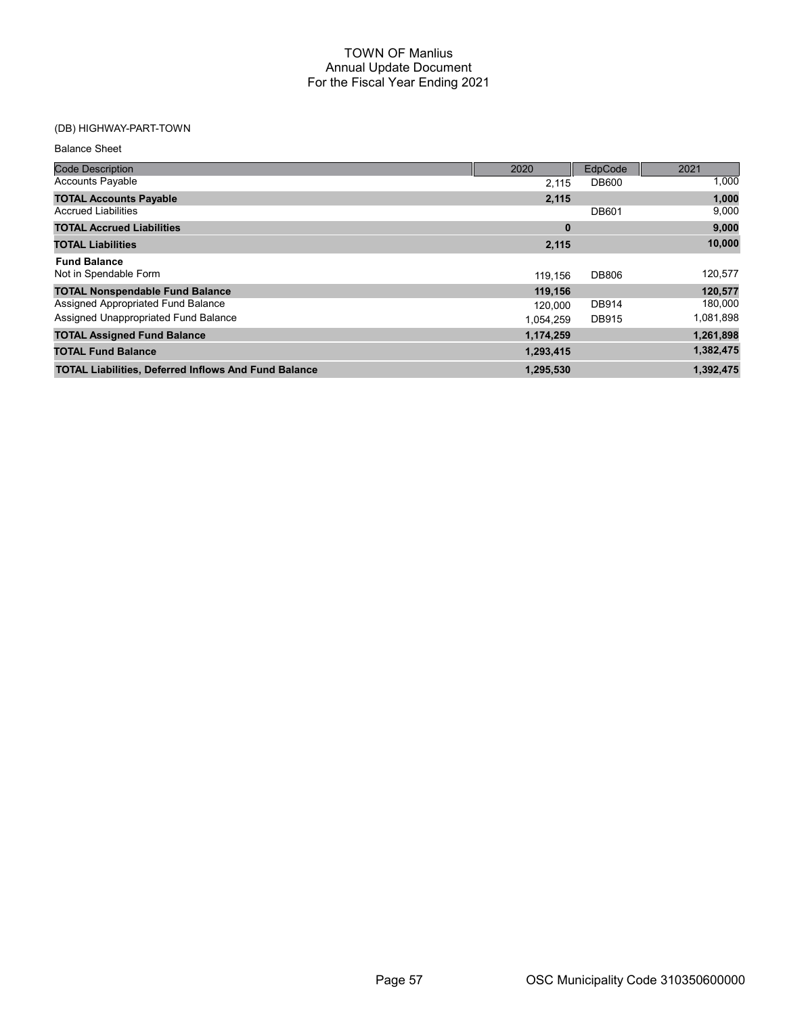# (DB) HIGHWAY-PART-TOWN

Balance Sheet

| <b>Code Description</b>                                     | 2020      | EdpCode      | 2021      |
|-------------------------------------------------------------|-----------|--------------|-----------|
| <b>Accounts Payable</b>                                     | 2.115     | <b>DB600</b> | 1,000     |
| <b>TOTAL Accounts Payable</b>                               | 2,115     |              | 1,000     |
| <b>Accrued Liabilities</b>                                  |           | <b>DB601</b> | 9,000     |
| <b>TOTAL Accrued Liabilities</b>                            | 0         |              | 9,000     |
| <b>TOTAL Liabilities</b>                                    | 2,115     |              | 10,000    |
| <b>Fund Balance</b>                                         |           |              |           |
| Not in Spendable Form                                       | 119.156   | <b>DB806</b> | 120,577   |
| <b>TOTAL Nonspendable Fund Balance</b>                      | 119,156   |              | 120,577   |
| Assigned Appropriated Fund Balance                          | 120,000   | <b>DB914</b> | 180,000   |
| Assigned Unappropriated Fund Balance                        | 1,054,259 | <b>DB915</b> | 1,081,898 |
| <b>TOTAL Assigned Fund Balance</b>                          | 1,174,259 |              | 1,261,898 |
| <b>TOTAL Fund Balance</b>                                   | 1,293,415 |              | 1,382,475 |
| <b>TOTAL Liabilities, Deferred Inflows And Fund Balance</b> | 1,295,530 |              | 1,392,475 |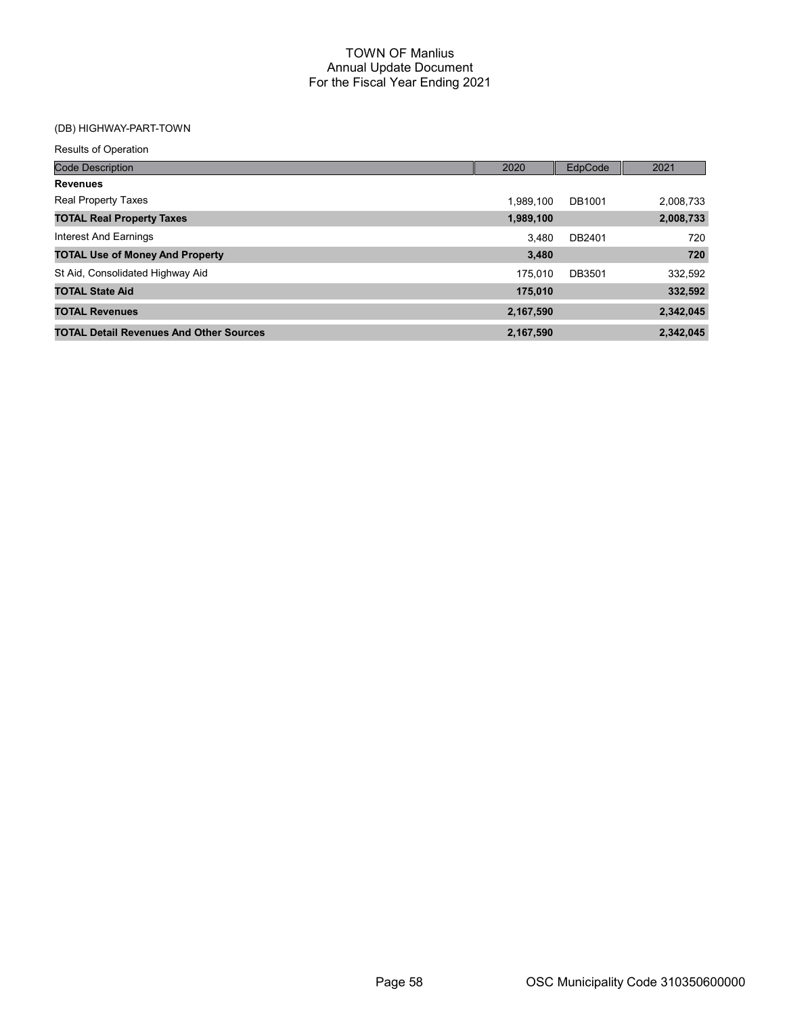# (DB) HIGHWAY-PART-TOWN

| <b>Results of Operation</b>                    |           |         |           |
|------------------------------------------------|-----------|---------|-----------|
| <b>Code Description</b>                        | 2020      | EdpCode | 2021      |
| <b>Revenues</b>                                |           |         |           |
| <b>Real Property Taxes</b>                     | 1.989.100 | DB1001  | 2,008,733 |
| <b>TOTAL Real Property Taxes</b>               | 1,989,100 |         | 2,008,733 |
| Interest And Earnings                          | 3.480     | DB2401  | 720       |
| <b>TOTAL Use of Money And Property</b>         | 3,480     |         | 720       |
| St Aid, Consolidated Highway Aid               | 175.010   | DB3501  | 332,592   |
| <b>TOTAL State Aid</b>                         | 175,010   |         | 332,592   |
| <b>TOTAL Revenues</b>                          | 2,167,590 |         | 2,342,045 |
| <b>TOTAL Detail Revenues And Other Sources</b> | 2,167,590 |         | 2,342,045 |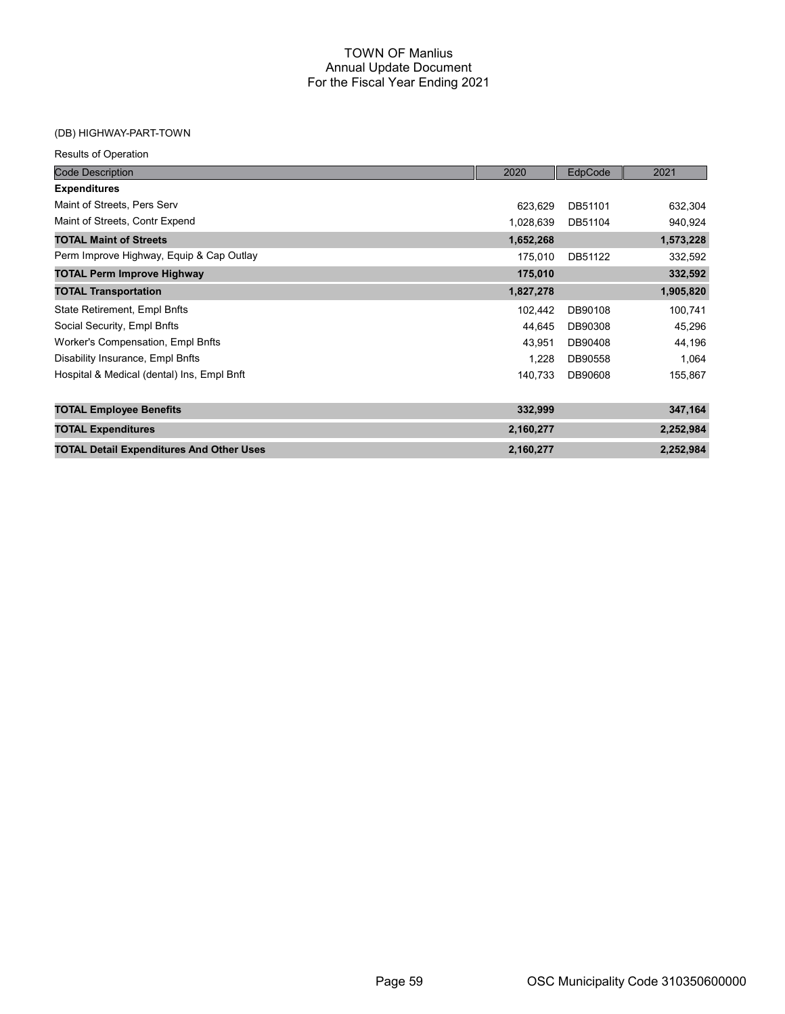## (DB) HIGHWAY-PART-TOWN

|  | <b>Results of Operation</b> |
|--|-----------------------------|
|  |                             |

| <b>Code Description</b>                         | 2020      | EdpCode | 2021      |
|-------------------------------------------------|-----------|---------|-----------|
| <b>Expenditures</b>                             |           |         |           |
| Maint of Streets, Pers Serv                     | 623,629   | DB51101 | 632,304   |
| Maint of Streets, Contr Expend                  | 1,028,639 | DB51104 | 940,924   |
| <b>TOTAL Maint of Streets</b>                   | 1,652,268 |         | 1,573,228 |
| Perm Improve Highway, Equip & Cap Outlay        | 175,010   | DB51122 | 332,592   |
| <b>TOTAL Perm Improve Highway</b>               | 175,010   |         | 332,592   |
| <b>TOTAL Transportation</b>                     | 1,827,278 |         | 1,905,820 |
| State Retirement, Empl Bnfts                    | 102,442   | DB90108 | 100,741   |
| Social Security, Empl Bnfts                     | 44,645    | DB90308 | 45,296    |
| Worker's Compensation, Empl Bnfts               | 43,951    | DB90408 | 44,196    |
| Disability Insurance, Empl Bnfts                | 1,228     | DB90558 | 1,064     |
| Hospital & Medical (dental) Ins, Empl Bnft      | 140,733   | DB90608 | 155,867   |
| <b>TOTAL Employee Benefits</b>                  | 332,999   |         | 347,164   |
| <b>TOTAL Expenditures</b>                       | 2,160,277 |         | 2,252,984 |
| <b>TOTAL Detail Expenditures And Other Uses</b> | 2,160,277 |         | 2,252,984 |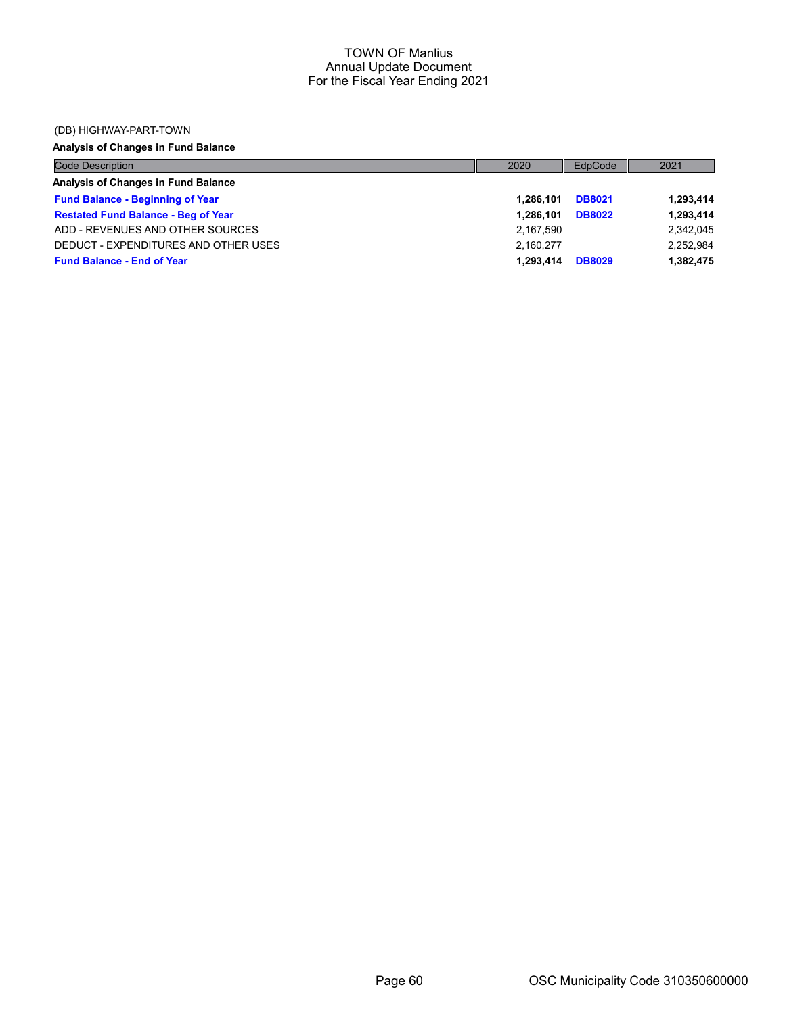#### (DB) HIGHWAY-PART-TOWN

# Analysis of Changes in Fund Balance

| <b>Code Description</b>                    | 2020      | EdpCode       | 2021      |
|--------------------------------------------|-----------|---------------|-----------|
| Analysis of Changes in Fund Balance        |           |               |           |
| <b>Fund Balance - Beginning of Year</b>    | 1.286.101 | <b>DB8021</b> | 1,293,414 |
| <b>Restated Fund Balance - Beg of Year</b> | 1.286.101 | <b>DB8022</b> | 1,293,414 |
| ADD - REVENUES AND OTHER SOURCES           | 2,167,590 |               | 2,342,045 |
| DEDUCT - EXPENDITURES AND OTHER USES       | 2.160.277 |               | 2,252,984 |
| <b>Fund Balance - End of Year</b>          | 1.293.414 | <b>DB8029</b> | 1,382,475 |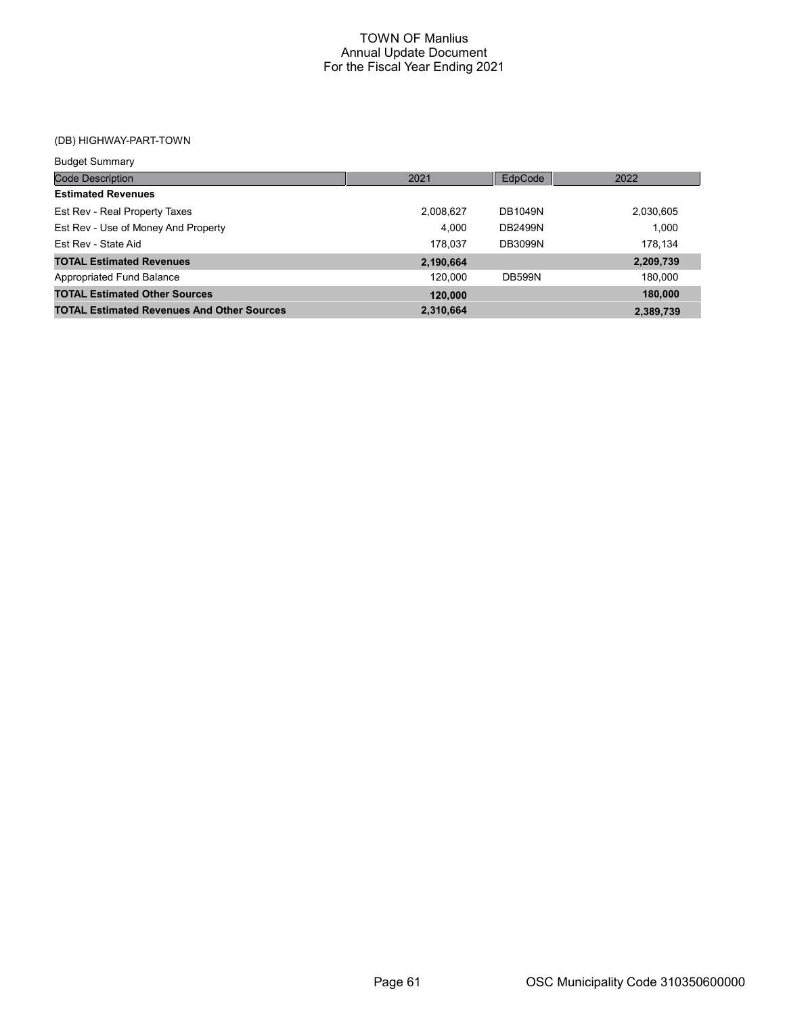(DB) HIGHWAY-PART-TOWN

| <b>Budget Summary</b>                             |           |                |           |
|---------------------------------------------------|-----------|----------------|-----------|
| <b>Code Description</b>                           | 2021      | EdpCode        | 2022      |
| <b>Estimated Revenues</b>                         |           |                |           |
| Est Rev - Real Property Taxes                     | 2,008,627 | <b>DB1049N</b> | 2,030,605 |
| Est Rev - Use of Money And Property               | 4.000     | <b>DB2499N</b> | 1.000     |
| <b>Fst Rev - State Aid</b>                        | 178.037   | <b>DB3099N</b> | 178,134   |
| <b>TOTAL Estimated Revenues</b>                   | 2,190,664 |                | 2,209,739 |
| Appropriated Fund Balance                         | 120.000   | <b>DB599N</b>  | 180,000   |
| <b>TOTAL Estimated Other Sources</b>              | 120,000   |                | 180,000   |
| <b>TOTAL Estimated Revenues And Other Sources</b> | 2,310,664 |                | 2,389,739 |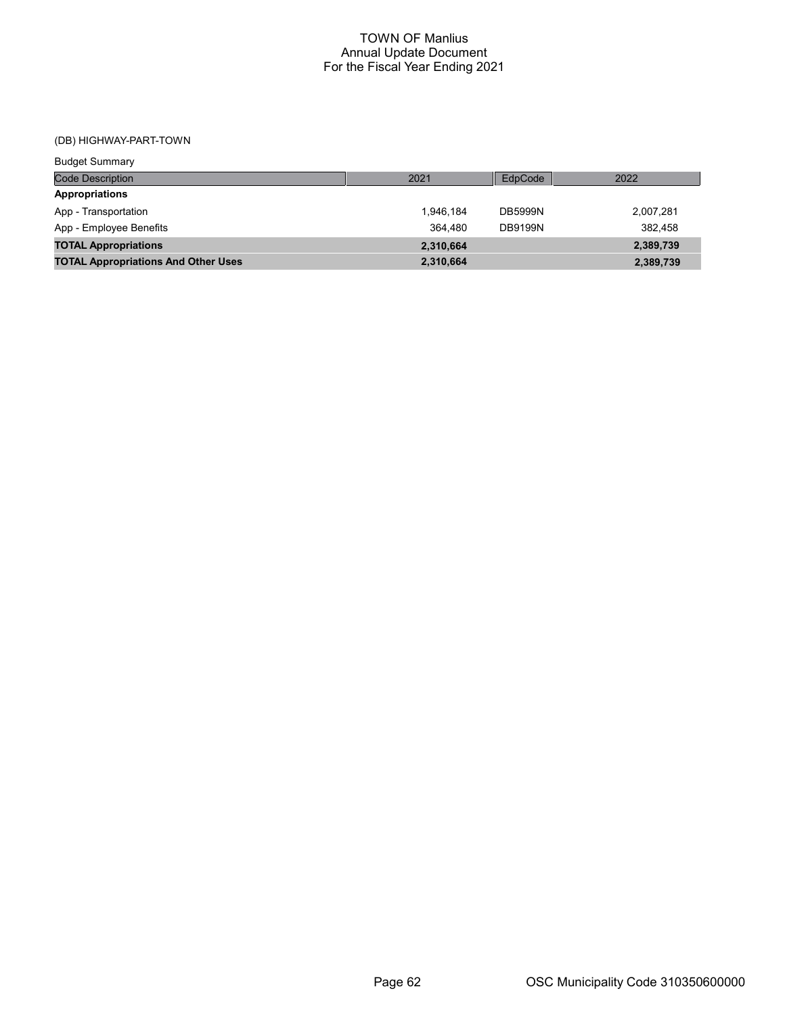(DB) HIGHWAY-PART-TOWN

| <b>Budget Summary</b>                      |           |                |           |
|--------------------------------------------|-----------|----------------|-----------|
| <b>Code Description</b>                    | 2021      | EdpCode        | 2022      |
| <b>Appropriations</b>                      |           |                |           |
| App - Transportation                       | 1.946.184 | <b>DB5999N</b> | 2,007,281 |
| App - Employee Benefits                    | 364.480   | <b>DB9199N</b> | 382.458   |
| <b>TOTAL Appropriations</b>                | 2,310,664 |                | 2,389,739 |
| <b>TOTAL Appropriations And Other Uses</b> | 2,310,664 |                | 2,389,739 |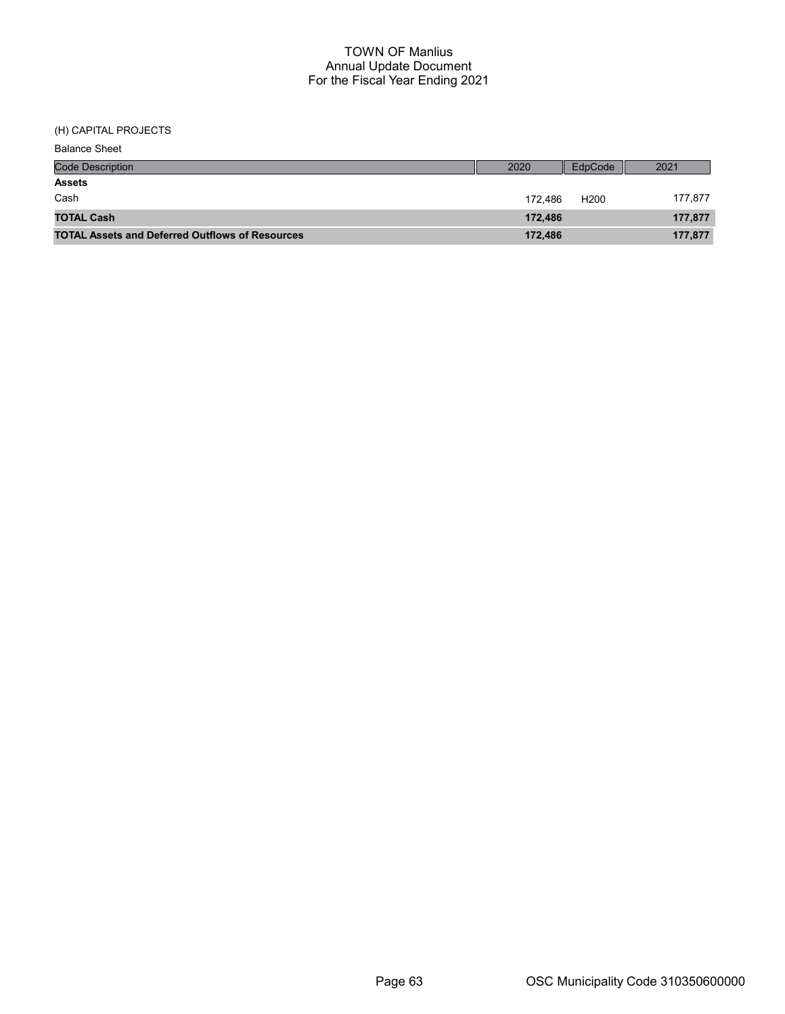(H) CAPITAL PROJECTS

| <b>Balance Sheet</b>                                   |         |                  |         |
|--------------------------------------------------------|---------|------------------|---------|
| <b>Code Description</b>                                | 2020    | EdpCode          | 2021    |
| <b>Assets</b>                                          |         |                  |         |
| Cash                                                   | 172.486 | H <sub>200</sub> | 177,877 |
| <b>TOTAL Cash</b>                                      | 172.486 |                  | 177,877 |
| <b>TOTAL Assets and Deferred Outflows of Resources</b> | 172,486 |                  | 177,877 |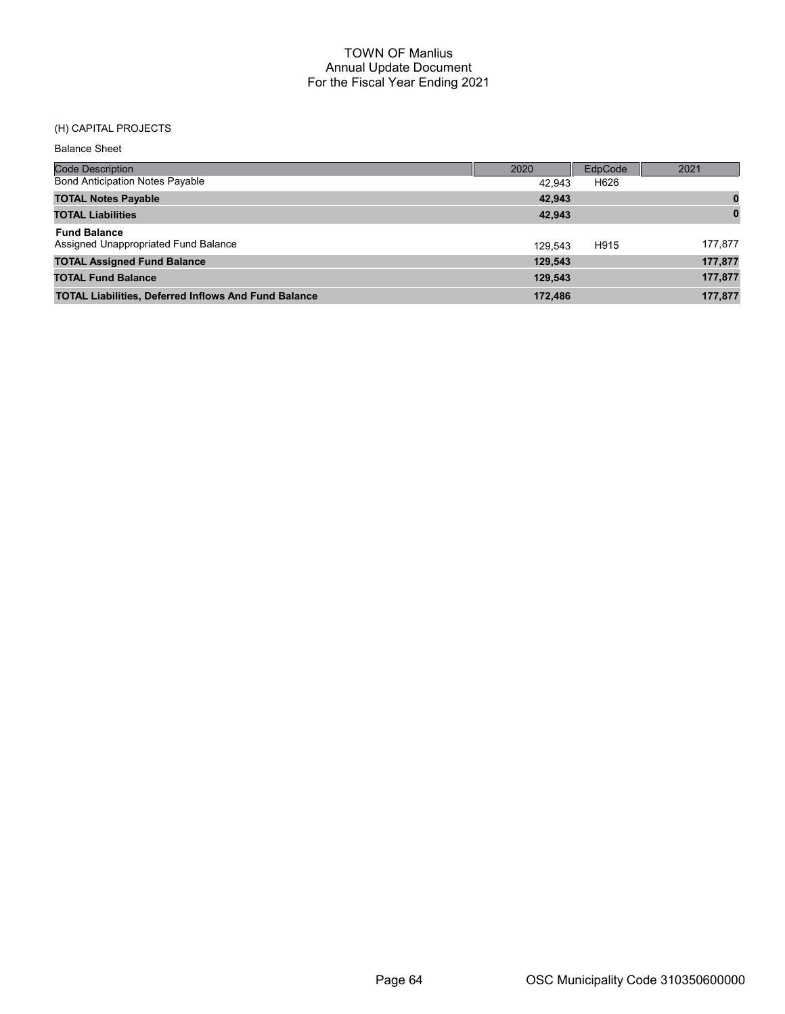# (H) CAPITAL PROJECTS

| <b>Balance Sheet</b>                                        |         |                |          |
|-------------------------------------------------------------|---------|----------------|----------|
| <b>Code Description</b>                                     | 2020    | <b>EdpCode</b> | 2021     |
| <b>Bond Anticipation Notes Payable</b>                      | 42.943  | H626           |          |
| <b>TOTAL Notes Payable</b>                                  | 42,943  |                |          |
| <b>TOTAL Liabilities</b>                                    | 42,943  |                | $\bf{0}$ |
| <b>Fund Balance</b>                                         |         |                |          |
| Assigned Unappropriated Fund Balance                        | 129.543 | H915           | 177,877  |
| <b>TOTAL Assigned Fund Balance</b>                          | 129,543 |                | 177,877  |
| <b>TOTAL Fund Balance</b>                                   | 129,543 |                | 177,877  |
| <b>TOTAL Liabilities, Deferred Inflows And Fund Balance</b> | 172.486 |                | 177,877  |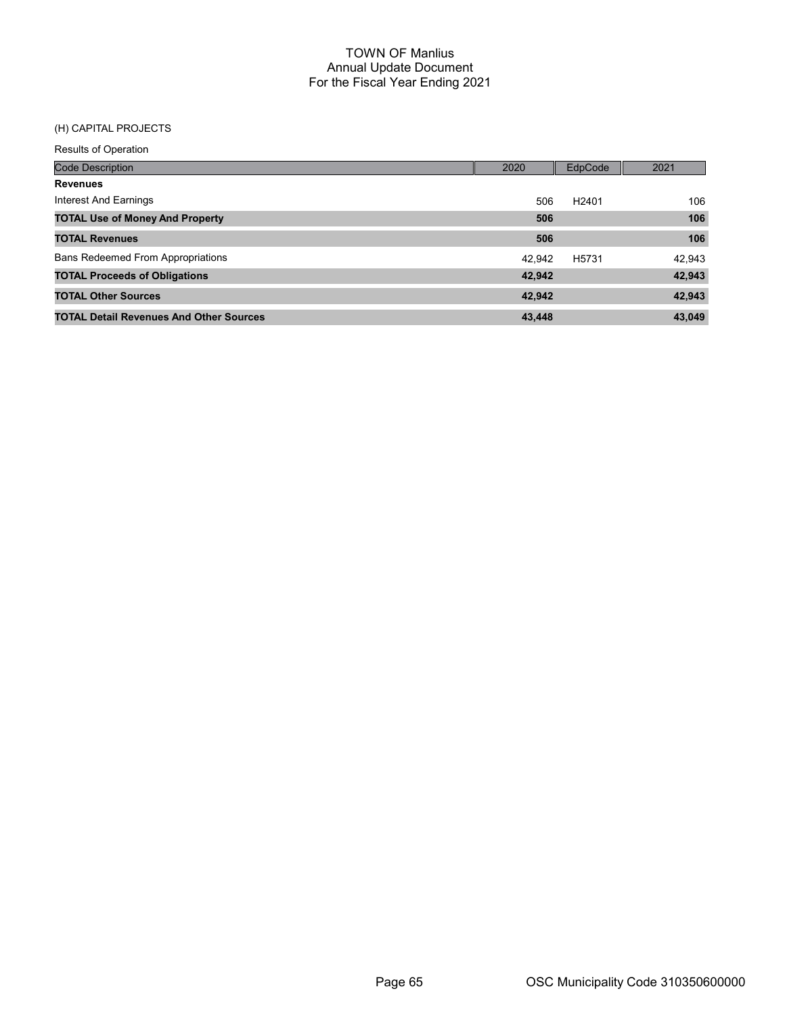# (H) CAPITAL PROJECTS

Results of Operation

| <b>Code Description</b>                        | 2020   | EdpCode           | 2021   |
|------------------------------------------------|--------|-------------------|--------|
| <b>Revenues</b>                                |        |                   |        |
| Interest And Earnings                          | 506    | H <sub>2401</sub> | 106    |
| <b>TOTAL Use of Money And Property</b>         | 506    |                   | 106    |
| <b>TOTAL Revenues</b>                          | 506    |                   | 106    |
| <b>Bans Redeemed From Appropriations</b>       | 42.942 | H <sub>5731</sub> | 42,943 |
| <b>TOTAL Proceeds of Obligations</b>           | 42,942 |                   | 42,943 |
| <b>TOTAL Other Sources</b>                     | 42.942 |                   | 42,943 |
| <b>TOTAL Detail Revenues And Other Sources</b> | 43,448 |                   | 43,049 |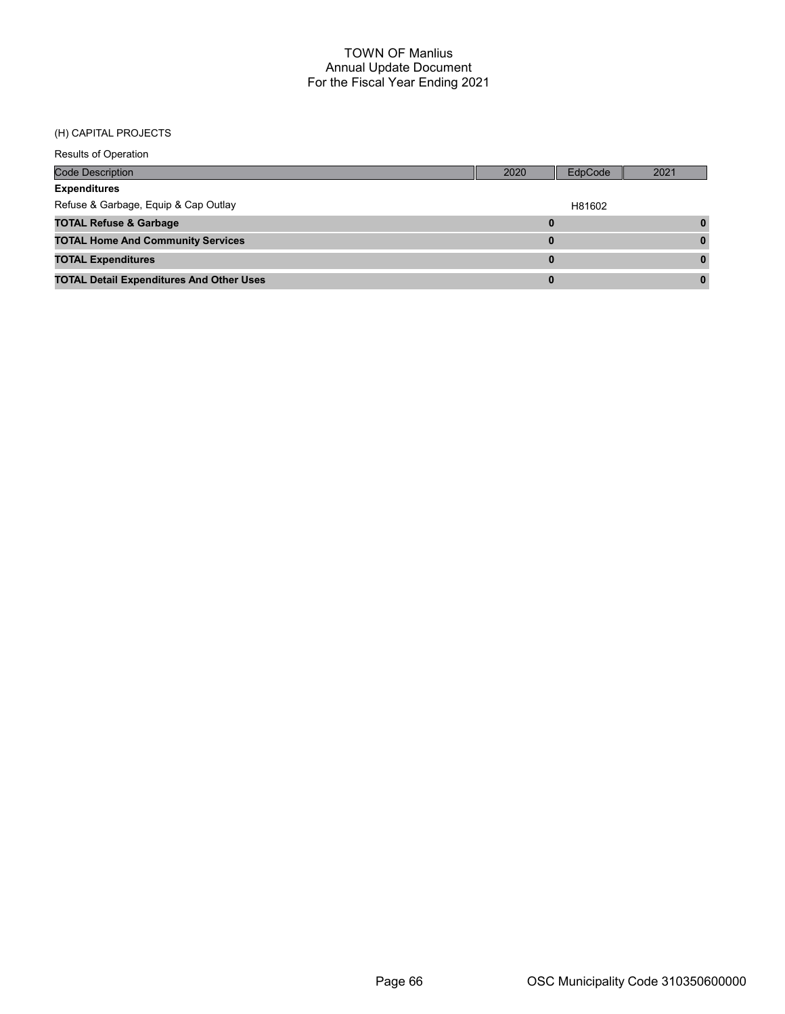#### (H) CAPITAL PROJECTS

| <b>Results of Operation</b>                     |      |         |      |
|-------------------------------------------------|------|---------|------|
| Code Description                                | 2020 | EdpCode | 2021 |
| <b>Expenditures</b>                             |      |         |      |
| Refuse & Garbage, Equip & Cap Outlay            |      | H81602  |      |
| <b>TOTAL Refuse &amp; Garbage</b>               | 0    |         |      |
| <b>TOTAL Home And Community Services</b>        | 0    |         |      |
| <b>TOTAL Expenditures</b>                       | 0    |         |      |
| <b>TOTAL Detail Expenditures And Other Uses</b> | 0    |         |      |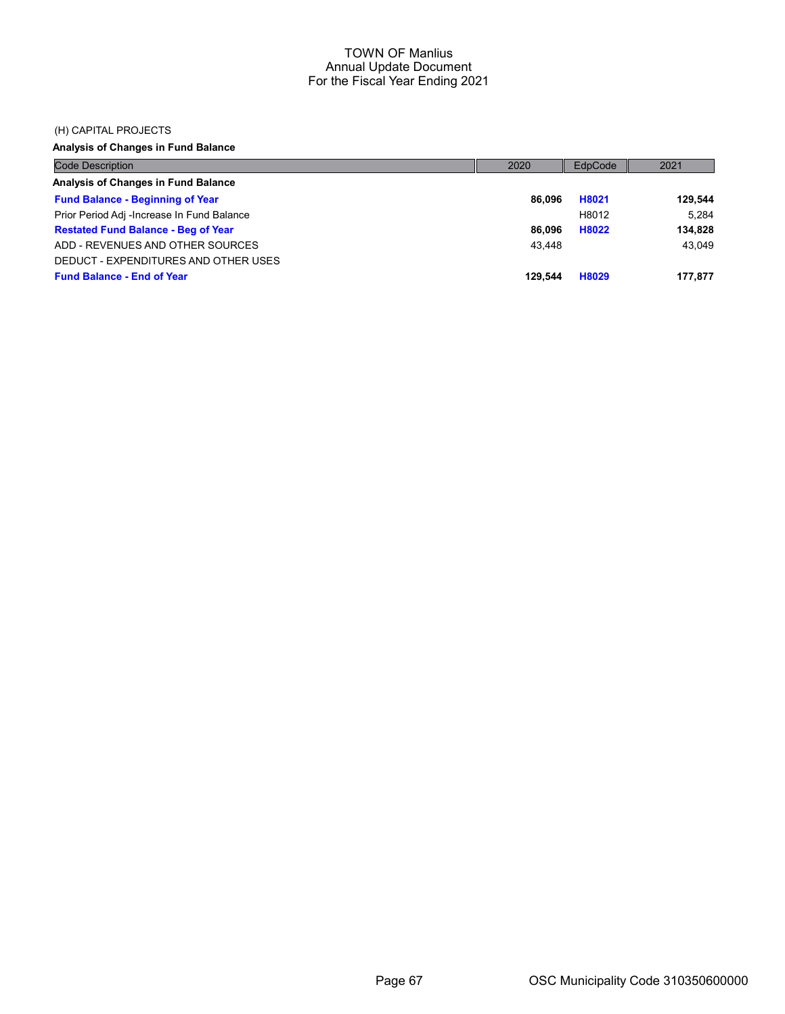#### (H) CAPITAL PROJECTS

Analysis of Changes in Fund Balance

| <b>Code Description</b>                    | 2020    | EdpCode | 2021    |
|--------------------------------------------|---------|---------|---------|
| Analysis of Changes in Fund Balance        |         |         |         |
| <b>Fund Balance - Beginning of Year</b>    | 86.096  | H8021   | 129.544 |
| Prior Period Adj -Increase In Fund Balance |         | H8012   | 5.284   |
| <b>Restated Fund Balance - Beg of Year</b> | 86.096  | H8022   | 134,828 |
| ADD - REVENUES AND OTHER SOURCES           | 43.448  |         | 43.049  |
| DEDUCT - EXPENDITURES AND OTHER USES       |         |         |         |
| <b>Fund Balance - End of Year</b>          | 129.544 | H8029   | 177,877 |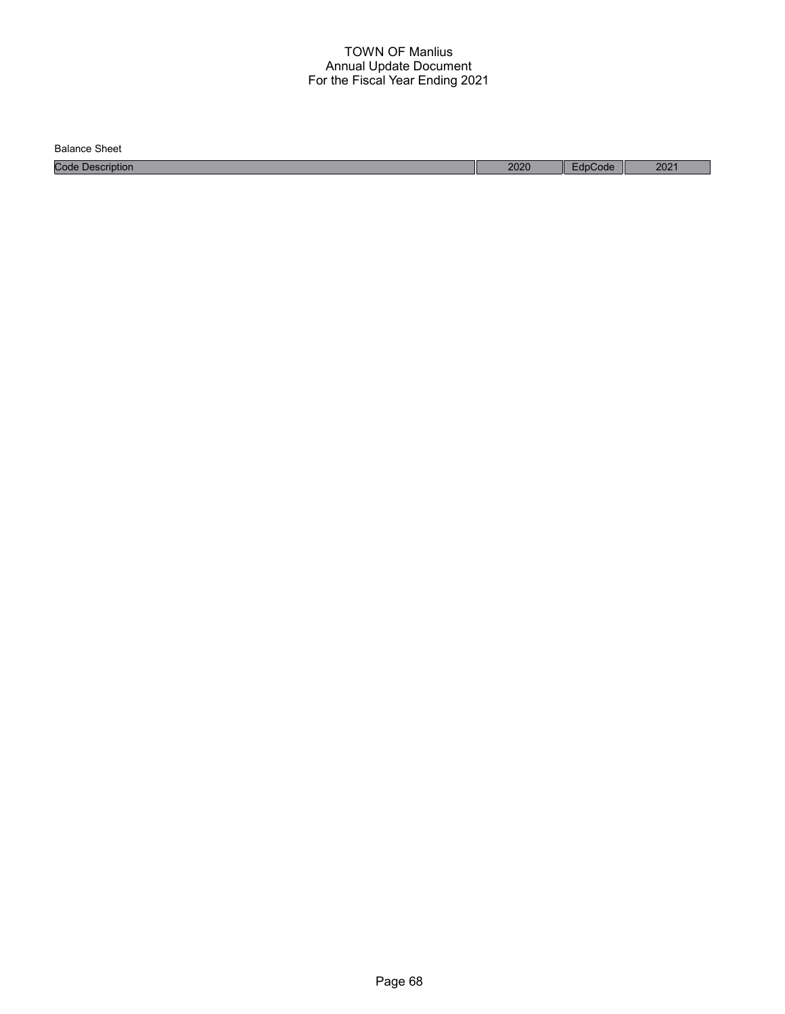Balance Sheet

Code Description 2020 EdpCode 2021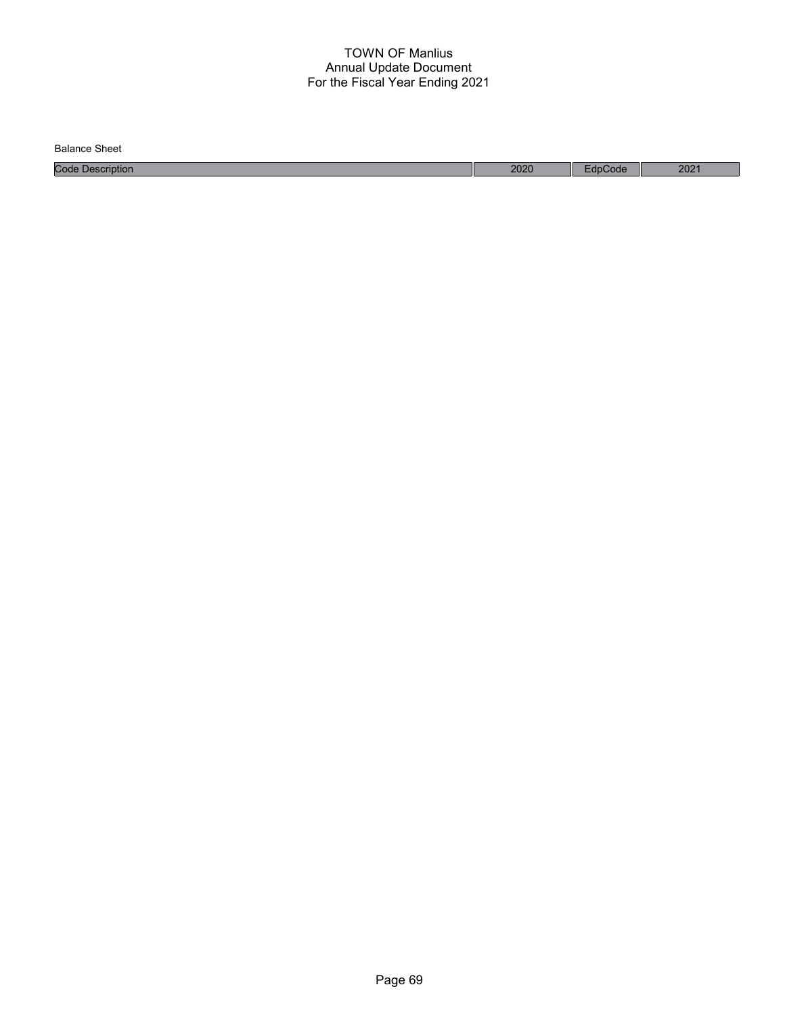Code Description 2020 EdpCode 2021 Balance Sheet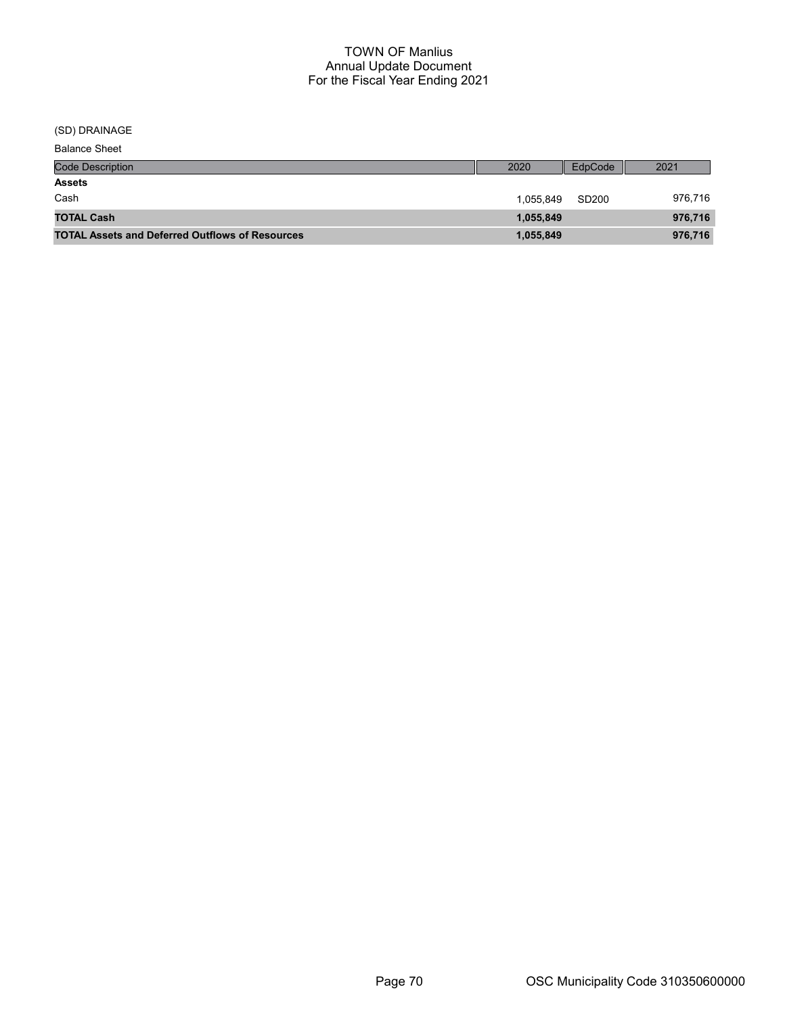(SD) DRAINAGE

| Balance Sheet |  |
|---------------|--|
|---------------|--|

| <b>Code Description</b>                                | 2020      | EdpCode           | 2021    |
|--------------------------------------------------------|-----------|-------------------|---------|
| <b>Assets</b>                                          |           |                   |         |
| Cash                                                   | 1.055.849 | SD <sub>200</sub> | 976,716 |
| <b>TOTAL Cash</b>                                      | 1,055,849 |                   | 976,716 |
| <b>TOTAL Assets and Deferred Outflows of Resources</b> | 1,055,849 |                   | 976,716 |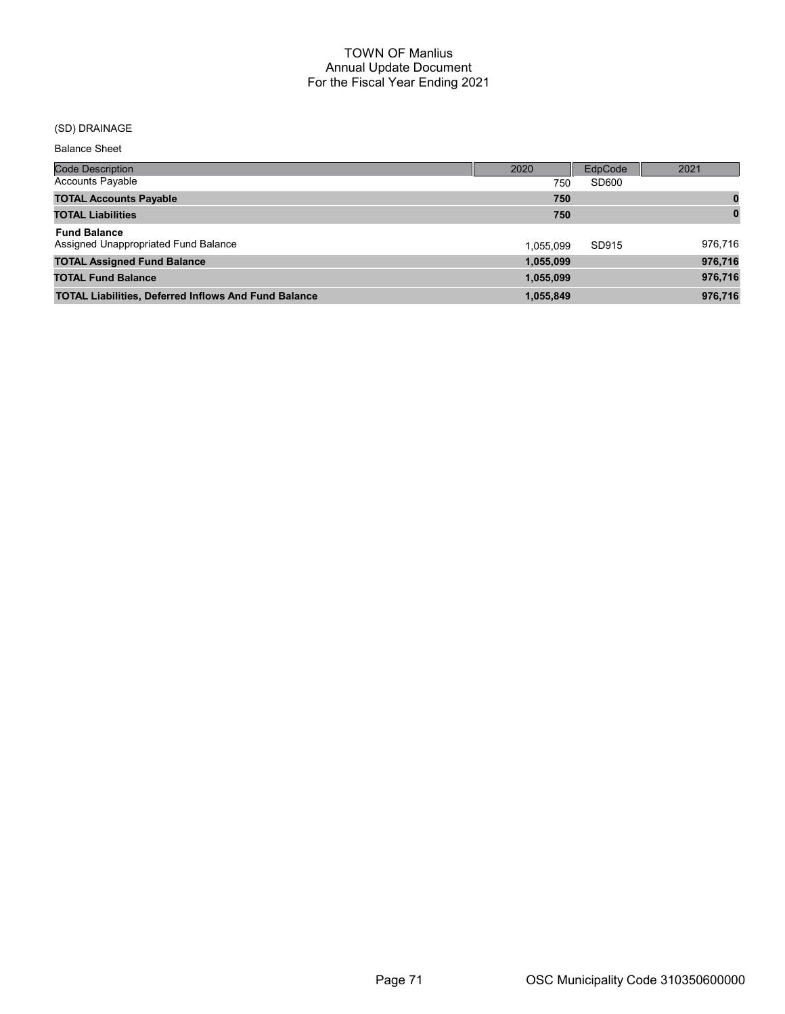# (SD) DRAINAGE

Balance Sheet

| Code Description                                            | 2020      | EdpCode | 2021         |
|-------------------------------------------------------------|-----------|---------|--------------|
| Accounts Payable                                            | 750       | SD600   |              |
| <b>TOTAL Accounts Payable</b>                               | 750       |         | 0            |
| <b>TOTAL Liabilities</b>                                    | 750       |         | $\mathbf{0}$ |
| <b>Fund Balance</b><br>Assigned Unappropriated Fund Balance | 1.055.099 | SD915   | 976,716      |
| <b>TOTAL Assigned Fund Balance</b>                          | 1,055,099 |         | 976,716      |
| <b>TOTAL Fund Balance</b>                                   | 1,055,099 |         | 976,716      |
| <b>TOTAL Liabilities, Deferred Inflows And Fund Balance</b> | 1,055,849 |         | 976,716      |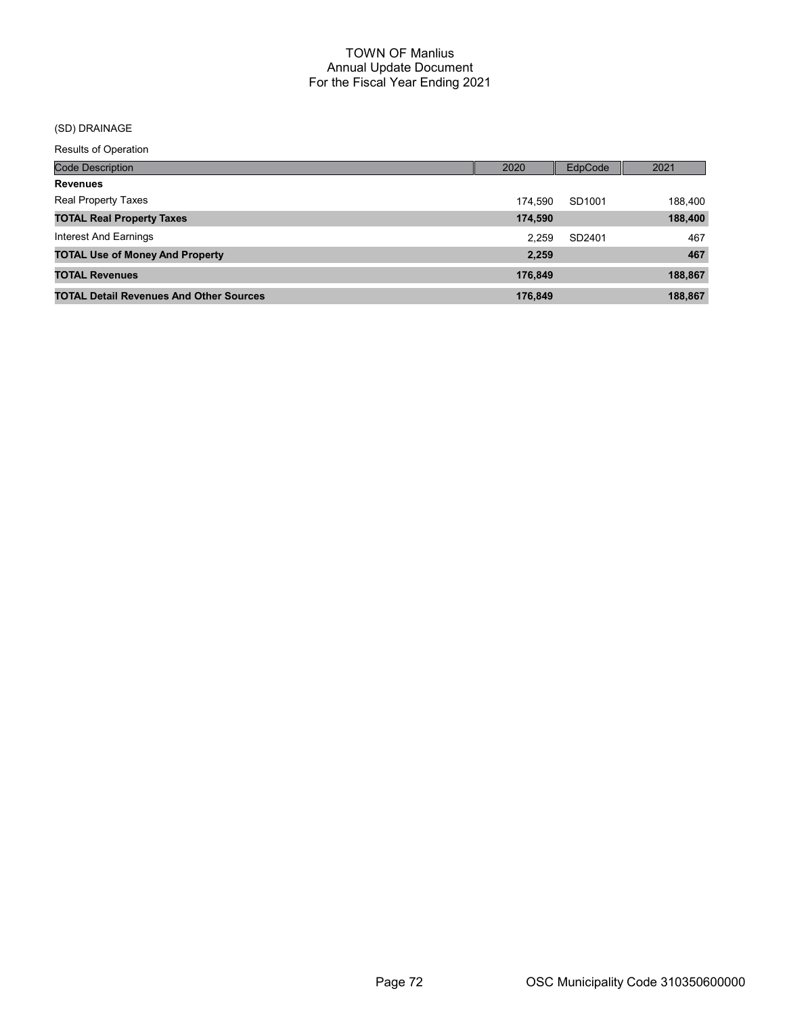# (SD) DRAINAGE

Results of Operation

| <b>Code Description</b>                        | 2020    | <b>EdpCode</b> | 2021    |
|------------------------------------------------|---------|----------------|---------|
| <b>Revenues</b>                                |         |                |         |
| <b>Real Property Taxes</b>                     | 174.590 | SD1001         | 188,400 |
| <b>TOTAL Real Property Taxes</b>               | 174,590 |                | 188,400 |
| Interest And Earnings                          | 2.259   | SD2401         | 467     |
| <b>TOTAL Use of Money And Property</b>         | 2,259   |                | 467     |
| <b>TOTAL Revenues</b>                          | 176,849 |                | 188,867 |
| <b>TOTAL Detail Revenues And Other Sources</b> | 176.849 |                | 188,867 |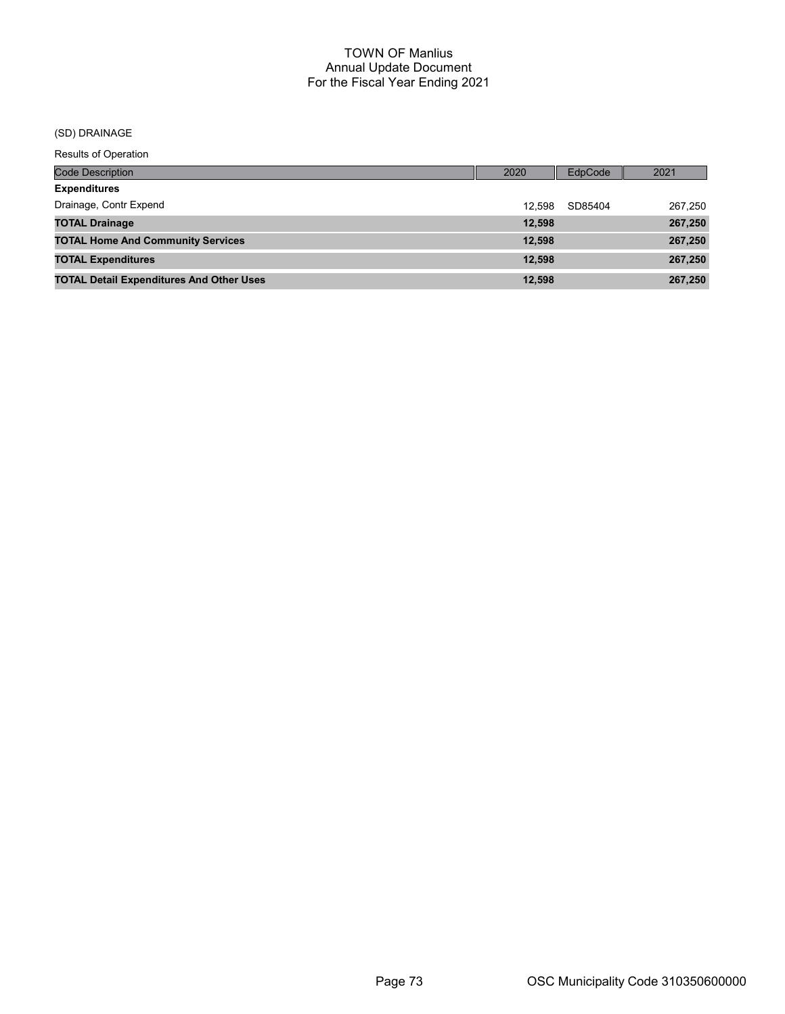# (SD) DRAINAGE

Results of Operation

| <b>Code Description</b>                         | 2020   | EdpCode | 2021    |
|-------------------------------------------------|--------|---------|---------|
| <b>Expenditures</b>                             |        |         |         |
| Drainage, Contr Expend                          | 12.598 | SD85404 | 267,250 |
| <b>TOTAL Drainage</b>                           | 12,598 |         | 267,250 |
| <b>TOTAL Home And Community Services</b>        | 12,598 |         | 267,250 |
| <b>TOTAL Expenditures</b>                       | 12.598 |         | 267,250 |
| <b>TOTAL Detail Expenditures And Other Uses</b> | 12,598 |         | 267,250 |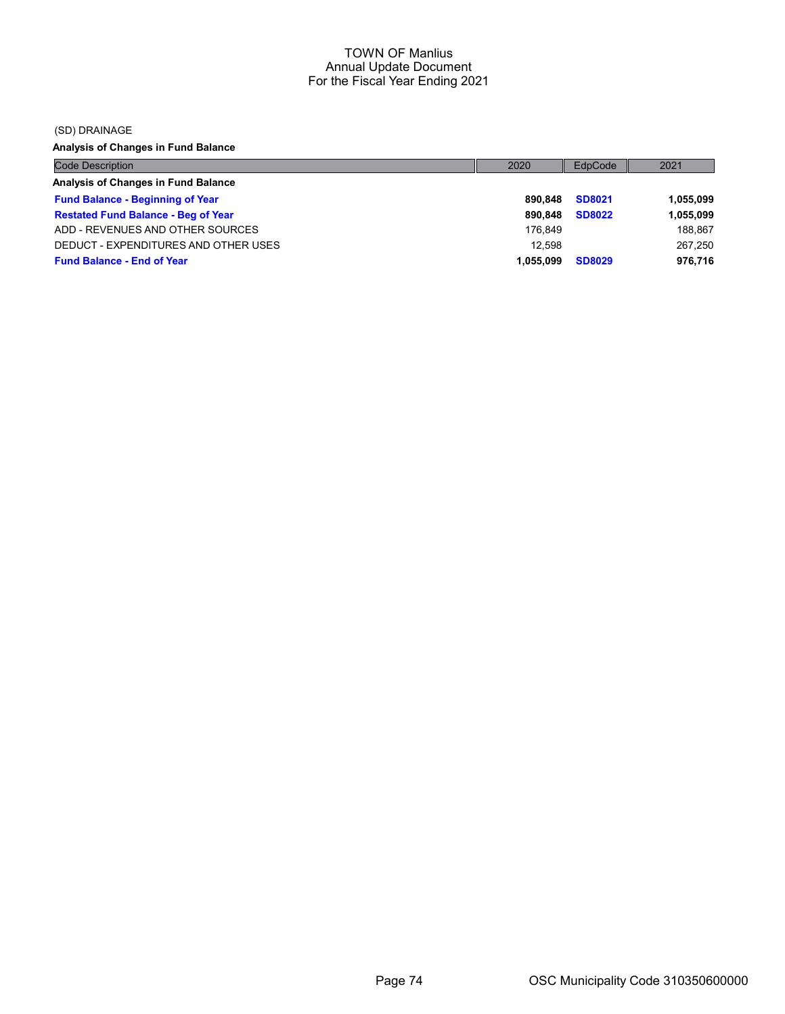(SD) DRAINAGE

Analysis of Changes in Fund Balance

| <b>Code Description</b>                    | 2020      | EdpCode       | 2021      |
|--------------------------------------------|-----------|---------------|-----------|
| Analysis of Changes in Fund Balance        |           |               |           |
| <b>Fund Balance - Beginning of Year</b>    | 890.848   | <b>SD8021</b> | 1,055,099 |
| <b>Restated Fund Balance - Beg of Year</b> | 890.848   | <b>SD8022</b> | 1,055,099 |
| ADD - REVENUES AND OTHER SOURCES           | 176.849   |               | 188.867   |
| DEDUCT - EXPENDITURES AND OTHER USES       | 12.598    |               | 267,250   |
| <b>Fund Balance - End of Year</b>          | 1.055.099 | <b>SD8029</b> | 976,716   |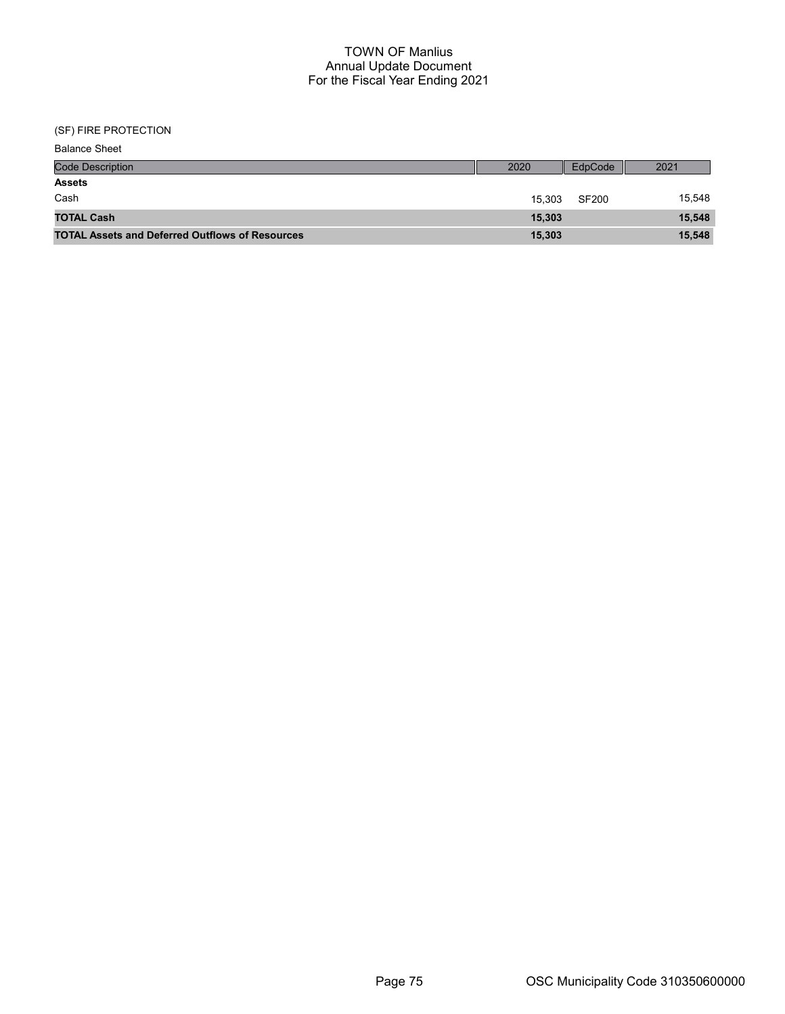| <b>Balance Sheet</b>                                   |        |              |        |
|--------------------------------------------------------|--------|--------------|--------|
| <b>Code Description</b>                                | 2020   | EdpCode      | 2021   |
| <b>Assets</b>                                          |        |              |        |
| Cash                                                   | 15.303 | <b>SF200</b> | 15,548 |
| <b>TOTAL Cash</b>                                      | 15,303 |              | 15,548 |
| <b>TOTAL Assets and Deferred Outflows of Resources</b> | 15,303 |              | 15,548 |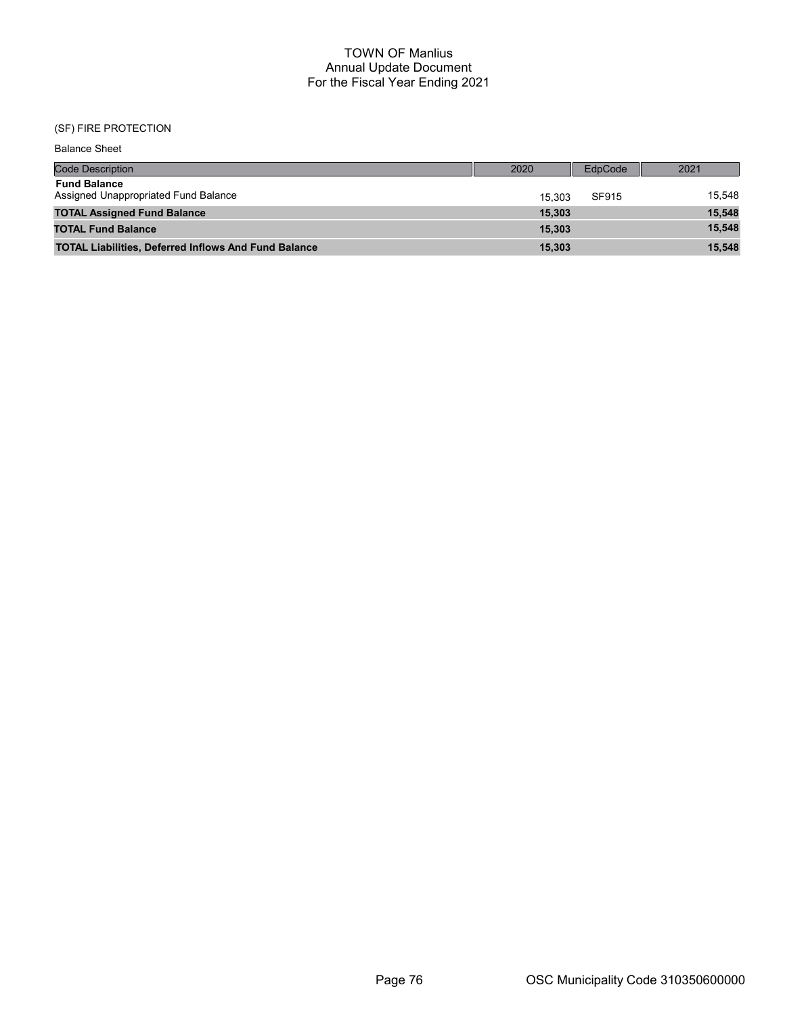| <b>Balance Sheet</b>                                        |        |         |        |
|-------------------------------------------------------------|--------|---------|--------|
| <b>Code Description</b>                                     | 2020   | EdpCode | 2021   |
| <b>Fund Balance</b><br>Assigned Unappropriated Fund Balance | 15.303 | SF915   | 15.548 |
| <b>TOTAL Assigned Fund Balance</b>                          | 15,303 |         | 15,548 |
| <b>TOTAL Fund Balance</b>                                   | 15.303 |         | 15,548 |
| <b>TOTAL Liabilities, Deferred Inflows And Fund Balance</b> | 15.303 |         | 15,548 |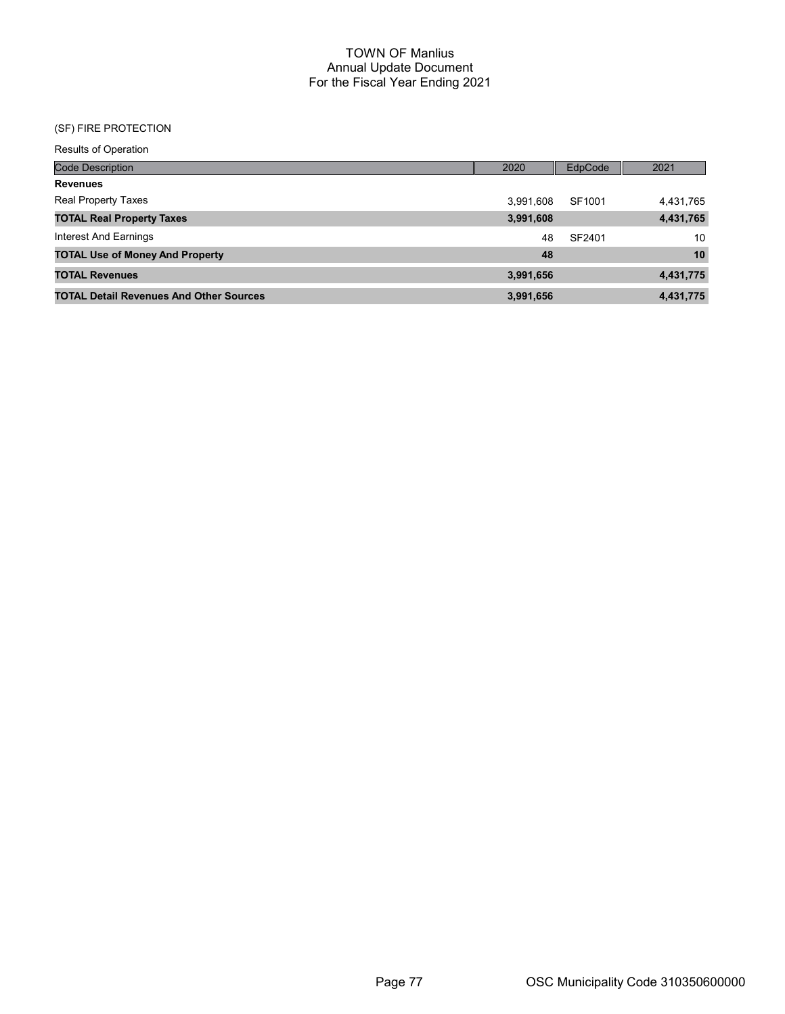| <b>Results of Operation</b> |  |
|-----------------------------|--|
| <b>Code Description</b>     |  |

| <b>Code Description</b>                        | 2020      | EdpCode | 2021      |
|------------------------------------------------|-----------|---------|-----------|
| Revenues                                       |           |         |           |
| Real Property Taxes                            | 3,991,608 | SF1001  | 4,431,765 |
| <b>TOTAL Real Property Taxes</b>               | 3,991,608 |         | 4,431,765 |
| Interest And Earnings                          | 48        | SF2401  | 10        |
| <b>TOTAL Use of Money And Property</b>         | 48        |         | 10        |
| <b>TOTAL Revenues</b>                          | 3,991,656 |         | 4,431,775 |
| <b>TOTAL Detail Revenues And Other Sources</b> | 3,991,656 |         | 4,431,775 |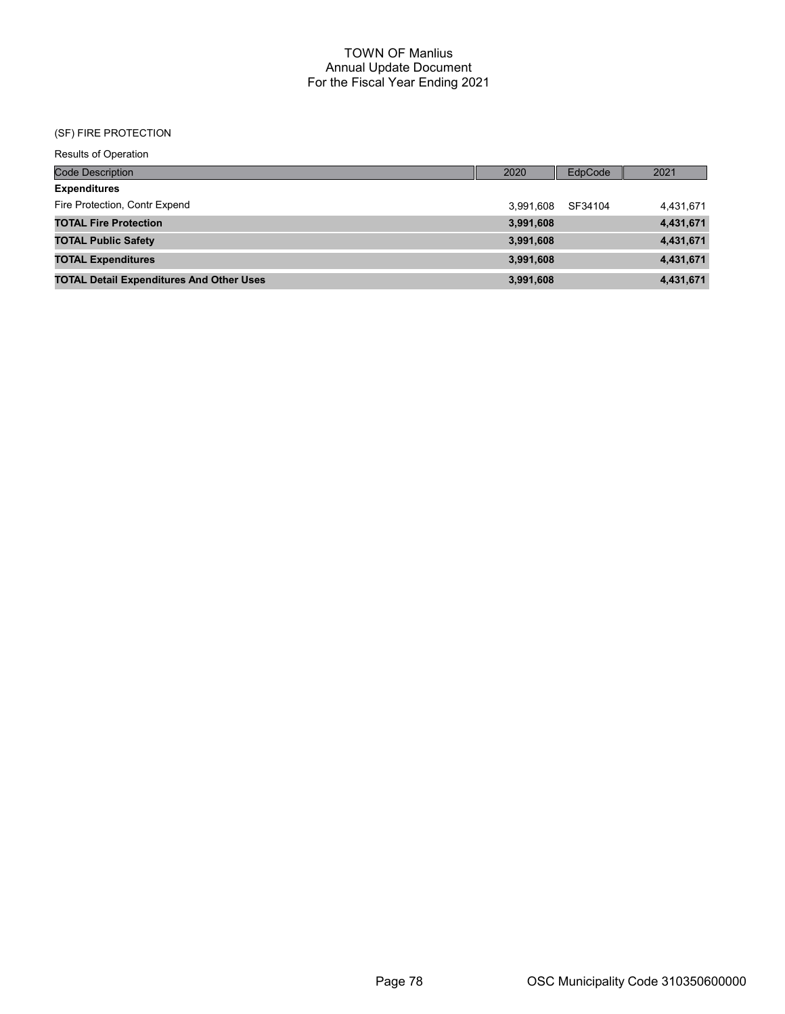| <b>Results of Operation</b>                     |           |         |           |
|-------------------------------------------------|-----------|---------|-----------|
| <b>Code Description</b>                         | 2020      | EdpCode | 2021      |
| <b>Expenditures</b>                             |           |         |           |
| Fire Protection, Contr Expend                   | 3.991.608 | SF34104 | 4,431,671 |
| <b>TOTAL Fire Protection</b>                    | 3,991,608 |         | 4,431,671 |
| <b>TOTAL Public Safety</b>                      | 3,991,608 |         | 4,431,671 |
| <b>TOTAL Expenditures</b>                       | 3,991,608 |         | 4,431,671 |
| <b>TOTAL Detail Expenditures And Other Uses</b> | 3,991,608 |         | 4,431,671 |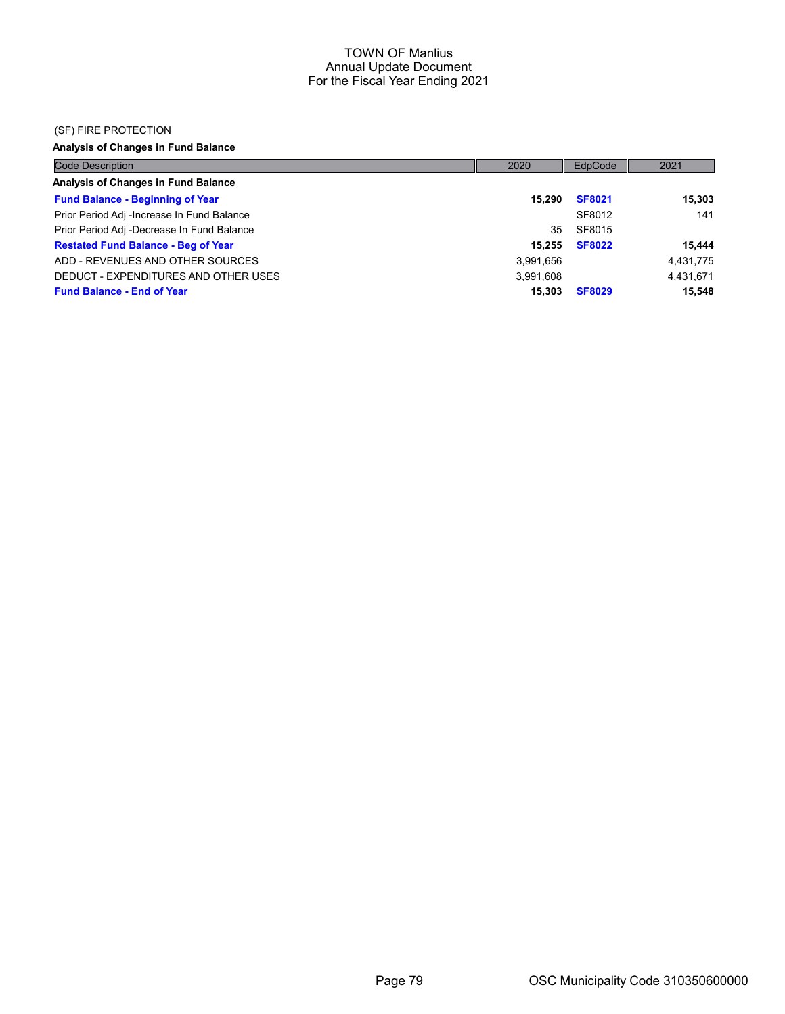#### (SF) FIRE PROTECTION

Analysis of Changes in Fund Balance

| <b>Code Description</b>                    | 2020      | EdpCode       | 2021      |
|--------------------------------------------|-----------|---------------|-----------|
| Analysis of Changes in Fund Balance        |           |               |           |
| <b>Fund Balance - Beginning of Year</b>    | 15.290    | <b>SF8021</b> | 15,303    |
| Prior Period Adj -Increase In Fund Balance |           | SF8012        | 141       |
| Prior Period Adj -Decrease In Fund Balance | 35        | SF8015        |           |
| <b>Restated Fund Balance - Beg of Year</b> | 15.255    | <b>SF8022</b> | 15.444    |
| ADD - REVENUES AND OTHER SOURCES           | 3,991,656 |               | 4,431,775 |
| DEDUCT - EXPENDITURES AND OTHER USES       | 3,991,608 |               | 4,431,671 |
| <b>Fund Balance - End of Year</b>          | 15,303    | <b>SF8029</b> | 15,548    |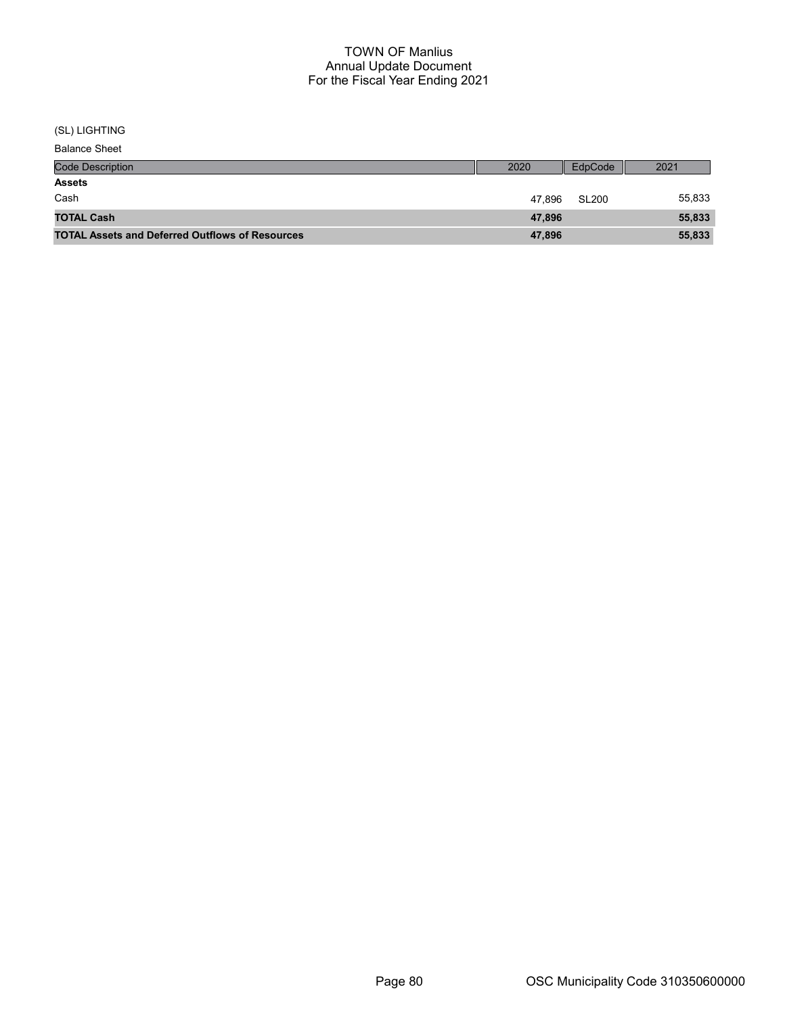#### (SL) LIGHTING

Balance Sheet

| <b>Code Description</b>                                | 2020   | EdpCode      | 2021   |
|--------------------------------------------------------|--------|--------------|--------|
| <b>Assets</b>                                          |        |              |        |
| Cash                                                   | 47.896 | <b>SL200</b> | 55,833 |
| <b>TOTAL Cash</b>                                      | 47,896 |              | 55,833 |
| <b>TOTAL Assets and Deferred Outflows of Resources</b> | 47,896 |              | 55,833 |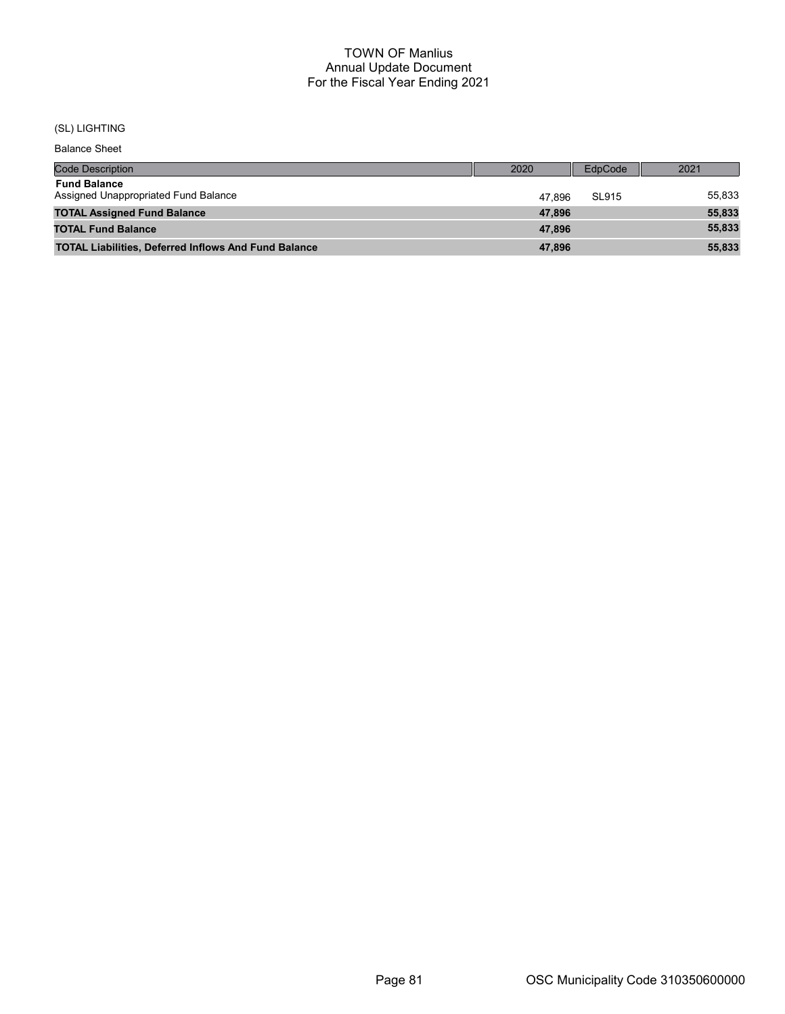# (SL) LIGHTING

Balance Sheet

| <b>Code Description</b>                                     | 2020   | EdpCode | 2021   |
|-------------------------------------------------------------|--------|---------|--------|
| <b>Fund Balance</b><br>Assigned Unappropriated Fund Balance | 47.896 | SL915   | 55,833 |
| <b>TOTAL Assigned Fund Balance</b>                          | 47.896 |         | 55,833 |
| <b>TOTAL Fund Balance</b>                                   | 47.896 |         | 55,833 |
| <b>TOTAL Liabilities, Deferred Inflows And Fund Balance</b> | 47,896 |         | 55,833 |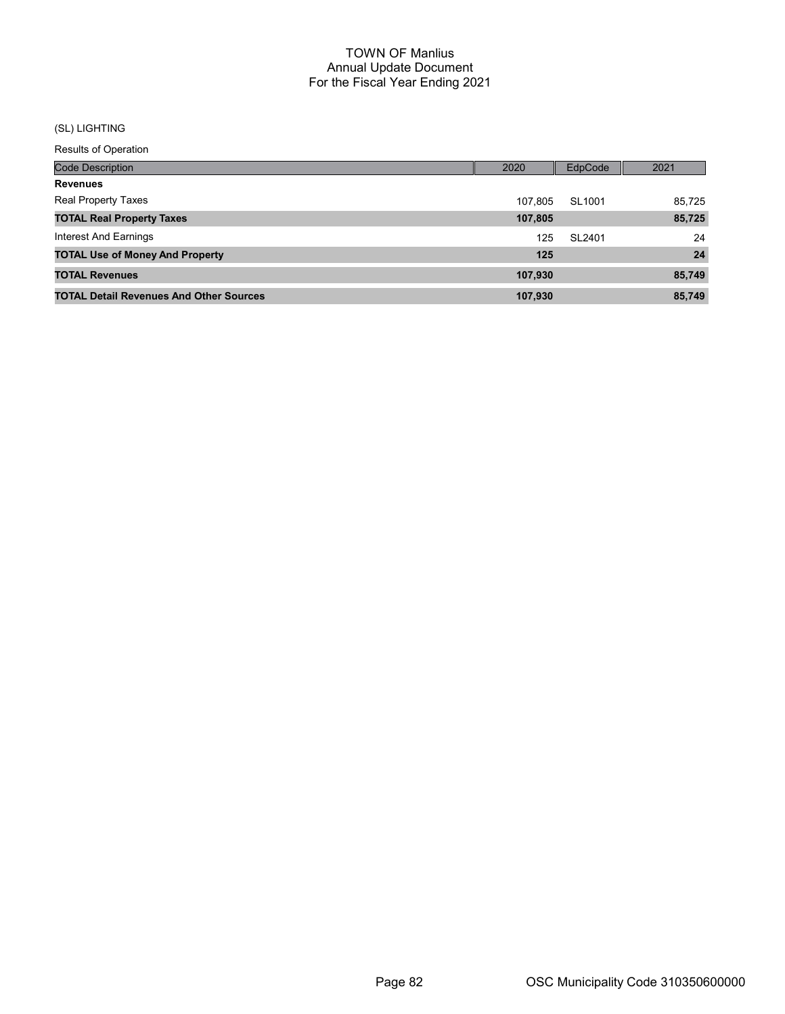# (SL) LIGHTING

Results of Operation

| <b>Code Description</b>                        | 2020    | <b>EdpCode</b> | 2021   |
|------------------------------------------------|---------|----------------|--------|
| <b>Revenues</b>                                |         |                |        |
| <b>Real Property Taxes</b>                     | 107.805 | SL1001         | 85.725 |
| <b>TOTAL Real Property Taxes</b>               | 107,805 |                | 85,725 |
| Interest And Earnings                          | 125     | SL2401         | 24     |
| <b>TOTAL Use of Money And Property</b>         | 125     |                | 24     |
| <b>TOTAL Revenues</b>                          | 107,930 |                | 85,749 |
| <b>TOTAL Detail Revenues And Other Sources</b> | 107,930 |                | 85.749 |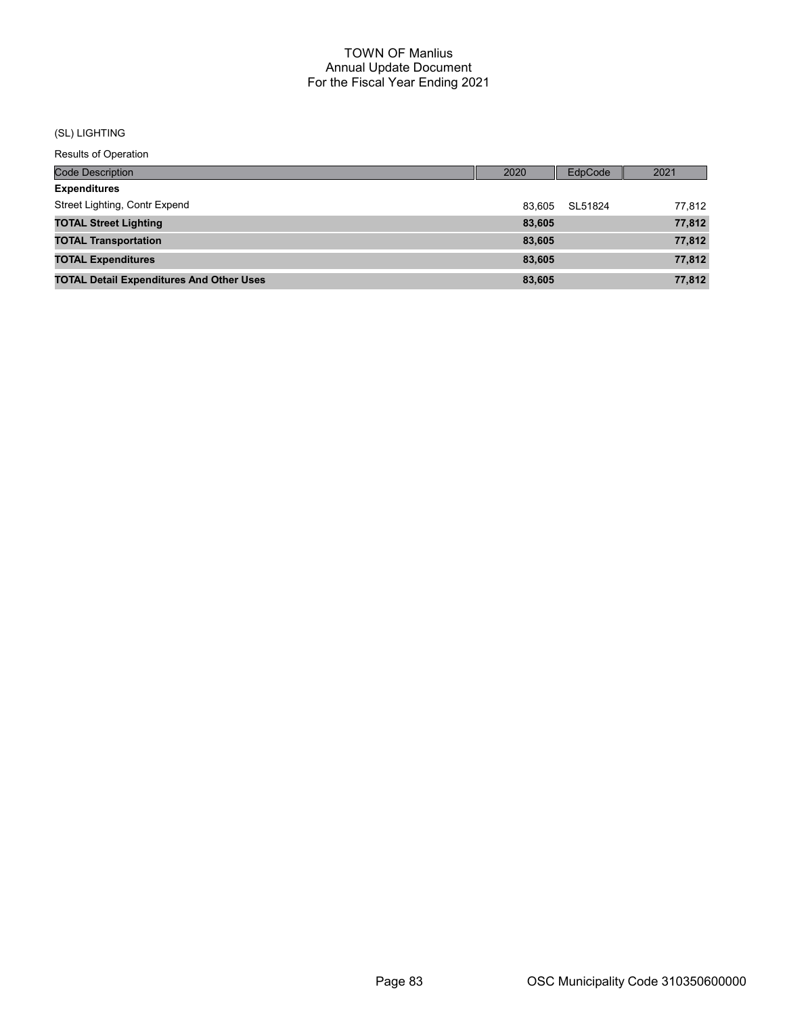#### (SL) LIGHTING

Results of Operation

| <b>Code Description</b>                         | 2020   | EdpCode | 2021   |
|-------------------------------------------------|--------|---------|--------|
| <b>Expenditures</b>                             |        |         |        |
| Street Lighting, Contr Expend                   | 83.605 | SL51824 | 77.812 |
| <b>TOTAL Street Lighting</b>                    | 83,605 |         | 77,812 |
| <b>TOTAL Transportation</b>                     | 83,605 |         | 77,812 |
| <b>TOTAL Expenditures</b>                       | 83.605 |         | 77,812 |
| <b>TOTAL Detail Expenditures And Other Uses</b> | 83,605 |         | 77,812 |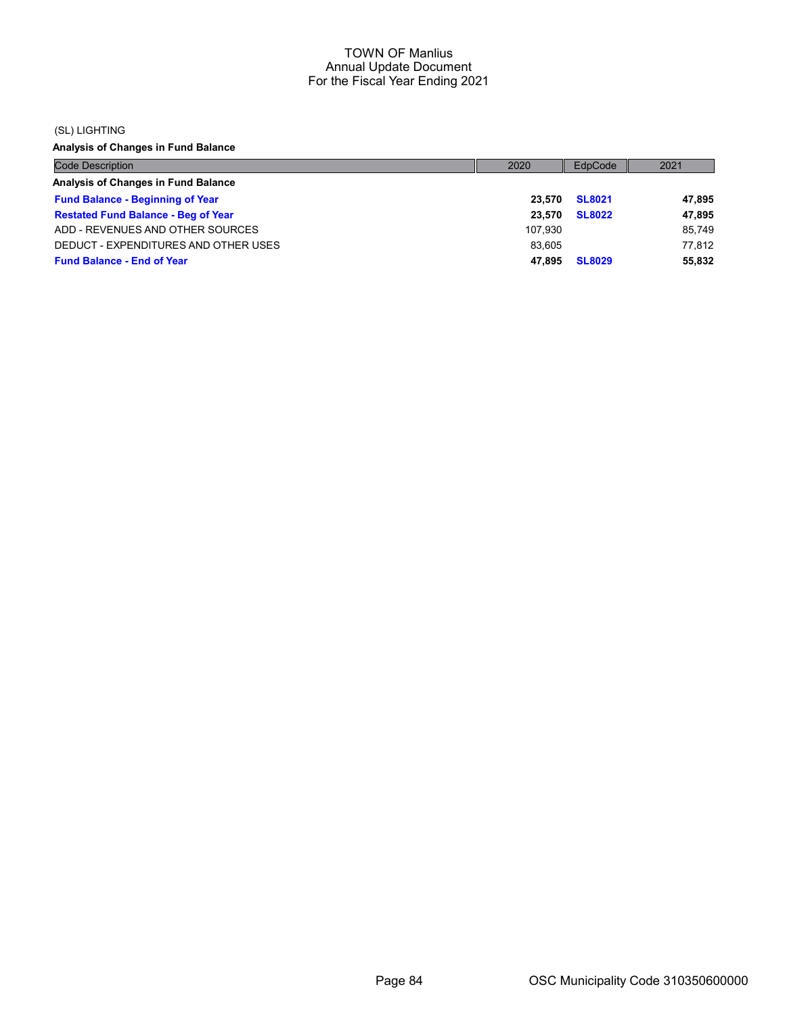#### (SL) LIGHTING

Analysis of Changes in Fund Balance

| <b>Code Description</b>                    | 2020    | EdpCode       | 2021   |
|--------------------------------------------|---------|---------------|--------|
| Analysis of Changes in Fund Balance        |         |               |        |
| <b>Fund Balance - Beginning of Year</b>    | 23.570  | <b>SL8021</b> | 47,895 |
| <b>Restated Fund Balance - Beg of Year</b> | 23.570  | <b>SL8022</b> | 47,895 |
| ADD - REVENUES AND OTHER SOURCES           | 107.930 |               | 85.749 |
| DEDUCT - EXPENDITURES AND OTHER USES       | 83.605  |               | 77.812 |
| <b>Fund Balance - End of Year</b>          | 47.895  | <b>SL8029</b> | 55.832 |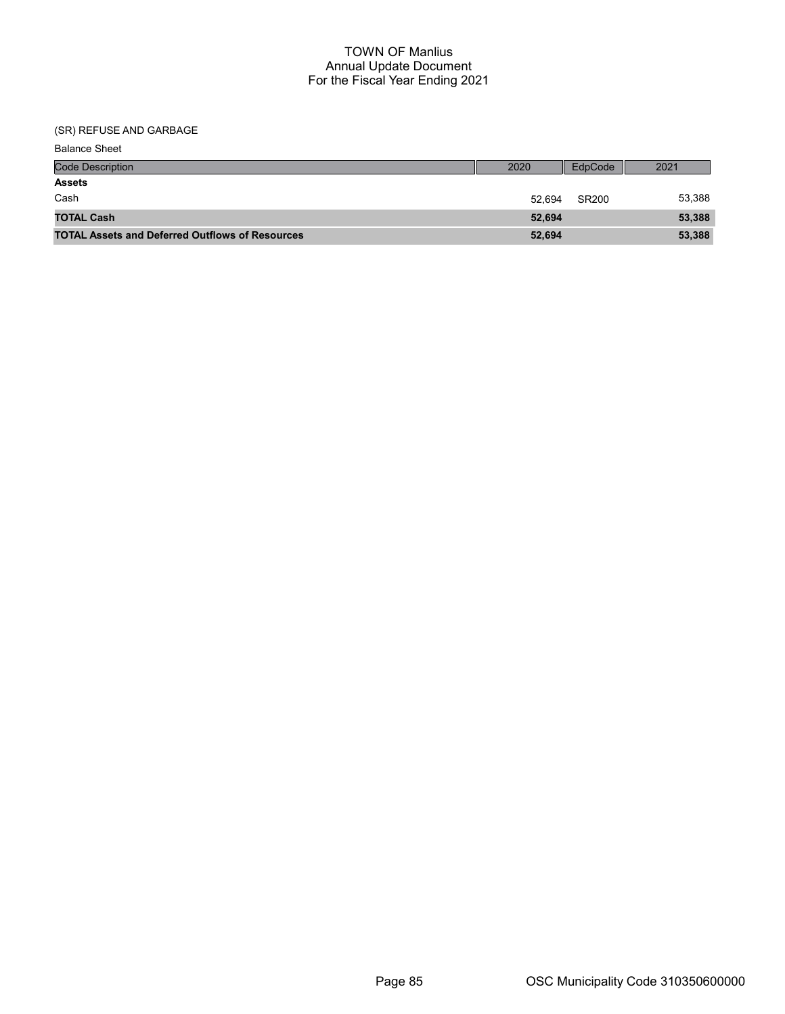| <b>Balance Sheet</b>                                   |        |         |        |
|--------------------------------------------------------|--------|---------|--------|
| <b>Code Description</b>                                | 2020   | EdpCode | 2021   |
| <b>Assets</b>                                          |        |         |        |
| Cash                                                   | 52.694 | SR200   | 53,388 |
| <b>TOTAL Cash</b>                                      | 52,694 |         | 53,388 |
| <b>TOTAL Assets and Deferred Outflows of Resources</b> | 52,694 |         | 53,388 |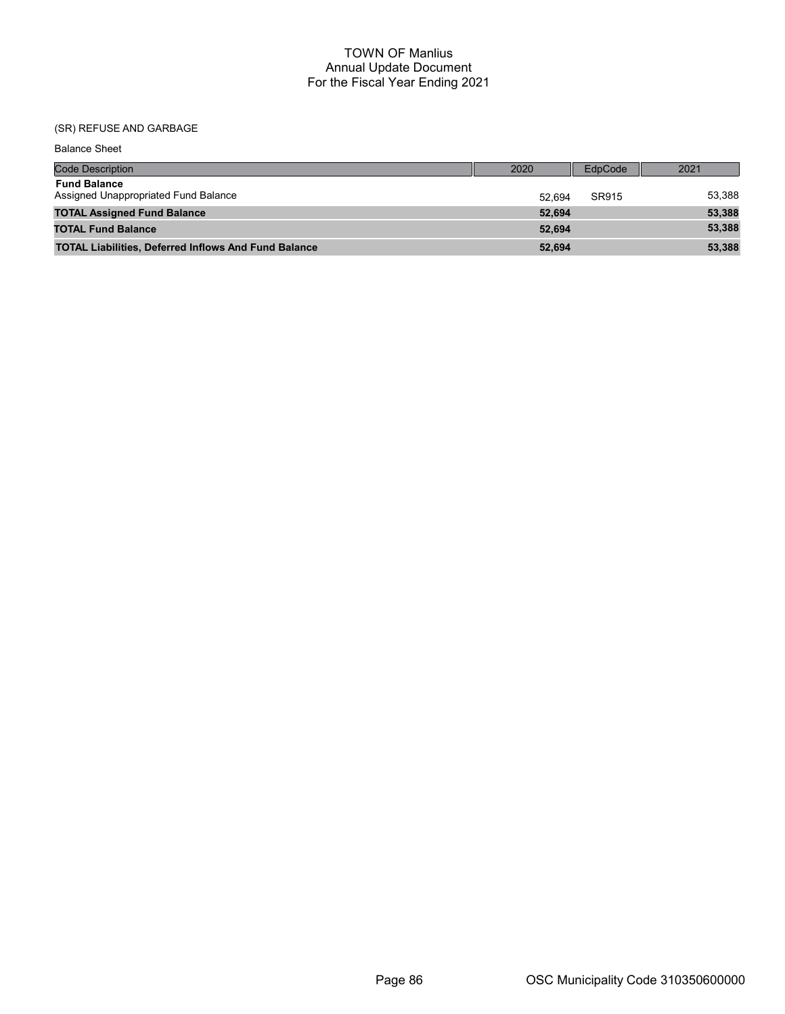| <b>Balance Sheet</b>                                        |        |         |        |
|-------------------------------------------------------------|--------|---------|--------|
| <b>Code Description</b>                                     | 2020   | EdpCode | 2021   |
| <b>Fund Balance</b><br>Assigned Unappropriated Fund Balance | 52.694 | SR915   | 53,388 |
| <b>TOTAL Assigned Fund Balance</b>                          | 52,694 |         | 53,388 |
| <b>TOTAL Fund Balance</b>                                   | 52,694 |         | 53,388 |
| <b>TOTAL Liabilities, Deferred Inflows And Fund Balance</b> | 52,694 |         | 53,388 |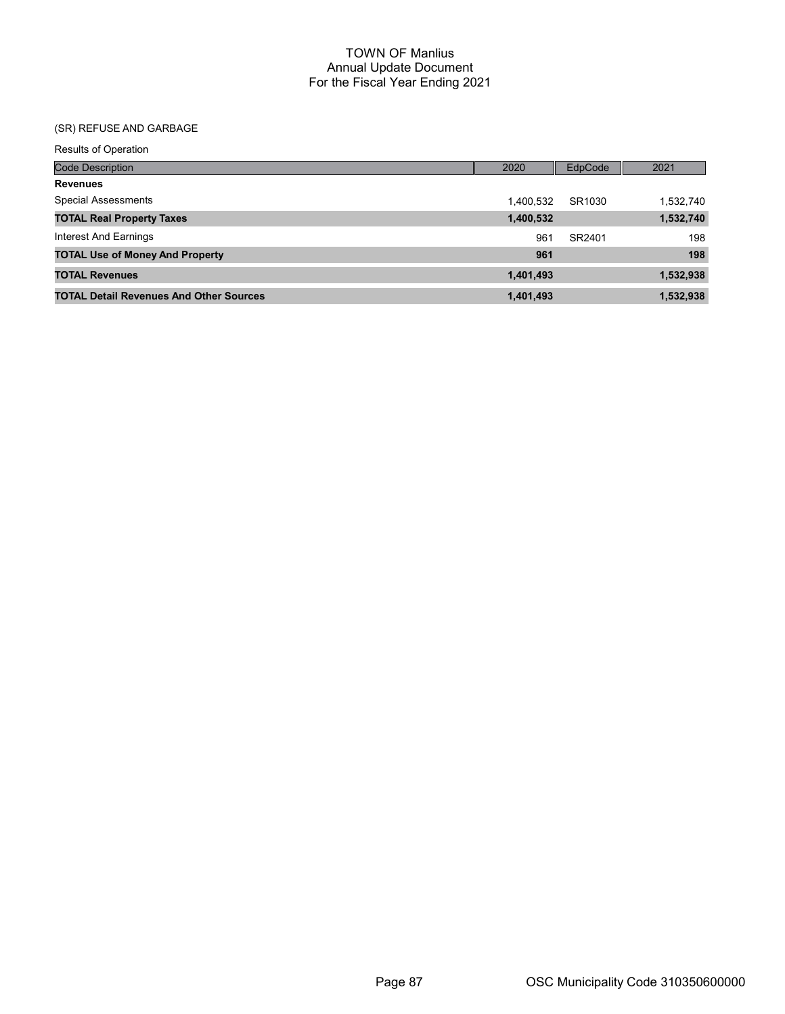| <b>Results of Operation</b>                    |           |         |           |
|------------------------------------------------|-----------|---------|-----------|
| Code Description                               | 2020      | EdpCode | 2021      |
| <b>Revenues</b>                                |           |         |           |
| <b>Special Assessments</b>                     | 1,400,532 | SR1030  | 1,532,740 |
| <b>TOTAL Real Property Taxes</b>               | 1,400,532 |         | 1,532,740 |
| Interest And Earnings                          | 961       | SR2401  | 198       |
| <b>TOTAL Use of Money And Property</b>         | 961       |         | 198       |
| <b>TOTAL Revenues</b>                          | 1,401,493 |         | 1,532,938 |
| <b>TOTAL Detail Revenues And Other Sources</b> | 1,401,493 |         | 1,532,938 |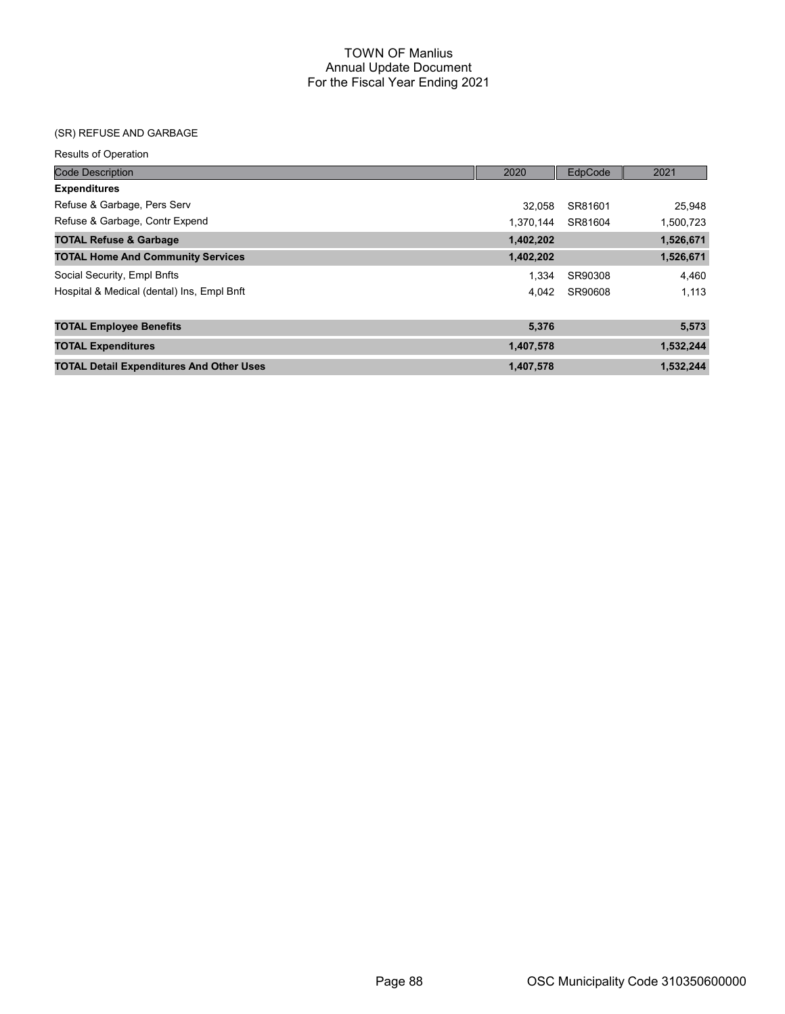| <b>Results of Operation</b>                     |           |                |           |
|-------------------------------------------------|-----------|----------------|-----------|
| <b>Code Description</b>                         | 2020      | <b>EdpCode</b> | 2021      |
| <b>Expenditures</b>                             |           |                |           |
| Refuse & Garbage, Pers Serv                     | 32.058    | SR81601        | 25,948    |
| Refuse & Garbage, Contr Expend                  | 1.370.144 | SR81604        | 1,500,723 |
| <b>TOTAL Refuse &amp; Garbage</b>               | 1,402,202 |                | 1,526,671 |
| <b>TOTAL Home And Community Services</b>        | 1,402,202 |                | 1,526,671 |
| Social Security, Empl Bnfts                     | 1.334     | SR90308        | 4,460     |
| Hospital & Medical (dental) Ins, Empl Bnft      | 4.042     | SR90608        | 1,113     |
| <b>TOTAL Employee Benefits</b>                  | 5,376     |                | 5,573     |
| <b>TOTAL Expenditures</b>                       | 1,407,578 |                | 1,532,244 |
| <b>TOTAL Detail Expenditures And Other Uses</b> | 1,407,578 |                | 1,532,244 |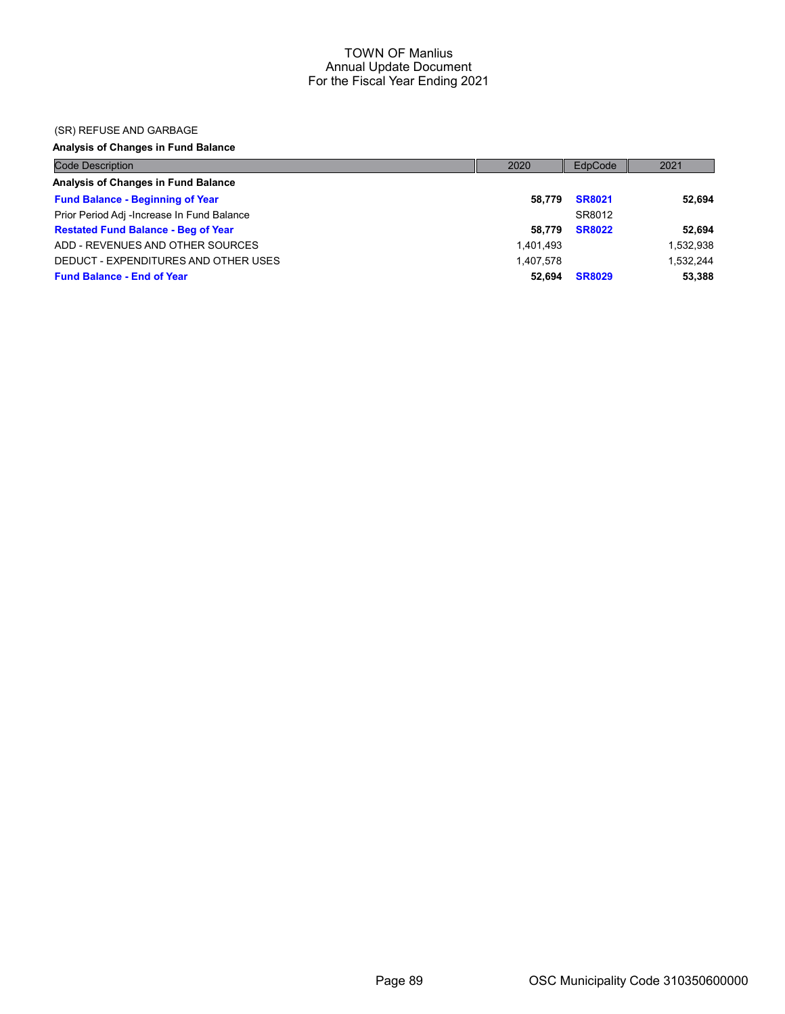#### (SR) REFUSE AND GARBAGE

### Analysis of Changes in Fund Balance

| <b>Code Description</b>                    | 2020      | EdpCode       | 2021      |
|--------------------------------------------|-----------|---------------|-----------|
| Analysis of Changes in Fund Balance        |           |               |           |
| <b>Fund Balance - Beginning of Year</b>    | 58.779    | <b>SR8021</b> | 52.694    |
| Prior Period Adj -Increase In Fund Balance |           | SR8012        |           |
| <b>Restated Fund Balance - Beg of Year</b> | 58.779    | <b>SR8022</b> | 52,694    |
| ADD - REVENUES AND OTHER SOURCES           | 1.401.493 |               | 1,532,938 |
| DEDUCT - EXPENDITURES AND OTHER USES       | 1.407.578 |               | 1.532.244 |
| <b>Fund Balance - End of Year</b>          | 52.694    | <b>SR8029</b> | 53,388    |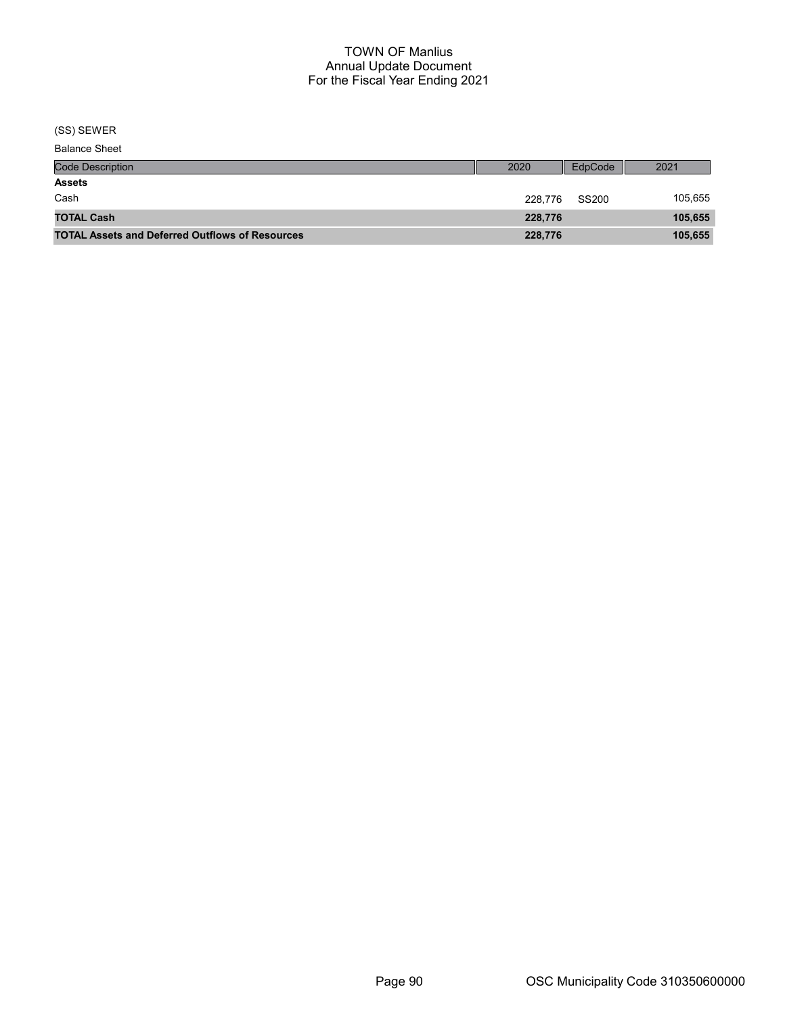(SS) SEWER

| <b>Balance Sheet</b> |
|----------------------|
|----------------------|

| <b>Code Description</b>                                | 2020    | EdpCode | 2021    |
|--------------------------------------------------------|---------|---------|---------|
| <b>Assets</b>                                          |         |         |         |
| Cash                                                   | 228.776 | SS200   | 105,655 |
| <b>TOTAL Cash</b>                                      | 228,776 |         | 105,655 |
| <b>TOTAL Assets and Deferred Outflows of Resources</b> | 228,776 |         | 105,655 |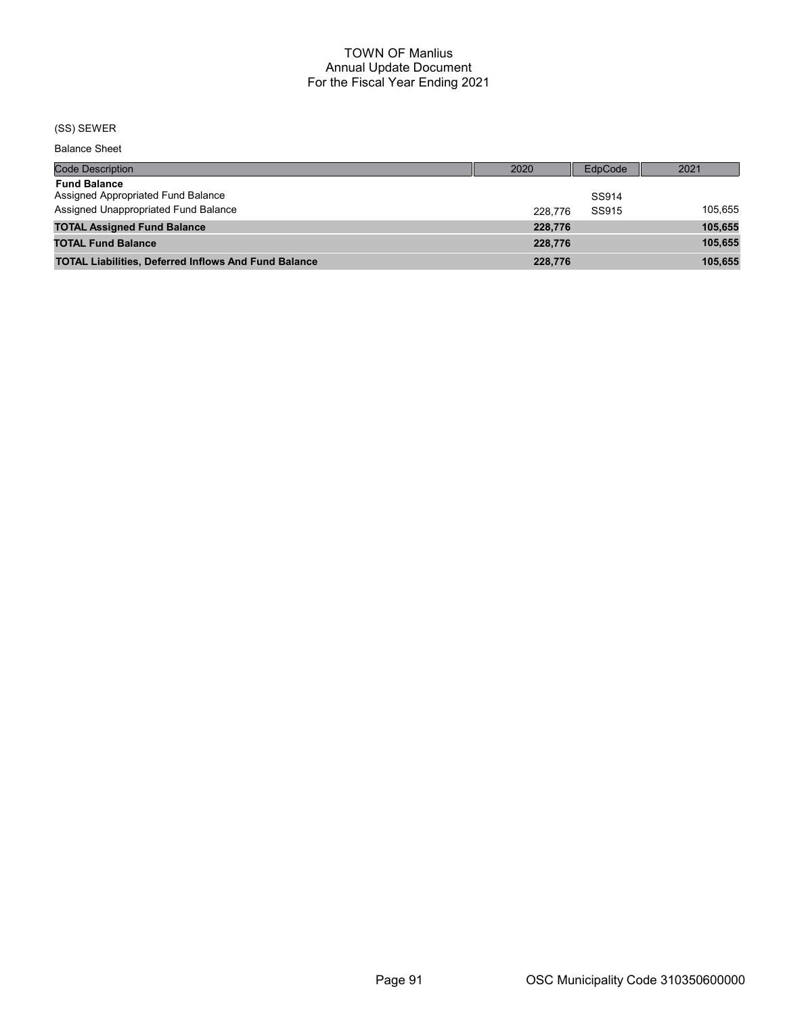#### (SS) SEWER

Balance Sheet

| <b>Code Description</b>                                     | 2020    | EdpCode | 2021    |
|-------------------------------------------------------------|---------|---------|---------|
| <b>Fund Balance</b>                                         |         |         |         |
| Assigned Appropriated Fund Balance                          |         | SS914   |         |
| Assigned Unappropriated Fund Balance                        | 228,776 | SS915   | 105.655 |
| <b>TOTAL Assigned Fund Balance</b>                          | 228,776 |         | 105,655 |
| <b>TOTAL Fund Balance</b>                                   | 228,776 |         | 105,655 |
| <b>TOTAL Liabilities, Deferred Inflows And Fund Balance</b> | 228,776 |         | 105.655 |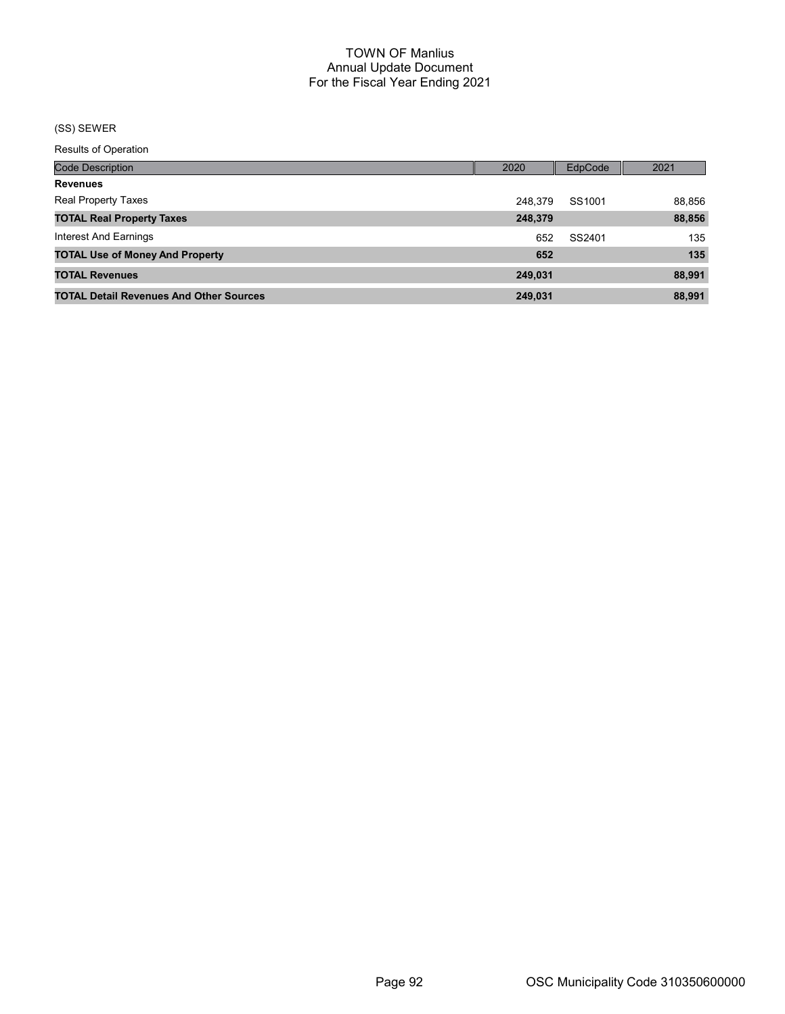# (SS) SEWER

Results of Operation

| <b>Code Description</b>                        | 2020    | <b>EdpCode</b> | 2021   |
|------------------------------------------------|---------|----------------|--------|
| <b>Revenues</b>                                |         |                |        |
| <b>Real Property Taxes</b>                     | 248.379 | SS1001         | 88,856 |
| <b>TOTAL Real Property Taxes</b>               | 248,379 |                | 88,856 |
| Interest And Earnings                          | 652     | SS2401         | 135    |
| <b>TOTAL Use of Money And Property</b>         | 652     |                | 135    |
| <b>TOTAL Revenues</b>                          | 249,031 |                | 88,991 |
| <b>TOTAL Detail Revenues And Other Sources</b> | 249.031 |                | 88,991 |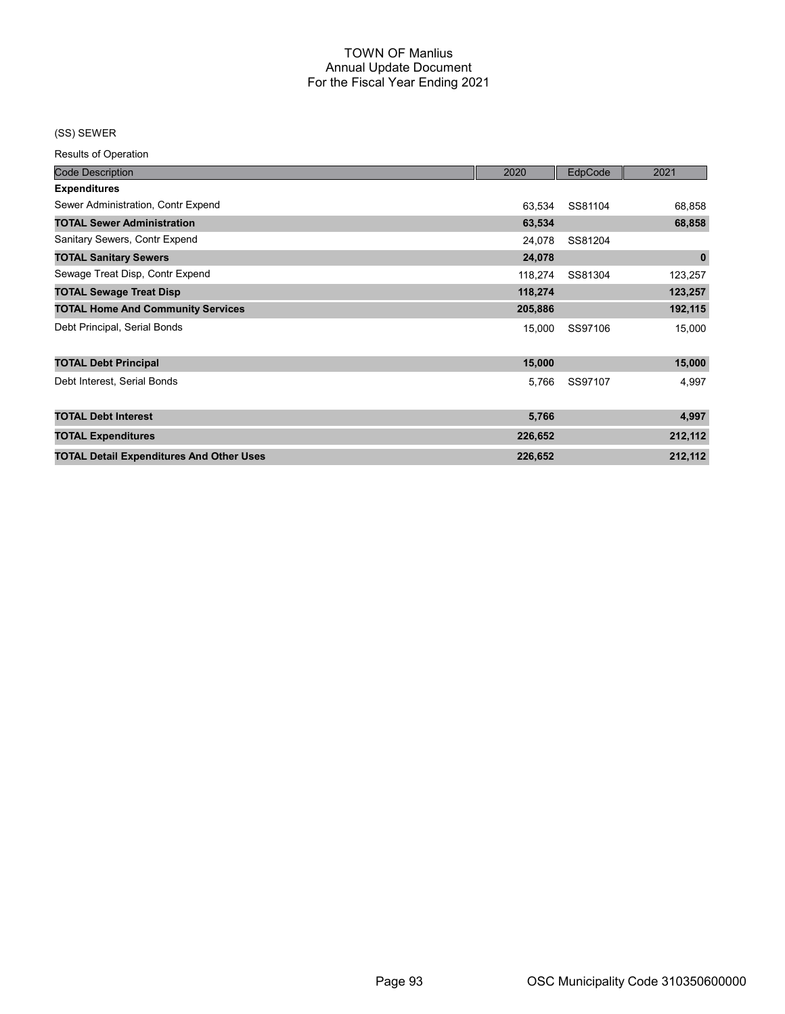#### (SS) SEWER

Results of Operation

| <b>Code Description</b>                         | 2020    | EdpCode | 2021        |
|-------------------------------------------------|---------|---------|-------------|
| <b>Expenditures</b>                             |         |         |             |
| Sewer Administration, Contr Expend              | 63,534  | SS81104 | 68,858      |
| <b>TOTAL Sewer Administration</b>               | 63,534  |         | 68,858      |
| Sanitary Sewers, Contr Expend                   | 24,078  | SS81204 |             |
| <b>TOTAL Sanitary Sewers</b>                    | 24,078  |         | $\mathbf 0$ |
| Sewage Treat Disp, Contr Expend                 | 118,274 | SS81304 | 123,257     |
| <b>TOTAL Sewage Treat Disp</b>                  | 118,274 |         | 123,257     |
| <b>TOTAL Home And Community Services</b>        | 205,886 |         | 192,115     |
| Debt Principal, Serial Bonds                    | 15,000  | SS97106 | 15,000      |
| <b>TOTAL Debt Principal</b>                     | 15,000  |         | 15,000      |
| Debt Interest, Serial Bonds                     | 5,766   | SS97107 | 4,997       |
| <b>TOTAL Debt Interest</b>                      | 5,766   |         | 4,997       |
| <b>TOTAL Expenditures</b>                       | 226,652 |         | 212,112     |
| <b>TOTAL Detail Expenditures And Other Uses</b> | 226,652 |         | 212,112     |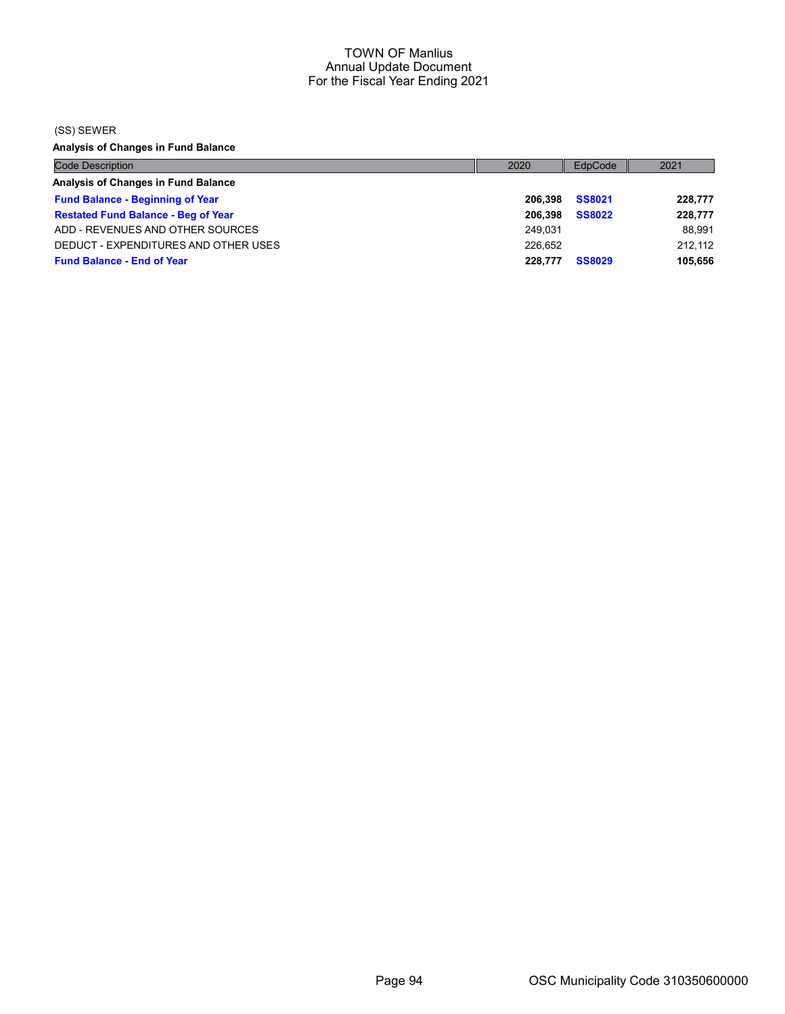(SS) SEWER

Analysis of Changes in Fund Balance

| <b>Code Description</b>                    | 2020    | EdpCode       | 2021    |
|--------------------------------------------|---------|---------------|---------|
| Analysis of Changes in Fund Balance        |         |               |         |
| <b>Fund Balance - Beginning of Year</b>    | 206.398 | <b>SS8021</b> | 228,777 |
| <b>Restated Fund Balance - Beg of Year</b> | 206.398 | <b>SS8022</b> | 228,777 |
| ADD - REVENUES AND OTHER SOURCES           | 249.031 |               | 88.991  |
| DEDUCT - EXPENDITURES AND OTHER USES       | 226.652 |               | 212.112 |
| <b>Fund Balance - End of Year</b>          | 228,777 | <b>SS8029</b> | 105,656 |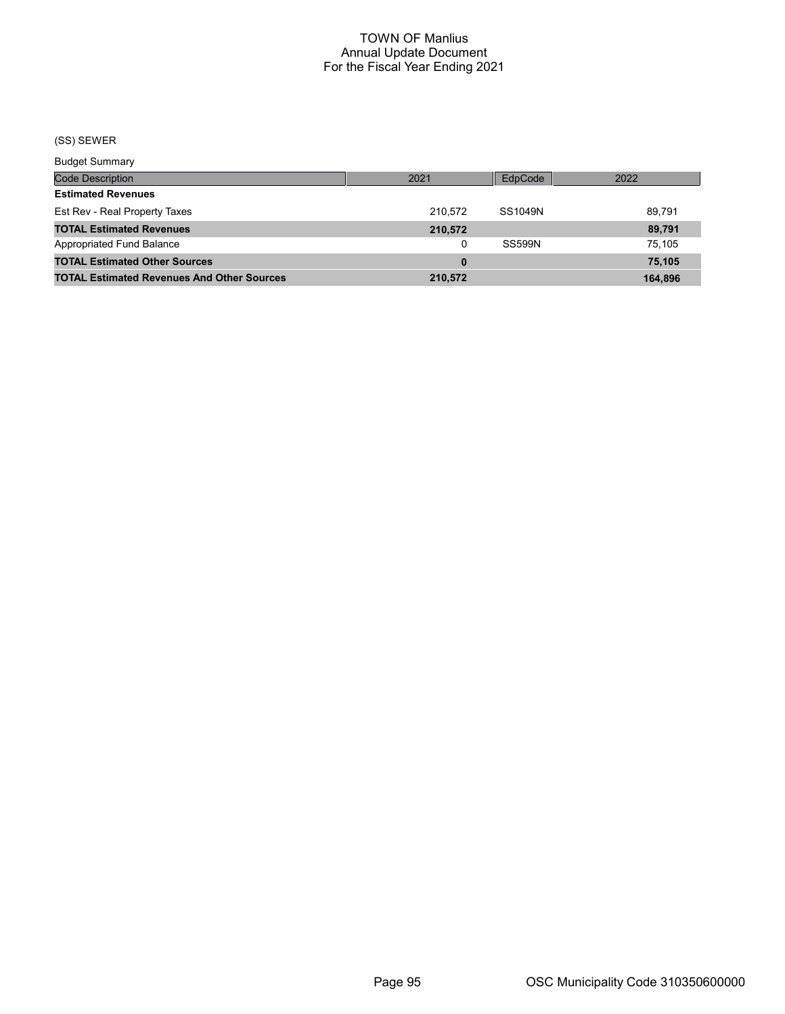# (SS) SEWER

Budget Summary

| 3849                                              |         |               |         |
|---------------------------------------------------|---------|---------------|---------|
| Code Description                                  | 2021    | EdpCode       | 2022    |
| <b>Estimated Revenues</b>                         |         |               |         |
| Est Rev - Real Property Taxes                     | 210.572 | SS1049N       | 89.791  |
| <b>TOTAL Estimated Revenues</b>                   | 210,572 |               | 89.791  |
| Appropriated Fund Balance                         |         | <b>SS599N</b> | 75.105  |
| <b>TOTAL Estimated Other Sources</b>              |         |               | 75.105  |
| <b>TOTAL Estimated Revenues And Other Sources</b> | 210,572 |               | 164.896 |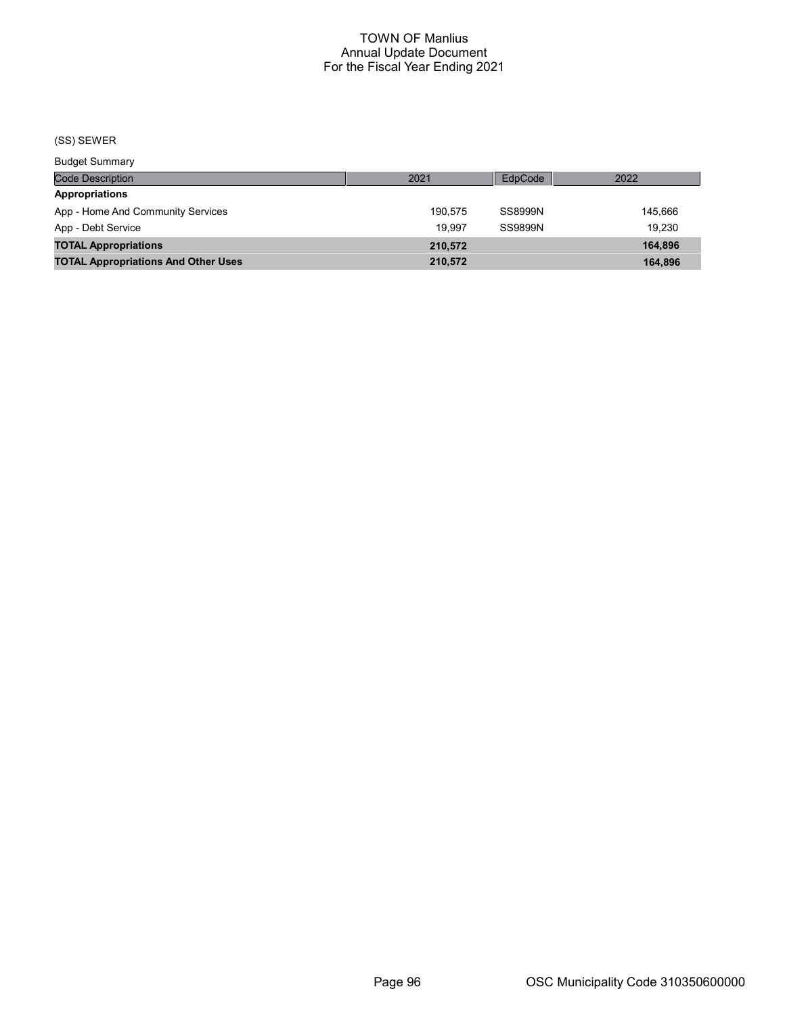# (SS) SEWER

Budget Summary

| <b>DUUYUL OUIIIIIIIII</b>                  |         |         |         |
|--------------------------------------------|---------|---------|---------|
| <b>Code Description</b>                    | 2021    | EdpCode | 2022    |
| <b>Appropriations</b>                      |         |         |         |
| App - Home And Community Services          | 190.575 | SS8999N | 145.666 |
| App - Debt Service                         | 19.997  | SS9899N | 19.230  |
| <b>TOTAL Appropriations</b>                | 210.572 |         | 164.896 |
| <b>TOTAL Appropriations And Other Uses</b> | 210.572 |         | 164.896 |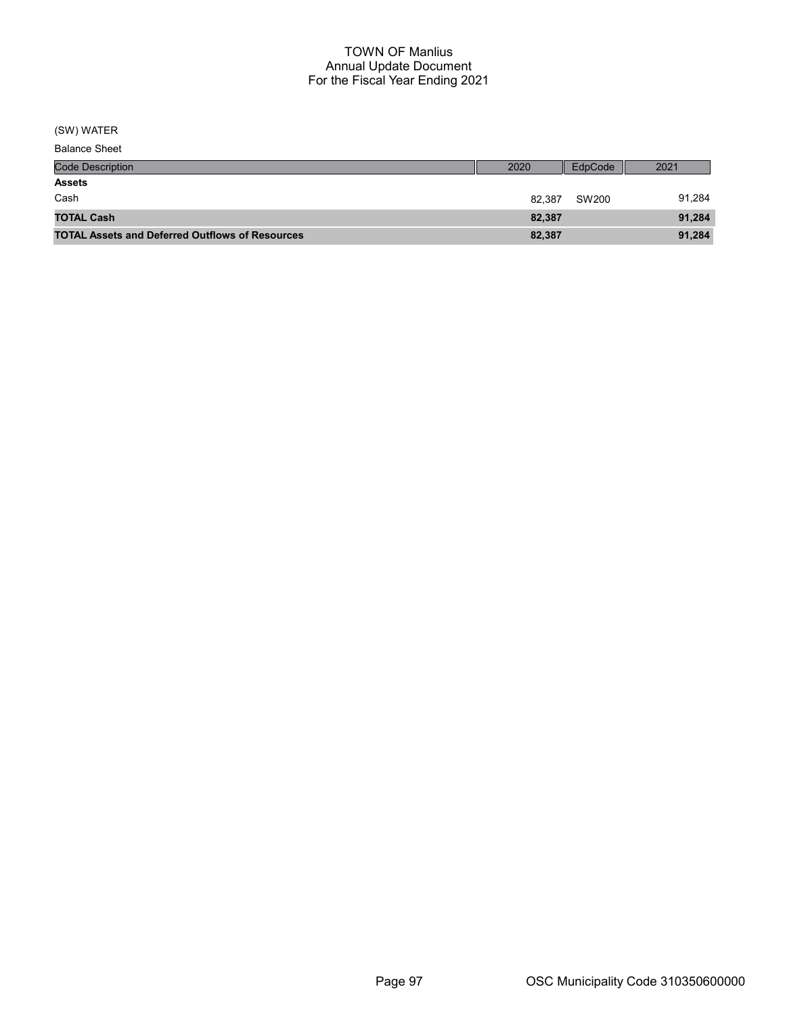(SW) WATER

| <b>Balance Sheet</b> |
|----------------------|
|                      |

| <b>Code Description</b>                                | 2020   | EdpCode | 2021   |
|--------------------------------------------------------|--------|---------|--------|
| <b>Assets</b>                                          |        |         |        |
| Cash                                                   | 82.387 | SW200   | 91,284 |
| <b>TOTAL Cash</b>                                      | 82.387 |         | 91,284 |
| <b>TOTAL Assets and Deferred Outflows of Resources</b> | 82,387 |         | 91,284 |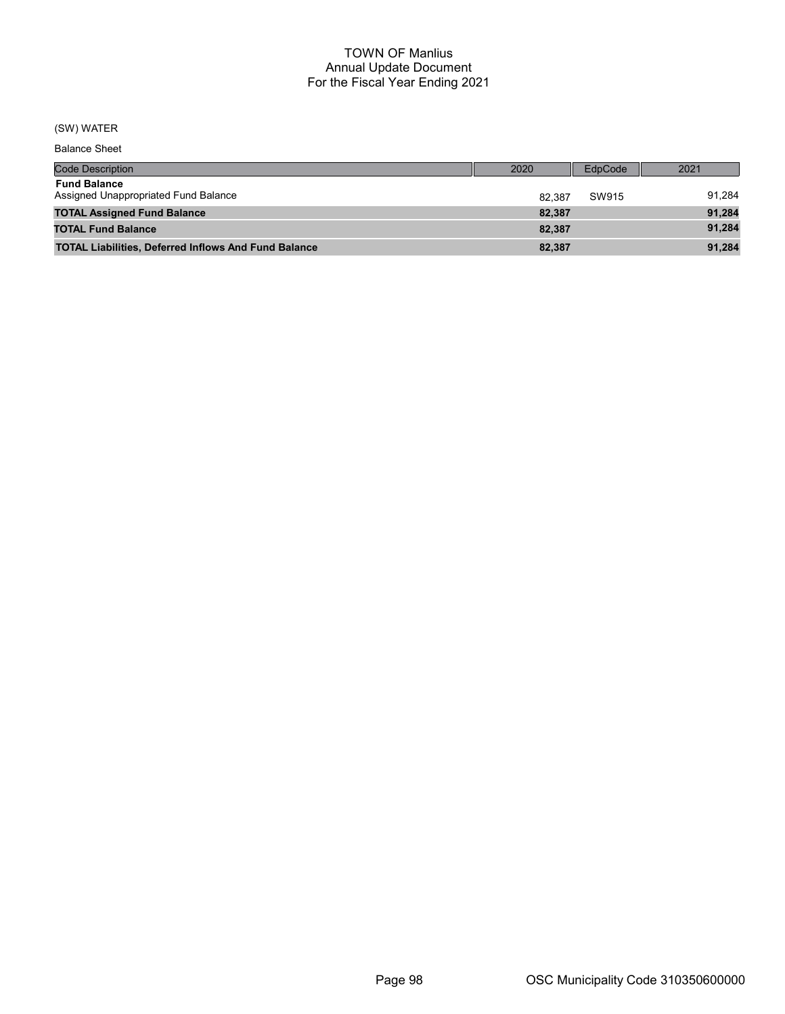# (SW) WATER

Balance Sheet

| <b>Code Description</b>                                     | 2020   | EdpCode | 2021   |
|-------------------------------------------------------------|--------|---------|--------|
| <b>Fund Balance</b><br>Assigned Unappropriated Fund Balance | 82.387 | SW915   | 91,284 |
| <b>TOTAL Assigned Fund Balance</b>                          | 82,387 |         | 91,284 |
| <b>TOTAL Fund Balance</b>                                   | 82,387 |         | 91,284 |
| <b>TOTAL Liabilities, Deferred Inflows And Fund Balance</b> | 82,387 |         | 91,284 |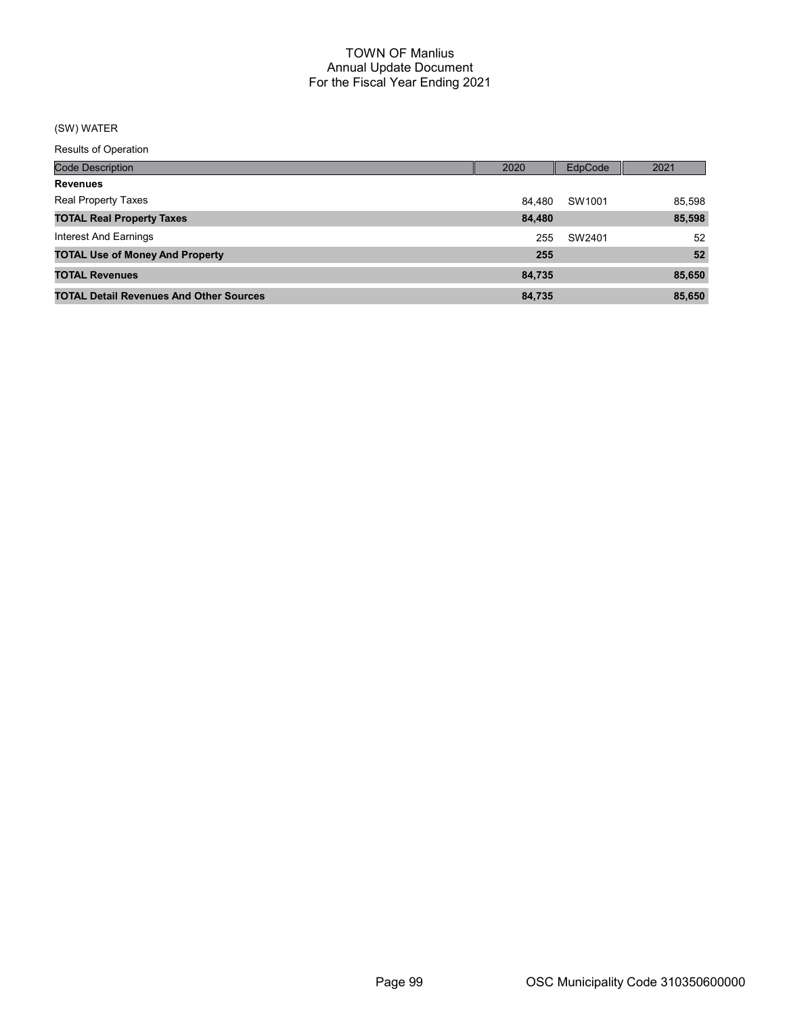# (SW) WATER

Results of Operation

| <b>Code Description</b>                        | 2020   | <b>EdpCode</b> | 2021   |
|------------------------------------------------|--------|----------------|--------|
| <b>Revenues</b>                                |        |                |        |
| <b>Real Property Taxes</b>                     | 84.480 | SW1001         | 85,598 |
| <b>TOTAL Real Property Taxes</b>               | 84,480 |                | 85,598 |
| Interest And Earnings                          | 255    | SW2401         | 52     |
| <b>TOTAL Use of Money And Property</b>         | 255    |                | 52     |
| <b>TOTAL Revenues</b>                          | 84,735 |                | 85,650 |
| <b>TOTAL Detail Revenues And Other Sources</b> | 84,735 |                | 85.650 |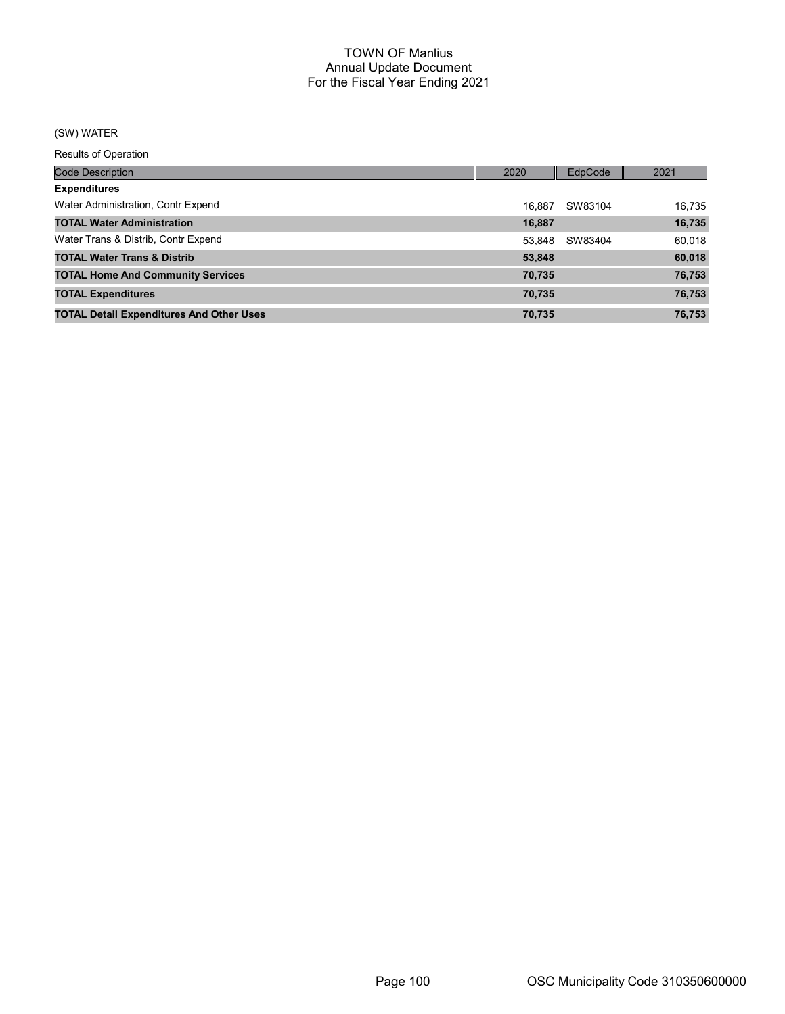# (SW) WATER

Results of Operation

| <b>Code Description</b>                         | 2020   | EdpCode | 2021   |
|-------------------------------------------------|--------|---------|--------|
| <b>Expenditures</b>                             |        |         |        |
| Water Administration, Contr Expend              | 16.887 | SW83104 | 16.735 |
| <b>TOTAL Water Administration</b>               | 16,887 |         | 16,735 |
| Water Trans & Distrib, Contr Expend             | 53.848 | SW83404 | 60,018 |
| <b>TOTAL Water Trans &amp; Distrib</b>          | 53,848 |         | 60,018 |
| <b>TOTAL Home And Community Services</b>        | 70,735 |         | 76,753 |
| <b>TOTAL Expenditures</b>                       | 70,735 |         | 76,753 |
| <b>TOTAL Detail Expenditures And Other Uses</b> | 70,735 |         | 76,753 |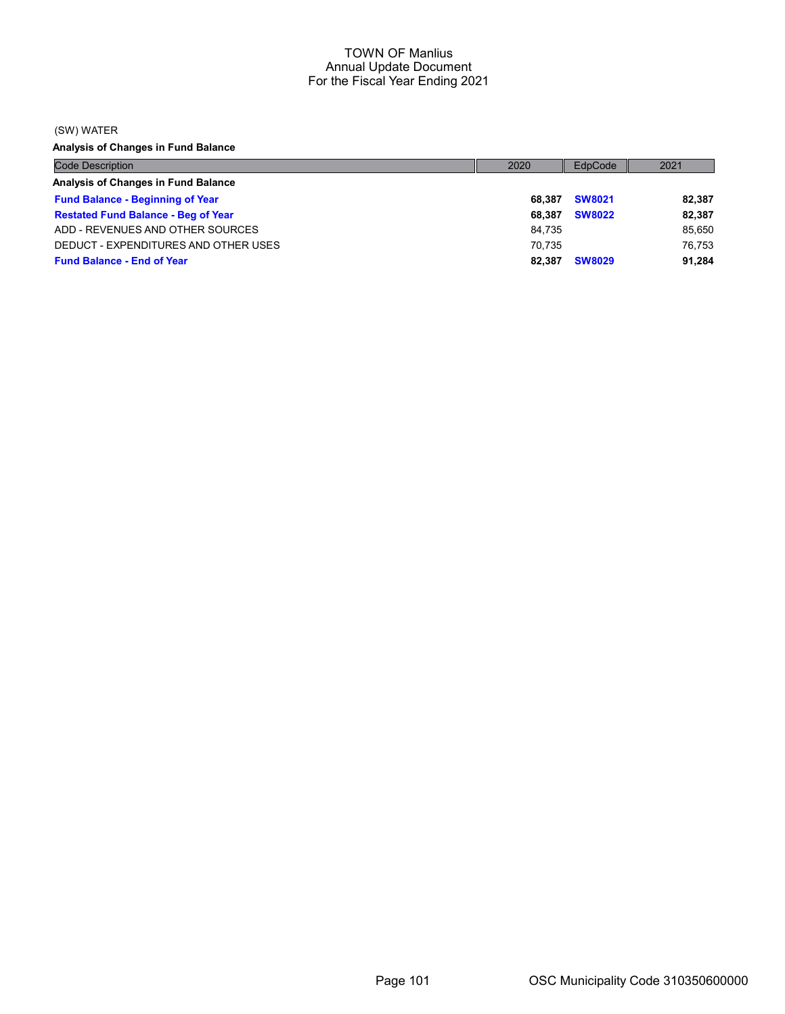(SW) WATER

Analysis of Changes in Fund Balance

| <b>Code Description</b>                    | 2020   | EdpCode       | 2021   |
|--------------------------------------------|--------|---------------|--------|
| Analysis of Changes in Fund Balance        |        |               |        |
| <b>Fund Balance - Beginning of Year</b>    | 68.387 | <b>SW8021</b> | 82,387 |
| <b>Restated Fund Balance - Beg of Year</b> | 68.387 | <b>SW8022</b> | 82,387 |
| ADD - REVENUES AND OTHER SOURCES           | 84.735 |               | 85,650 |
| DEDUCT - EXPENDITURES AND OTHER USES       | 70.735 |               | 76.753 |
| <b>Fund Balance - End of Year</b>          | 82.387 | <b>SW8029</b> | 91,284 |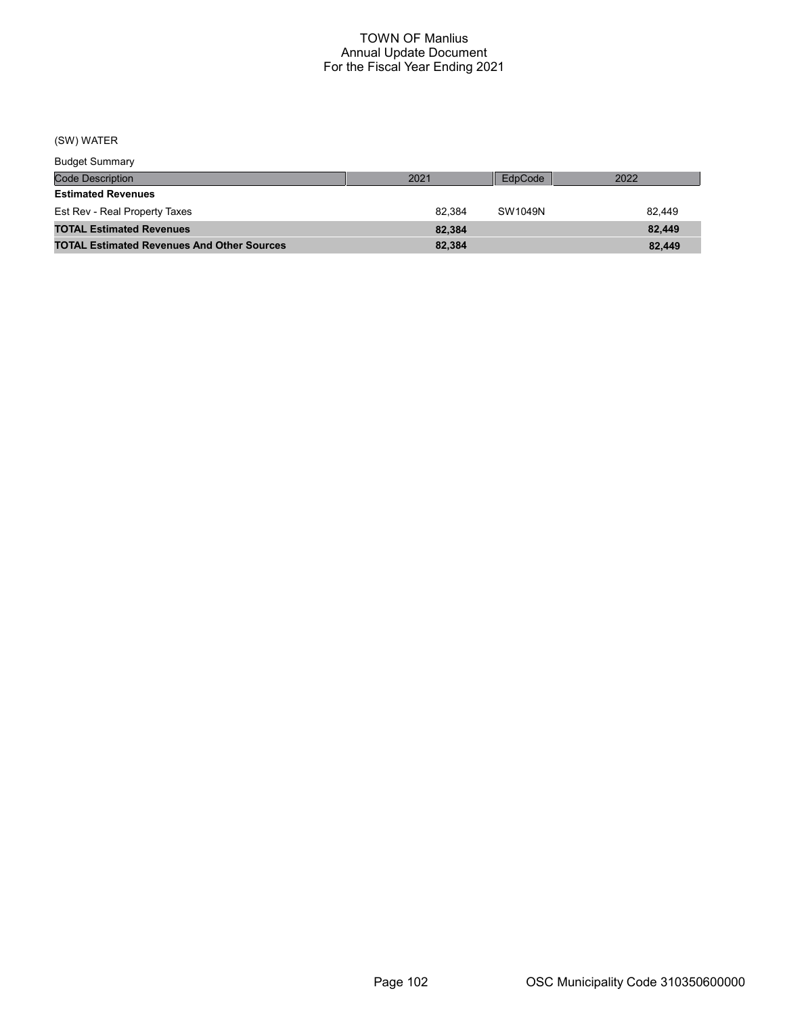# (SW) WATER

| <b>Budget Summary</b>                             |        |         |        |
|---------------------------------------------------|--------|---------|--------|
| <b>Code Description</b>                           | 2021   | EdpCode | 2022   |
| <b>Estimated Revenues</b>                         |        |         |        |
| Est Rev - Real Property Taxes                     | 82.384 | SW1049N | 82.449 |
| <b>TOTAL Estimated Revenues</b>                   | 82.384 |         | 82.449 |
| <b>TOTAL Estimated Revenues And Other Sources</b> | 82,384 |         | 82.449 |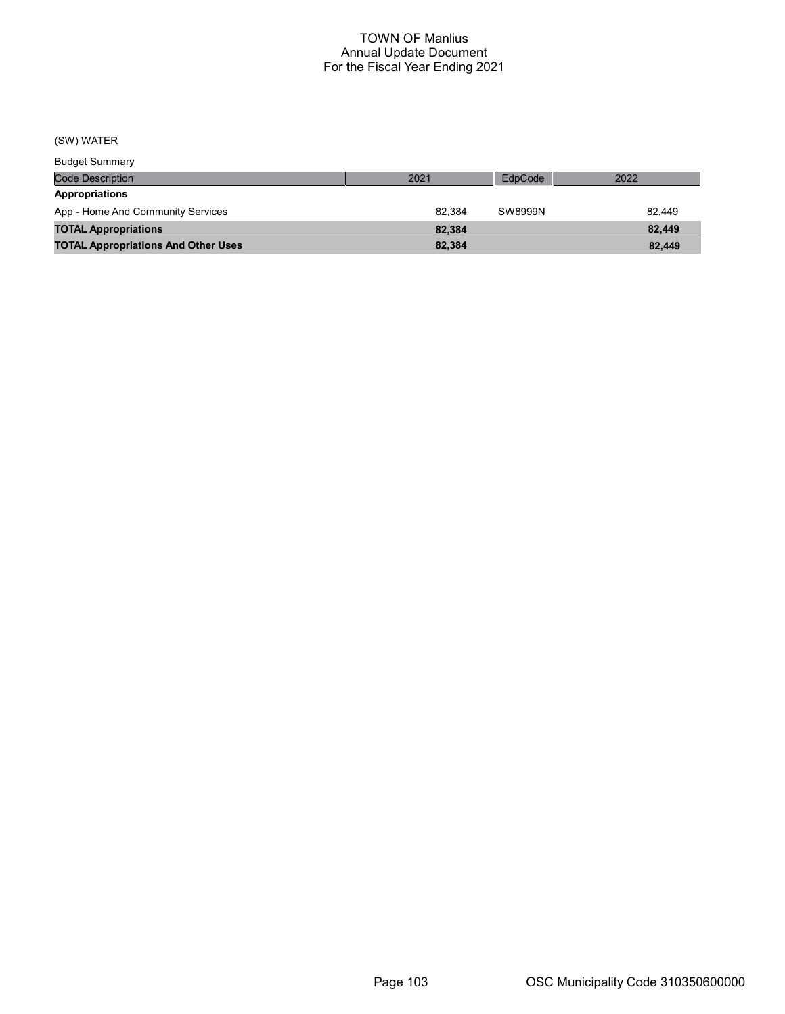(SW) WATER

| <b>Budget Summary</b>                      |        |         |        |
|--------------------------------------------|--------|---------|--------|
| <b>Code Description</b>                    | 2021   | EdpCode | 2022   |
| <b>Appropriations</b>                      |        |         |        |
| App - Home And Community Services          | 82.384 | SW8999N | 82.449 |
| <b>TOTAL Appropriations</b>                | 82.384 |         | 82.449 |
| <b>TOTAL Appropriations And Other Uses</b> | 82,384 |         | 82,449 |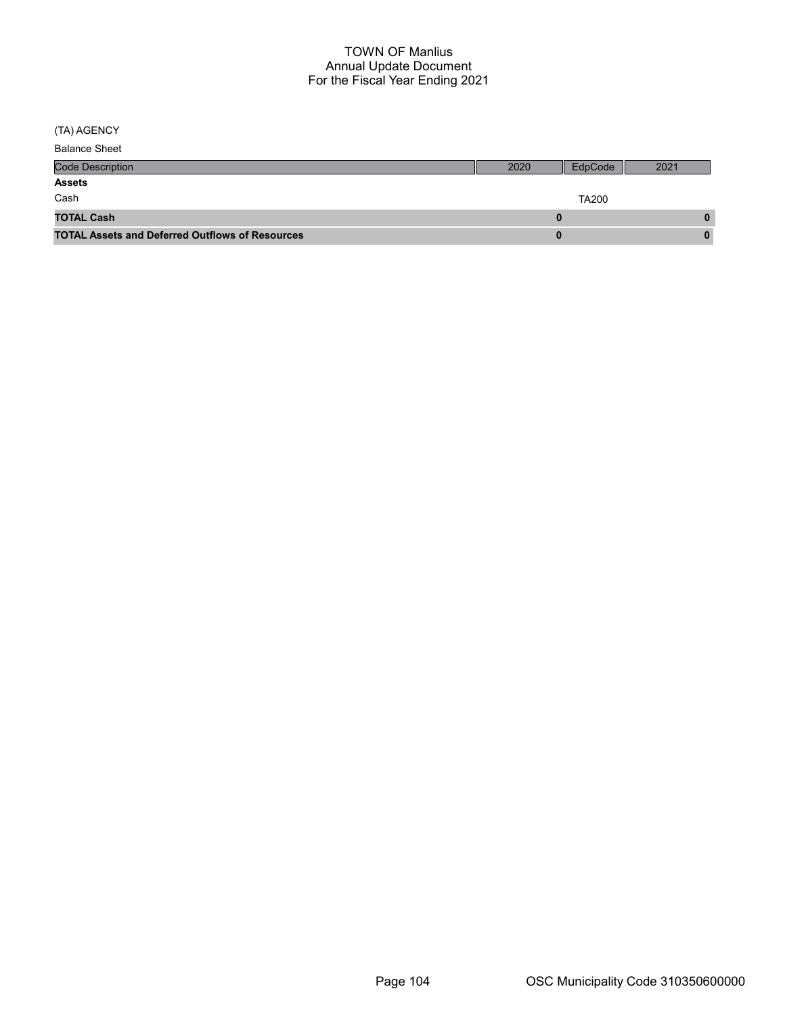(TA) AGENCY

| <b>Balance Sheet</b>                                   |              |         |      |
|--------------------------------------------------------|--------------|---------|------|
| <b>Code Description</b>                                | 2020         | EdpCode | 2021 |
| <b>Assets</b>                                          |              |         |      |
| Cash                                                   | <b>TA200</b> |         |      |
| <b>TOTAL Cash</b>                                      |              |         |      |
| <b>TOTAL Assets and Deferred Outflows of Resources</b> |              |         |      |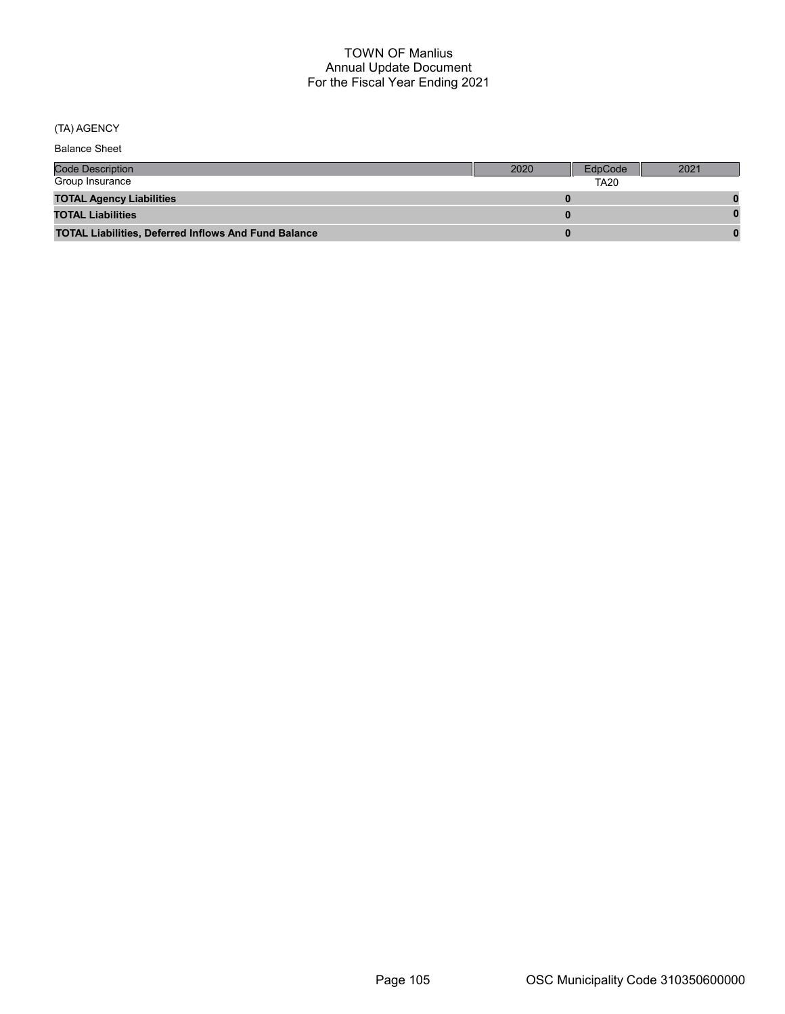# (TA) AGENCY

Balance Sheet

| <b>Code Description</b>                                     | 2020 | EdpCode | 2021 |
|-------------------------------------------------------------|------|---------|------|
| Group Insurance                                             |      |         |      |
| <b>TOTAL Agency Liabilities</b>                             |      |         |      |
| <b>TOTAL Liabilities</b>                                    |      |         |      |
| <b>TOTAL Liabilities, Deferred Inflows And Fund Balance</b> |      |         |      |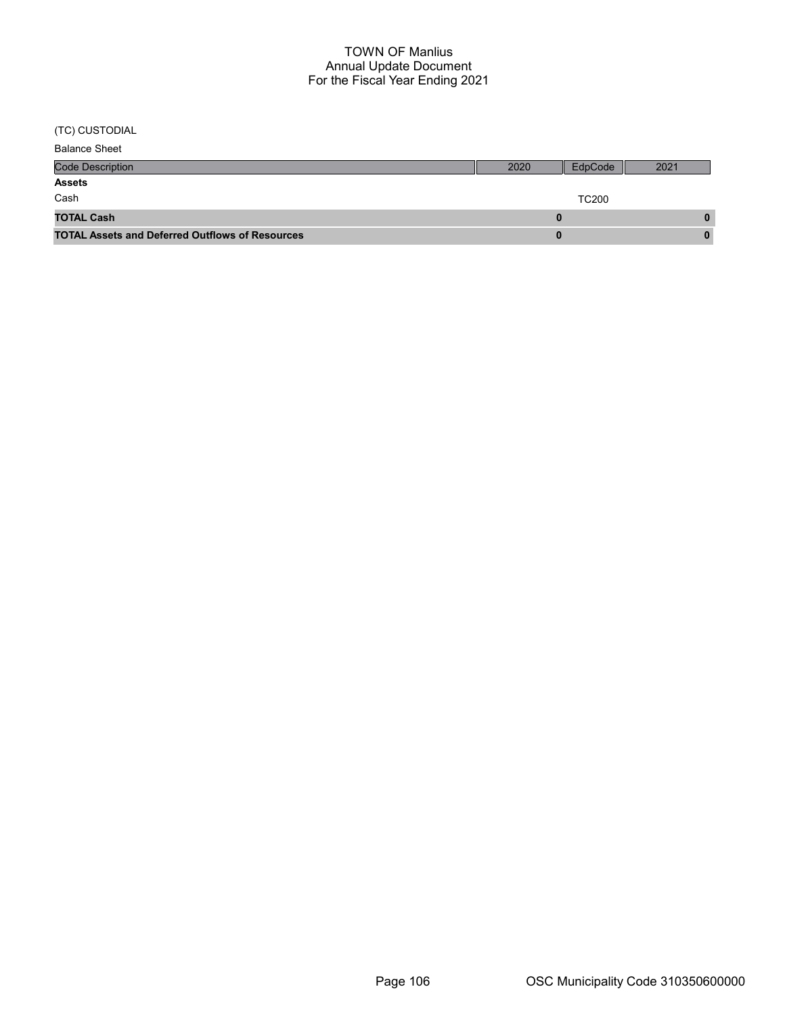(TC) CUSTODIAL

| <b>Balance Sheet</b>                                   |              |         |      |
|--------------------------------------------------------|--------------|---------|------|
| <b>Code Description</b>                                | 2020         | EdpCode | 2021 |
| <b>Assets</b>                                          |              |         |      |
| Cash                                                   | <b>TC200</b> |         |      |
| <b>TOTAL Cash</b>                                      |              |         |      |
| <b>TOTAL Assets and Deferred Outflows of Resources</b> |              |         |      |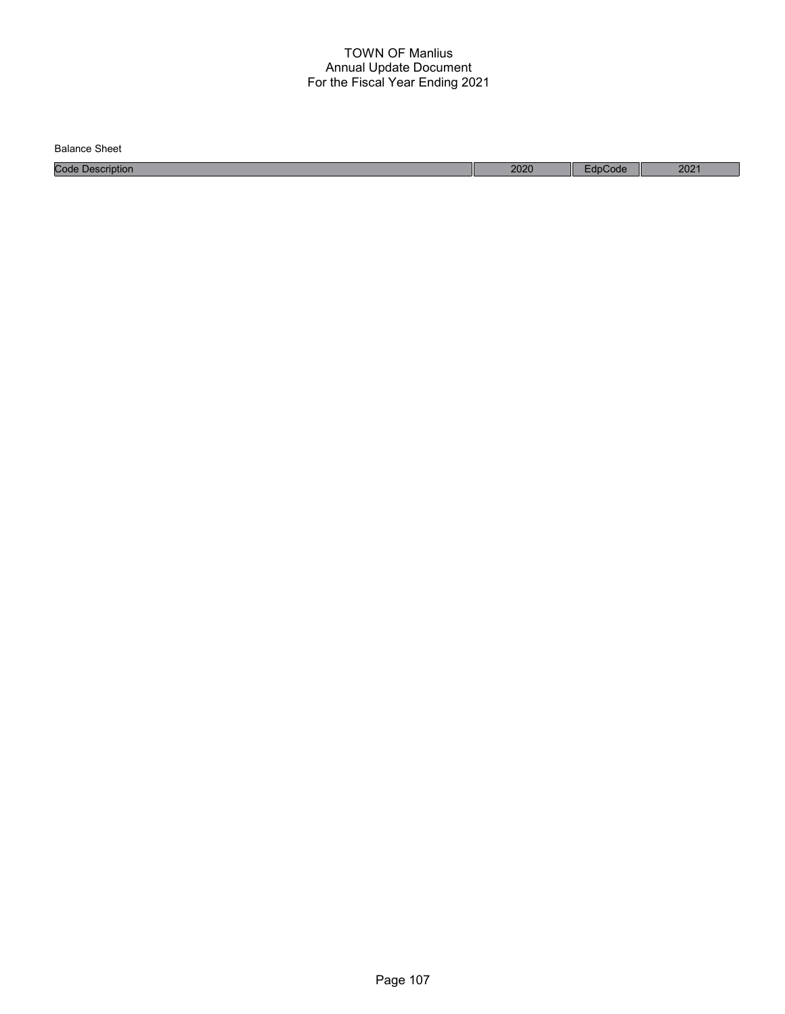Code Description 2020 EdpCode 2021 Balance Sheet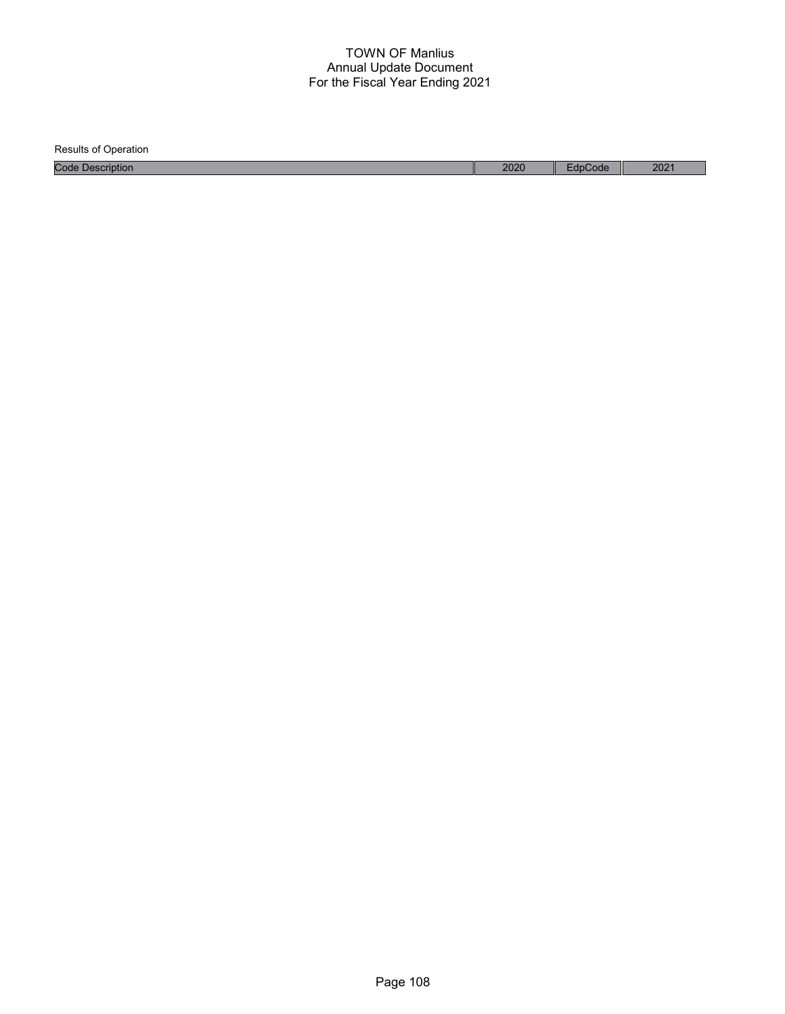Results of Operation Code Description 2020 EdpCode 2021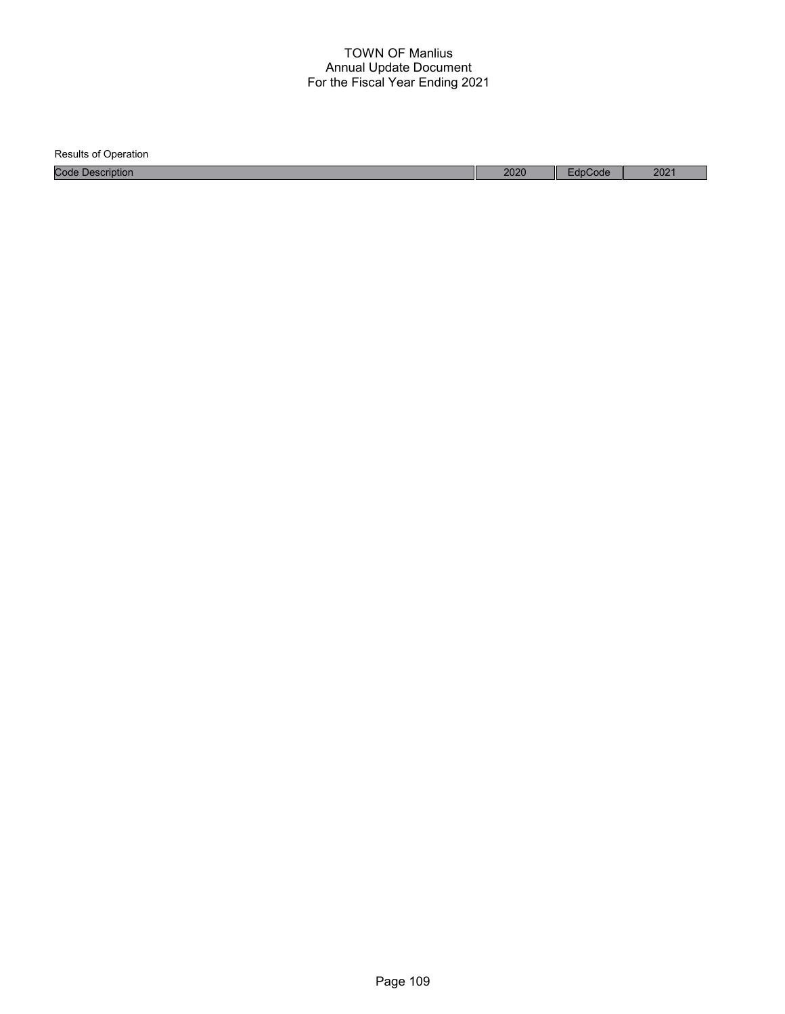| <b>Results of Operation</b> |      |         |                  |
|-----------------------------|------|---------|------------------|
| <b>Code Description</b>     | 2020 | EdpCode | 202 <sup>1</sup> |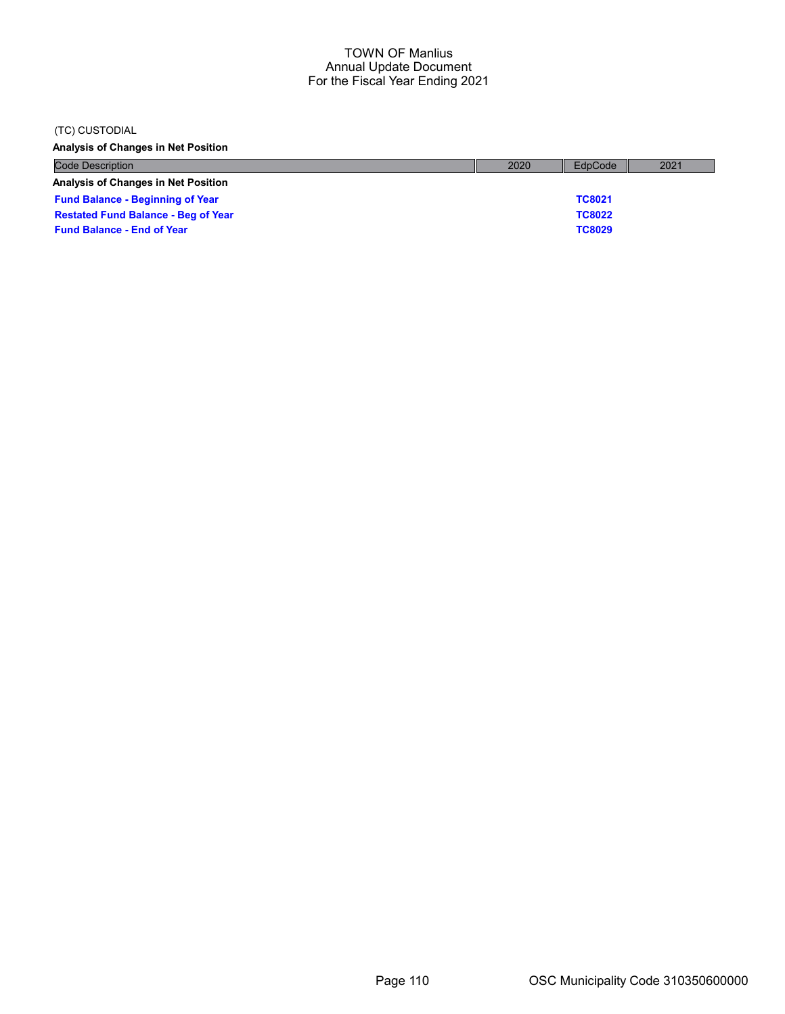#### (TC) CUSTODIAL

Analysis of Changes in Net Position

| <b>Code Description</b>                    | 2020 | EdpCode       | 2021 |
|--------------------------------------------|------|---------------|------|
| <b>Analysis of Changes in Net Position</b> |      |               |      |
| <b>Fund Balance - Beginning of Year</b>    |      | <b>TC8021</b> |      |
| <b>Restated Fund Balance - Beg of Year</b> |      | <b>TC8022</b> |      |
| <b>Fund Balance - End of Year</b>          |      | <b>TC8029</b> |      |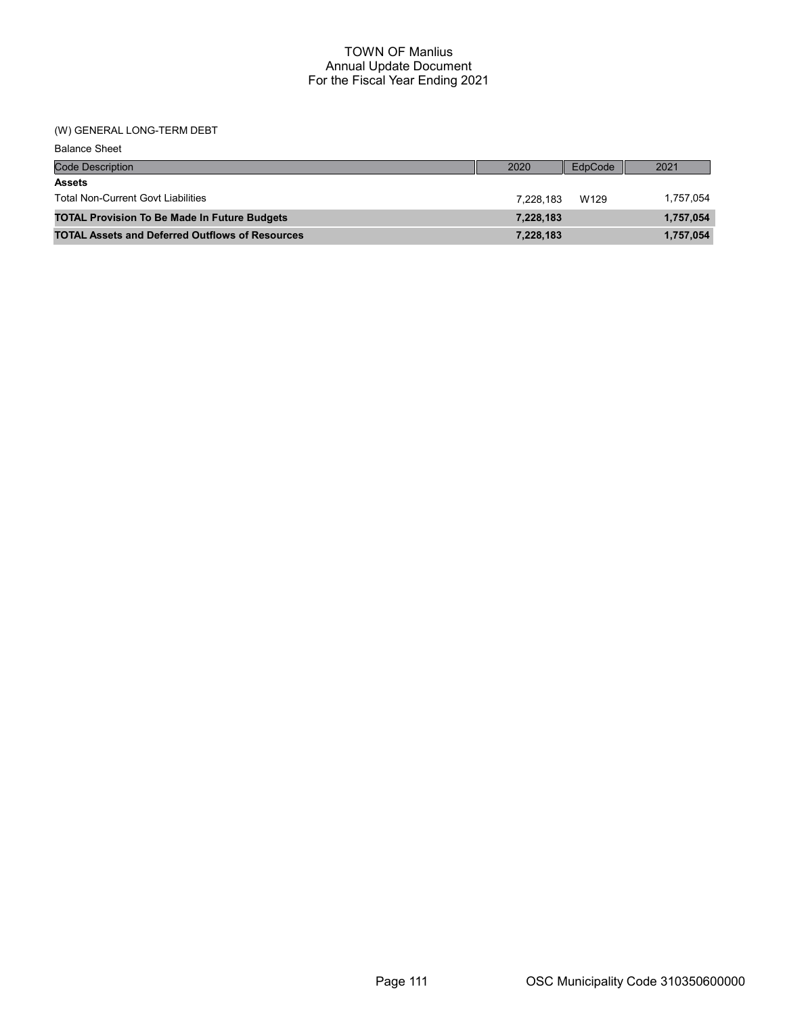## (W) GENERAL LONG-TERM DEBT

| <b>Balance Sheet</b>                                   |           |         |           |
|--------------------------------------------------------|-----------|---------|-----------|
| <b>Code Description</b>                                | 2020      | EdpCode | 2021      |
| <b>Assets</b>                                          |           |         |           |
| <b>Total Non-Current Govt Liabilities</b>              | 7.228.183 | W129    | 1,757,054 |
| <b>TOTAL Provision To Be Made In Future Budgets</b>    | 7,228,183 |         | 1,757,054 |
| <b>TOTAL Assets and Deferred Outflows of Resources</b> | 7,228,183 |         | 1,757,054 |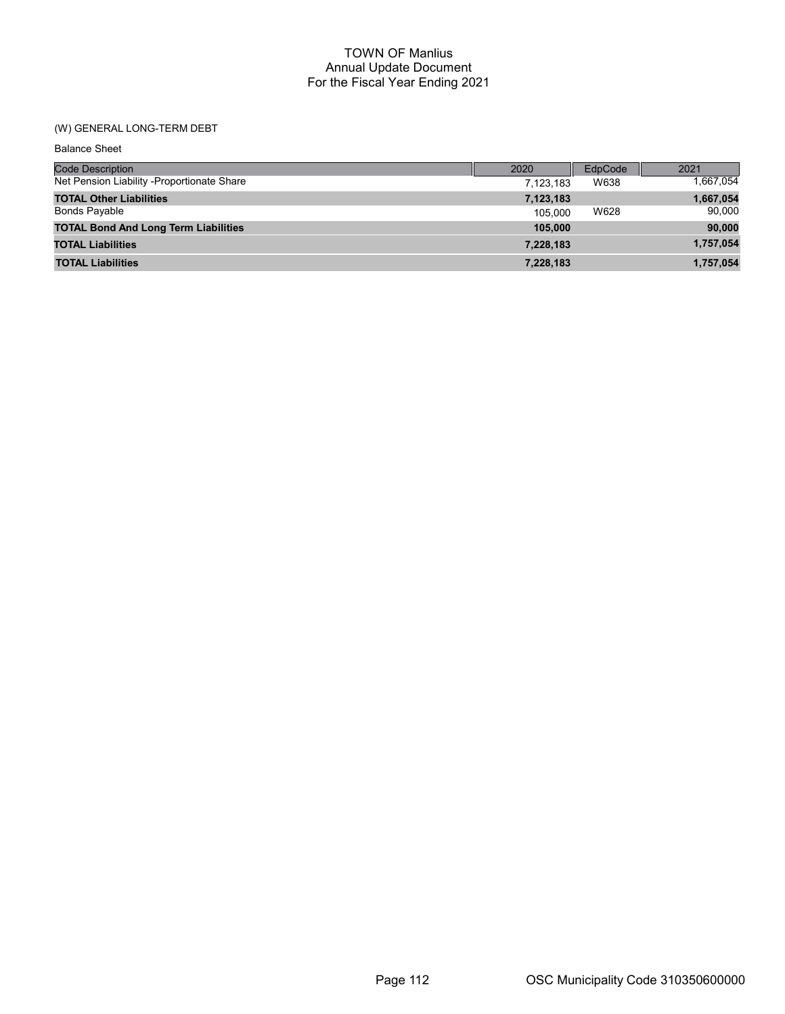# (W) GENERAL LONG-TERM DEBT

| <b>Balance Sheet</b>                        |           |         |           |
|---------------------------------------------|-----------|---------|-----------|
| <b>Code Description</b>                     | 2020      | EdpCode | 2021      |
| Net Pension Liability -Proportionate Share  | 7,123,183 | W638    | 1,667,054 |
| <b>TOTAL Other Liabilities</b>              | 7,123,183 |         | 1,667,054 |
| Bonds Payable                               | 105.000   | W628    | 90,000    |
| <b>TOTAL Bond And Long Term Liabilities</b> | 105,000   |         | 90,000    |
| <b>TOTAL Liabilities</b>                    | 7,228,183 |         | 1,757,054 |
| <b>TOTAL Liabilities</b>                    | 7,228,183 |         | 1.757.054 |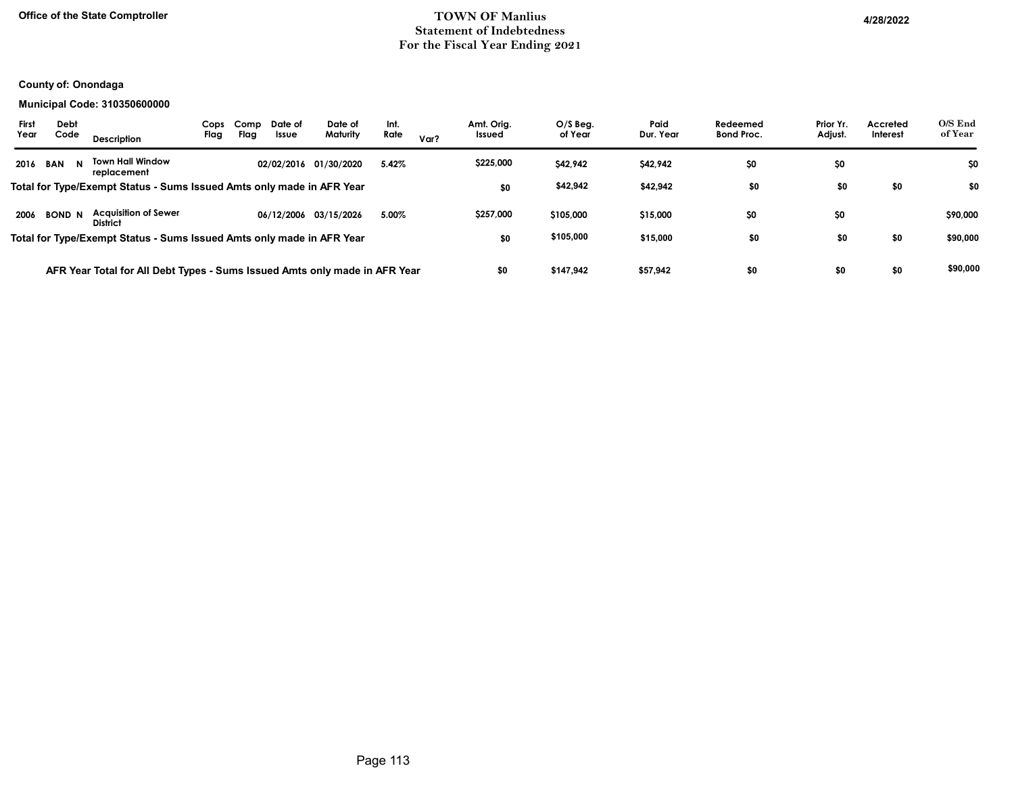## Office of the State Comptroller **Example 2022** TOWN OF Manlius 4/28/2022 Statement of Indebtedness For the Fiscal Year Ending 2021

## County of: Onondaga

#### Municipal Code: 310350600000

| First<br>Debt<br>Code<br>Year | Cops<br>Flag<br><b>Description</b>                                         | Comp<br>Date of<br>Flag<br>Issue | Date of<br>Maturity   | Int.<br>Rate | Var? | Amt. Orig.<br>Issued | $O/S$ Beg.<br>of Year | Paid<br>Dur. Year | Redeemed<br><b>Bond Proc.</b> | Prior Yr.<br>Adjust. | Accreted<br>Interest | O/S End<br>of Year |
|-------------------------------|----------------------------------------------------------------------------|----------------------------------|-----------------------|--------------|------|----------------------|-----------------------|-------------------|-------------------------------|----------------------|----------------------|--------------------|
| 2016<br>BAN                   | <b>Town Hall Window</b><br>replacement                                     | 02/02/2016 01/30/2020            |                       | 5.42%        |      | \$225,000            | \$42,942              | \$42,942          | \$0                           | \$0                  |                      | \$0                |
|                               | Total for Type/Exempt Status - Sums Issued Amts only made in AFR Year      |                                  |                       |              |      | \$0                  | \$42,942              | \$42,942          | \$0                           | \$0                  | \$0                  | \$0                |
| 2006<br><b>BOND N</b>         | <b>Acquisition of Sewer</b><br><b>District</b>                             |                                  | 06/12/2006 03/15/2026 | 5.00%        |      | \$257,000            | \$105,000             | \$15,000          | \$0                           | \$0                  |                      | \$90,000           |
|                               | Total for Type/Exempt Status - Sums Issued Amts only made in AFR Year      |                                  |                       |              |      | \$0                  | \$105,000             | \$15,000          | \$0                           | \$0                  | \$0                  | \$90,000           |
|                               | AFR Year Total for All Debt Types - Sums Issued Amts only made in AFR Year |                                  |                       |              |      | \$0                  | \$147,942             | \$57,942          | \$0                           | \$0                  | \$0                  | \$90,000           |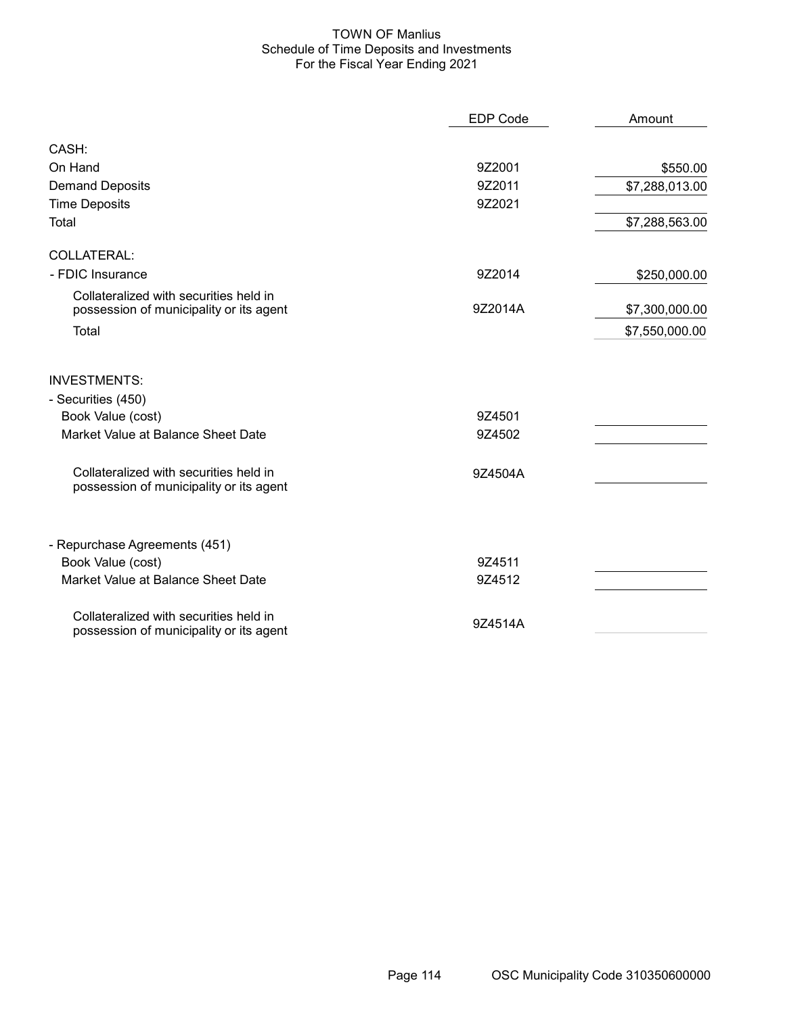## TOWN OF Manlius Schedule of Time Deposits and Investments For the Fiscal Year Ending 2021

|                                                                                   | <b>EDP Code</b> | Amount         |
|-----------------------------------------------------------------------------------|-----------------|----------------|
| CASH:                                                                             |                 |                |
| On Hand                                                                           | 9Z2001          | \$550.00       |
| <b>Demand Deposits</b>                                                            | 9Z2011          | \$7,288,013.00 |
| <b>Time Deposits</b>                                                              | 9Z2021          |                |
| Total                                                                             |                 | \$7,288,563.00 |
| COLLATERAL:                                                                       |                 |                |
| - FDIC Insurance                                                                  | 9Z2014          | \$250,000.00   |
| Collateralized with securities held in<br>possession of municipality or its agent | 9Z2014A         | \$7,300,000.00 |
| Total                                                                             |                 | \$7,550,000.00 |
| <b>INVESTMENTS:</b>                                                               |                 |                |
| - Securities (450)                                                                |                 |                |
| Book Value (cost)                                                                 | 9Z4501          |                |
| Market Value at Balance Sheet Date                                                | 9Z4502          |                |
| Collateralized with securities held in<br>possession of municipality or its agent | 9Z4504A         |                |
| - Repurchase Agreements (451)                                                     |                 |                |
| Book Value (cost)                                                                 | 9Z4511          |                |
| Market Value at Balance Sheet Date                                                | 9Z4512          |                |
| Collateralized with securities held in<br>possession of municipality or its agent | 9Z4514A         |                |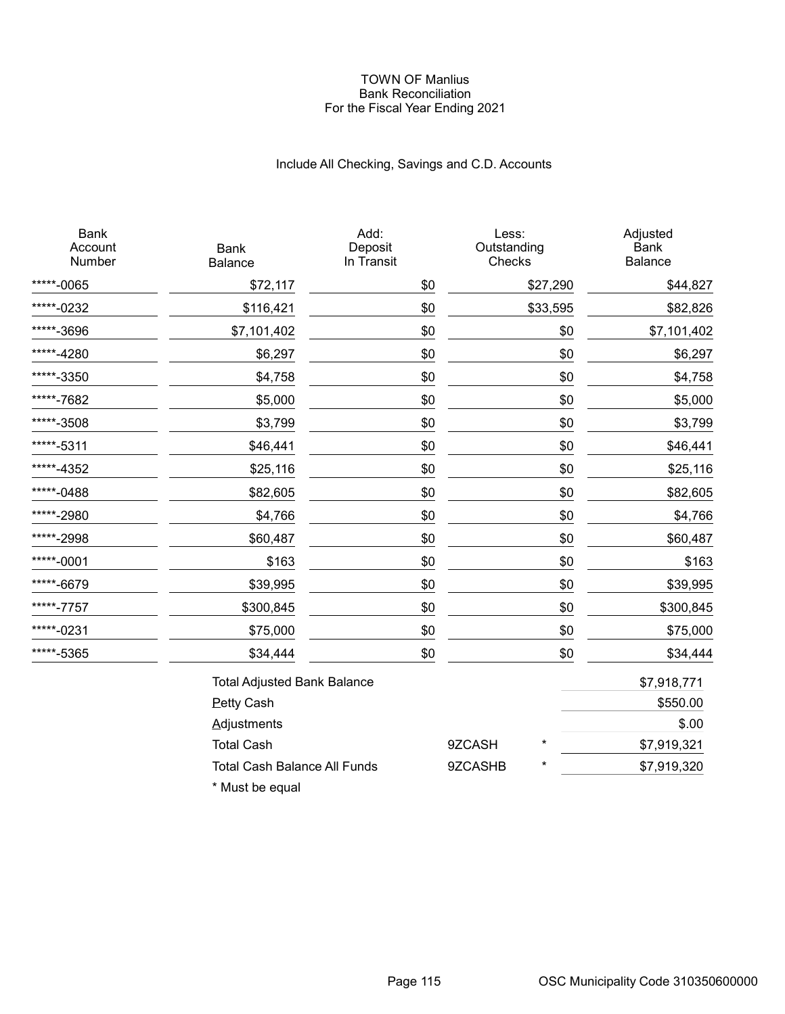#### TOWN OF Manlius Bank Reconciliation For the Fiscal Year Ending 2021

# Include All Checking, Savings and C.D. Accounts

| <b>Bank</b><br>Account<br>Number | <b>Bank</b><br>Balance              | Add:<br>Deposit<br>In Transit | Less:<br>Outstanding<br>Checks |          | Adjusted<br><b>Bank</b><br>Balance |
|----------------------------------|-------------------------------------|-------------------------------|--------------------------------|----------|------------------------------------|
| *****-0065                       | \$72,117                            | \$0                           |                                | \$27,290 | \$44,827                           |
| *****-0232                       | \$116,421                           | \$0                           |                                | \$33,595 | \$82,826                           |
| *****-3696                       | \$7,101,402                         | \$0                           |                                | \$0      | \$7,101,402                        |
| *****-4280                       | \$6,297                             | \$0                           |                                | \$0      | \$6,297                            |
| *****-3350                       | \$4,758                             | \$0                           |                                | \$0      | \$4,758                            |
| *****-7682                       | \$5,000                             | \$0                           |                                | \$0      | \$5,000                            |
| *****-3508                       | \$3,799                             | \$0                           |                                | \$0      | \$3,799                            |
| *****-5311                       | \$46,441                            | \$0                           |                                | \$0      | \$46,441                           |
| *****-4352                       | \$25,116                            | \$0                           |                                | \$0      | \$25,116                           |
| *****-0488                       | \$82,605                            | \$0                           |                                | \$0      | \$82,605                           |
| *****-2980                       | \$4,766                             | \$0                           |                                | \$0      | \$4,766                            |
| *****-2998                       | \$60,487                            | \$0                           |                                | \$0      | \$60,487                           |
| *****-0001                       | \$163                               | \$0                           |                                | \$0      | \$163                              |
| *****-6679                       | \$39,995                            | \$0                           |                                | \$0      | \$39,995                           |
| *****-7757                       | \$300,845                           | \$0                           |                                | \$0      | \$300,845                          |
| *****-0231                       | \$75,000                            | \$0                           |                                | \$0      | \$75,000                           |
| *****-5365                       | \$34,444                            | \$0                           |                                | \$0      | \$34,444                           |
|                                  | <b>Total Adjusted Bank Balance</b>  |                               |                                |          | \$7,918,771                        |
|                                  | <b>Petty Cash</b>                   |                               |                                |          | \$550.00                           |
|                                  | Adjustments                         |                               |                                |          | \$.00                              |
|                                  | <b>Total Cash</b>                   |                               | 9ZCASH                         | *        | \$7,919,321                        |
|                                  | <b>Total Cash Balance All Funds</b> |                               | 9ZCASHB                        | $\star$  | \$7,919,320                        |
|                                  | * Must be equal                     |                               |                                |          |                                    |

Page 115 **OSC Municipality Code 310350600000**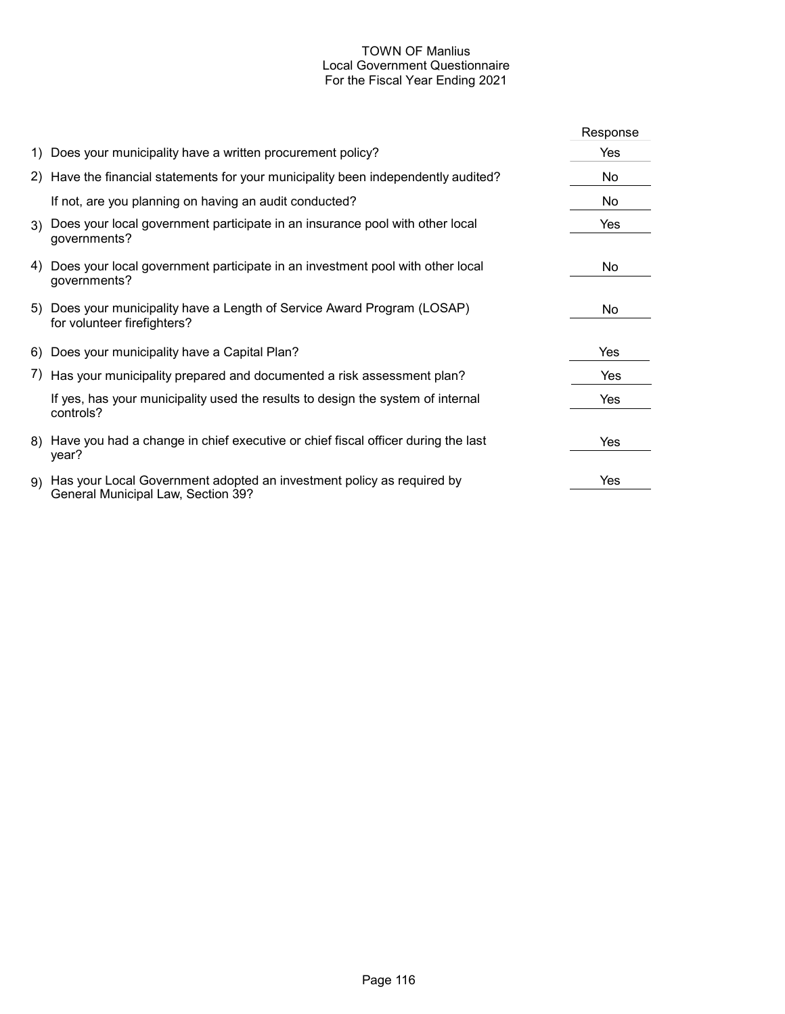# TOWN OF Manlius Local Government Questionnaire For the Fiscal Year Ending 2021

|     |                                                                                                             | Response |
|-----|-------------------------------------------------------------------------------------------------------------|----------|
|     | 1) Does your municipality have a written procurement policy?                                                | Yes      |
|     | 2) Have the financial statements for your municipality been independently audited?                          | No       |
|     | If not, are you planning on having an audit conducted?                                                      | No       |
|     | 3) Does your local government participate in an insurance pool with other local<br>governments?             | Yes      |
| 4). | Does your local government participate in an investment pool with other local<br>governments?               | No.      |
|     | 5) Does your municipality have a Length of Service Award Program (LOSAP)<br>for volunteer firefighters?     | No       |
|     | 6) Does your municipality have a Capital Plan?                                                              | Yes      |
|     | 7) Has your municipality prepared and documented a risk assessment plan?                                    | Yes      |
|     | If yes, has your municipality used the results to design the system of internal<br>controls?                | Yes      |
|     | 8) Have you had a change in chief executive or chief fiscal officer during the last<br>year?                | Yes      |
| 9)  | Has your Local Government adopted an investment policy as required by<br>General Municipal Law, Section 39? | Yes      |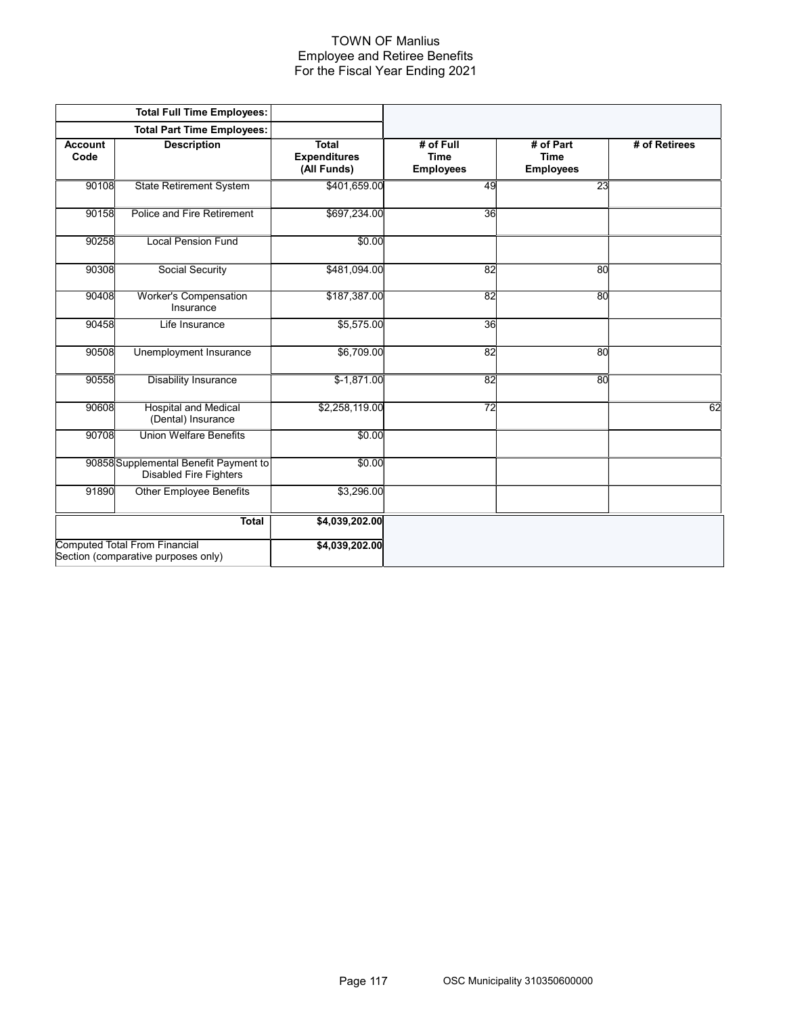### TOWN OF Manlius Employee and Retiree Benefits For the Fiscal Year Ending 2021

|                        | <b>Total Full Time Employees:</b>                                           |                                                    |                                              |                                              |               |
|------------------------|-----------------------------------------------------------------------------|----------------------------------------------------|----------------------------------------------|----------------------------------------------|---------------|
|                        | <b>Total Part Time Employees:</b>                                           |                                                    |                                              |                                              |               |
| <b>Account</b><br>Code | <b>Description</b>                                                          | <b>Total</b><br><b>Expenditures</b><br>(All Funds) | # of Full<br><b>Time</b><br><b>Employees</b> | # of Part<br><b>Time</b><br><b>Employees</b> | # of Retirees |
| 90108                  | <b>State Retirement System</b>                                              | \$401,659.00                                       | 49                                           | 23                                           |               |
| 90158                  | Police and Fire Retirement                                                  | \$697,234.00                                       | 36                                           |                                              |               |
| 90258                  | <b>Local Pension Fund</b>                                                   | \$0.00                                             |                                              |                                              |               |
| 90308                  | <b>Social Security</b>                                                      | \$481,094.00                                       | $\overline{82}$                              | 80                                           |               |
| 90408                  | <b>Worker's Compensation</b><br>Insurance                                   | \$187,387.00                                       | 82                                           | 80                                           |               |
| 90458                  | Life Insurance                                                              | \$5,575.00                                         | 36                                           |                                              |               |
| 90508                  | Unemployment Insurance                                                      | \$6,709.00                                         | 82                                           | 80                                           |               |
| 90558                  | <b>Disability Insurance</b>                                                 | $$-1,871.00$                                       | 82                                           | 80                                           |               |
| 90608                  | <b>Hospital and Medical</b><br>(Dental) Insurance                           | \$2,258,119.00                                     | 72                                           |                                              | 62            |
| 90708                  | <b>Union Welfare Benefits</b>                                               | \$0.00                                             |                                              |                                              |               |
|                        | 90858 Supplemental Benefit Payment to<br><b>Disabled Fire Fighters</b>      | \$0.00                                             |                                              |                                              |               |
| 91890                  | <b>Other Employee Benefits</b>                                              | \$3,296.00                                         |                                              |                                              |               |
|                        | <b>Total</b>                                                                | \$4,039,202.00                                     |                                              |                                              |               |
|                        | <b>Computed Total From Financial</b><br>Section (comparative purposes only) | \$4,039,202.00                                     |                                              |                                              |               |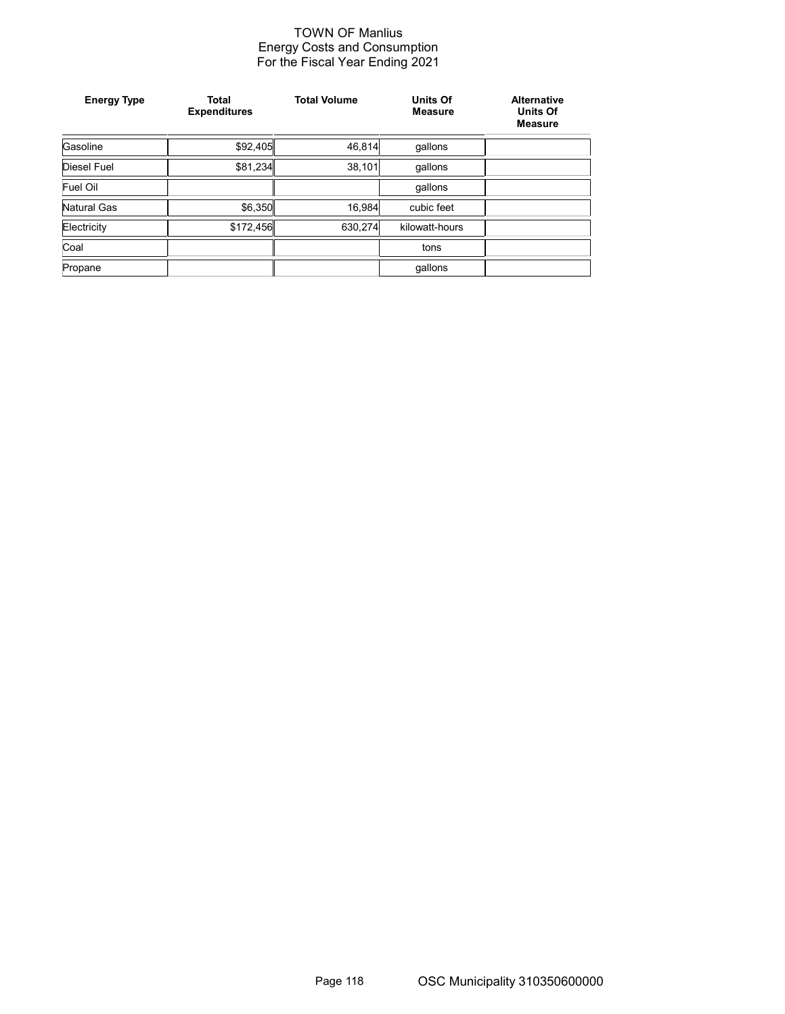# TOWN OF Manlius Energy Costs and Consumption For the Fiscal Year Ending 2021

| <b>Energy Type</b> | <b>Total</b><br><b>Expenditures</b> | <b>Total Volume</b> | <b>Units Of</b><br><b>Measure</b> | <b>Alternative</b><br><b>Units Of</b><br><b>Measure</b> |
|--------------------|-------------------------------------|---------------------|-----------------------------------|---------------------------------------------------------|
| Gasoline           | \$92,405                            | 46,814              | gallons                           |                                                         |
| Diesel Fuel        | \$81,234                            | 38,101              | qallons                           |                                                         |
| <b>Fuel Oil</b>    |                                     |                     | qallons                           |                                                         |
| Natural Gas        | \$6,350                             | 16,984              | cubic feet                        |                                                         |
| Electricity        | \$172,456                           | 630,274             | kilowatt-hours                    |                                                         |
| Coal               |                                     |                     | tons                              |                                                         |
| Propane            |                                     |                     | gallons                           |                                                         |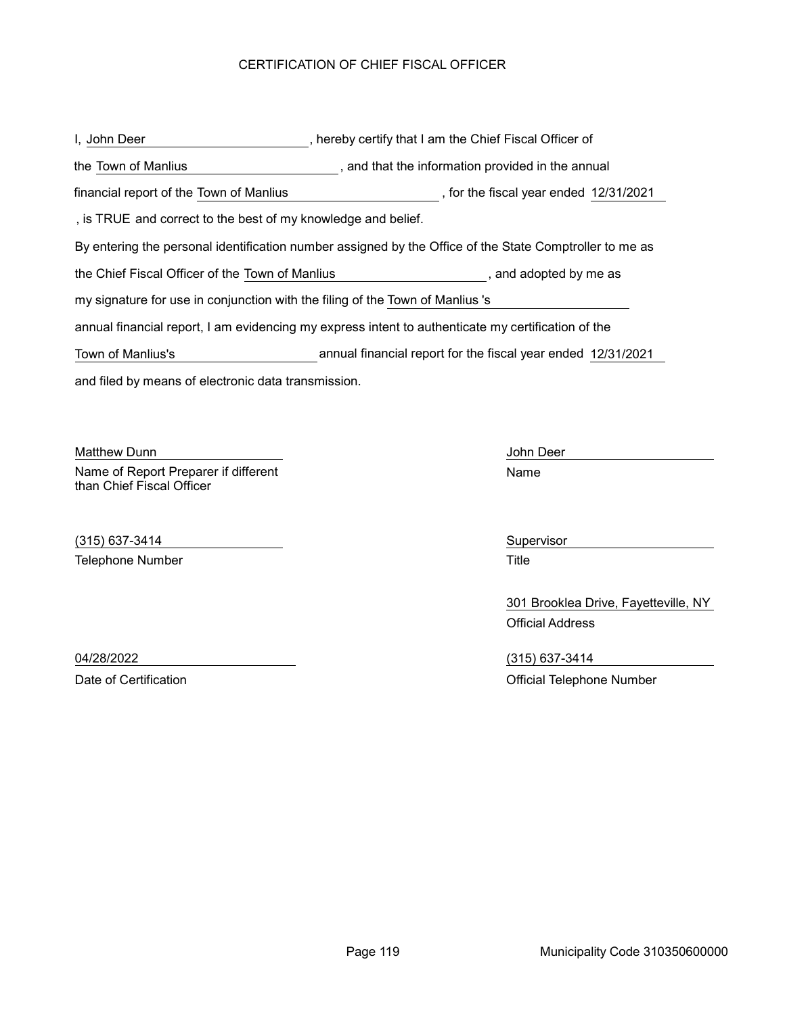## CERTIFICATION OF CHIEF FISCAL OFFICER

and filed by means of electronic data transmission. , hereby certify that I am the Chief Fiscal Officer of By entering the personal identification number assigned by the Office of the State Comptroller to me as , and that the information provided in the annual I, John Deer the Town of Manlius the Chief Fiscal Officer of the Town of Manlius , and adopted by me as annual financial report, I am evidencing my express intent to authenticate my certification of the my signature for use in conjunction with the filing of the Town of Manlius 's , is TRUE and correct to the best of my knowledge and belief. financial report of the Town of Manlius and the state of the fiscal year ended 12/31/2021 Town of Manlius's annual financial report for the fiscal year ended 12/31/2021

Matthew Dunn John Deer and The Control of the United States of the United States of the United States of the U Name of Report Preparer if different than Chief Fiscal Officer

(315) 637-3414 Supervisor Telephone Number **Title** 

Name

301 Brooklea Drive, Fayetteville, NY Official Address

04/28/2022 (315) 637-3414 Date of Certification **Date of Certification** Official Telephone Number